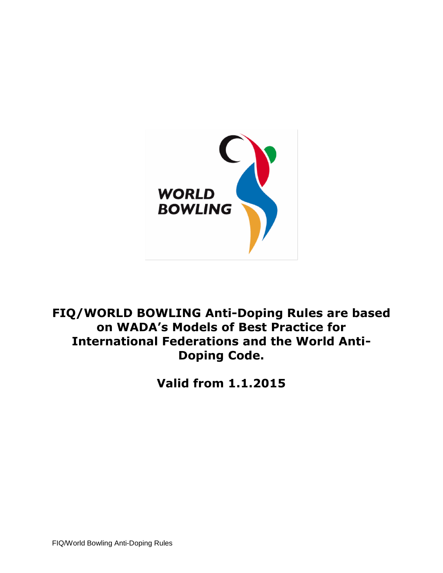

**FIQ/WORLD BOWLING Anti-Doping Rules are based on WADA's Models of Best Practice for International Federations and the World Anti-Doping Code.**

**Valid from 1.1.2015**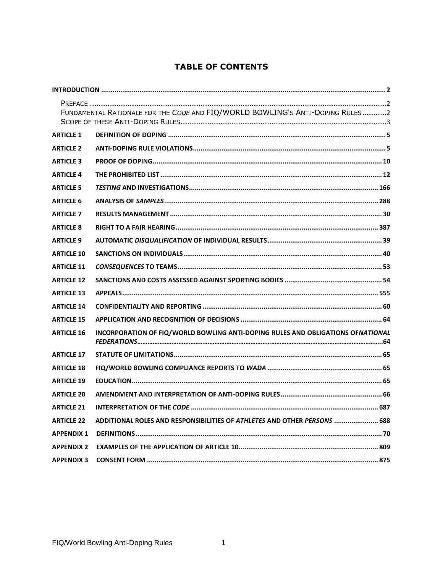# **TABLE OF CONTENTS**

|                   | FUNDAMENTAL RATIONALE FOR THE CODE AND FIQ/WORLD BOWLING'S ANTI-DOPING RULES2   |  |
|-------------------|---------------------------------------------------------------------------------|--|
| <b>ARTICLE 1</b>  |                                                                                 |  |
| <b>ARTICLE 2</b>  |                                                                                 |  |
| <b>ARTICLE 3</b>  |                                                                                 |  |
| <b>ARTICLE 4</b>  |                                                                                 |  |
| <b>ARTICLE 5</b>  |                                                                                 |  |
| <b>ARTICLE 6</b>  |                                                                                 |  |
| <b>ARTICLE 7</b>  |                                                                                 |  |
| <b>ARTICLE 8</b>  |                                                                                 |  |
| <b>ARTICLE 9</b>  |                                                                                 |  |
| <b>ARTICLE 10</b> |                                                                                 |  |
| <b>ARTICLE 11</b> |                                                                                 |  |
| <b>ARTICLE 12</b> |                                                                                 |  |
| <b>ARTICLE 13</b> |                                                                                 |  |
| <b>ARTICLE 14</b> |                                                                                 |  |
| <b>ARTICLE 15</b> |                                                                                 |  |
| <b>ARTICLE 16</b> | INCORPORATION OF FIQ/WORLD BOWLING ANTI-DOPING RULES AND OBLIGATIONS OFNATIONAL |  |
| <b>ARTICLE 17</b> |                                                                                 |  |
| <b>ARTICLE 18</b> |                                                                                 |  |
| <b>ARTICLE 19</b> |                                                                                 |  |
| <b>ARTICLE 20</b> |                                                                                 |  |
| <b>ARTICLE 21</b> |                                                                                 |  |
| <b>ARTICLE 22</b> | ADDITIONAL ROLES AND RESPONSIBILITIES OF ATHLETES AND OTHER PERSONS  688        |  |
| <b>APPENDIX 1</b> |                                                                                 |  |
| <b>APPENDIX 2</b> |                                                                                 |  |
| <b>APPENDIX 3</b> |                                                                                 |  |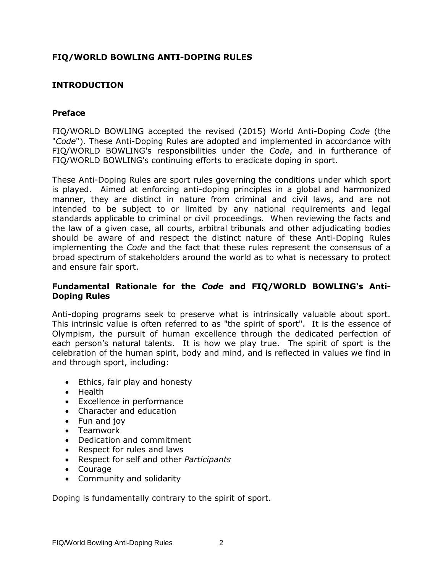#### **FIQ/WORLD BOWLING ANTI-DOPING RULES**

### <span id="page-2-0"></span>**INTRODUCTION**

#### <span id="page-2-1"></span>**Preface**

FIQ/WORLD BOWLING accepted the revised (2015) World Anti-Doping *Code* (the "*Code*"). These Anti-Doping Rules are adopted and implemented in accordance with FIQ/WORLD BOWLING's responsibilities under the *Code*, and in furtherance of FIQ/WORLD BOWLING's continuing efforts to eradicate doping in sport.

These Anti-Doping Rules are sport rules governing the conditions under which sport is played.Aimed at enforcing anti-doping principles in a global and harmonized manner, they are distinct in nature from criminal and civil laws, and are not intended to be subject to or limited by any national requirements and legal standards applicable to criminal or civil proceedings. When reviewing the facts and the law of a given case, all courts, arbitral tribunals and other adjudicating bodies should be aware of and respect the distinct nature of these Anti-Doping Rules implementing the *Code* and the fact that these rules represent the consensus of a broad spectrum of stakeholders around the world as to what is necessary to protect and ensure fair sport.

#### <span id="page-2-2"></span>**Fundamental Rationale for the** *Code* **and FIQ/WORLD BOWLING's Anti-Doping Rules**

Anti-doping programs seek to preserve what is intrinsically valuable about sport. This intrinsic value is often referred to as "the spirit of sport". It is the essence of Olympism, the pursuit of human excellence through the dedicated perfection of each person's natural talents. It is how we play true. The spirit of sport is the celebration of the human spirit, body and mind, and is reflected in values we find in and through sport, including:

- Ethics, fair play and honesty
- Health
- Excellence in performance
- Character and education
- Fun and joy
- Teamwork
- Dedication and commitment
- Respect for rules and laws
- Respect for self and other *Participants*
- Courage
- Community and solidarity

Doping is fundamentally contrary to the spirit of sport.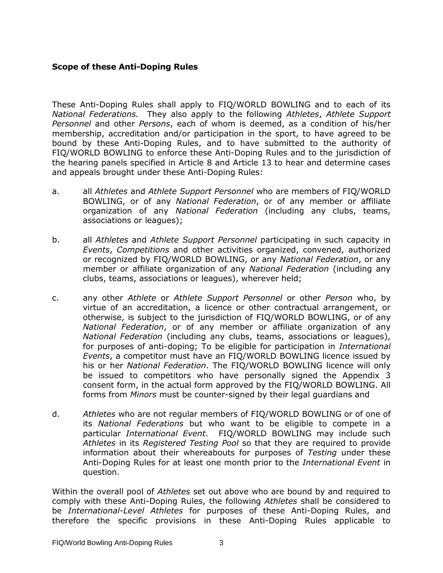#### <span id="page-3-0"></span>**Scope of these Anti-Doping Rules**

These Anti-Doping Rules shall apply to FIQ/WORLD BOWLING and to each of its *National Federations.* They also apply to the following *Athletes*, *Athlete Support Personnel* and other *Persons*, each of whom is deemed, as a condition of his/her membership, accreditation and/or participation in the sport, to have agreed to be bound by these Anti-Doping Rules, and to have submitted to the authority of FIQ/WORLD BOWLING to enforce these Anti-Doping Rules and to the jurisdiction of the hearing panels specified in Article 8 and Article 13 to hear and determine cases and appeals brought under these Anti-Doping Rules:

- a. all *Athletes* and *Athlete Support Personnel* who are members of FIQ/WORLD BOWLING, or of any *National Federation*, or of any member or affiliate organization of any *National Federation* (including any clubs, teams, associations or leagues);
- b. all *Athletes* and *Athlete Support Personnel* participating in such capacity in *Events*, *Competitions* and other activities organized, convened, authorized or recognized by FIQ/WORLD BOWLING, or any *National Federation*, or any member or affiliate organization of any *National Federation* (including any clubs, teams, associations or leagues), wherever held;
- c. any other *Athlete* or *Athlete Support Personnel* or other *Person* who, by virtue of an accreditation, a licence or other contractual arrangement, or otherwise, is subject to the jurisdiction of FIQ/WORLD BOWLING, or of any *National Federation*, or of any member or affiliate organization of any *National Federation* (including any clubs, teams, associations or leagues), for purposes of anti-doping; To be eligible for participation in *International Events*, a competitor must have an FIQ/WORLD BOWLING licence issued by his or her *National Federation*. The FIQ/WORLD BOWLING licence will only be issued to competitors who have personally signed the Appendix 3 consent form, in the actual form approved by the FIQ/WORLD BOWLING. All forms from *Minors* must be counter-signed by their legal guardians and
- d. *Athletes* who are not regular members of FIQ/WORLD BOWLING or of one of its *National Federations* but who want to be eligible to compete in a particular *International Event*. FIQ/WORLD BOWLING may include such *Athletes* in its *Registered Testing Pool* so that they are required to provide information about their whereabouts for purposes of *Testing* under these Anti-Doping Rules for at least one month prior to the *International Event* in question.

Within the overall pool of *Athletes* set out above who are bound by and required to comply with these Anti-Doping Rules, the following *Athletes* shall be considered to be *International-Level Athletes* for purposes of these Anti-Doping Rules, and therefore the specific provisions in these Anti-Doping Rules applicable to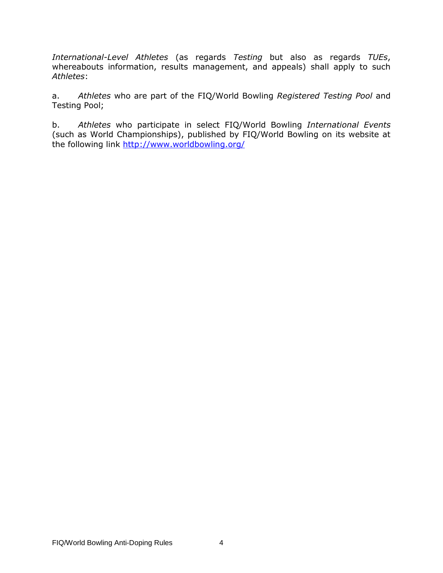*International-Level Athletes* (as regards *Testing* but also as regards *TUEs*, whereabouts information, results management, and appeals) shall apply to such *Athletes*:

a. *Athletes* who are part of the FIQ/World Bowling *Registered Testing Pool* and Testing Pool;

b. *Athletes* who participate in select FIQ/World Bowling *International Events* (such as World Championships), published by FIQ/World Bowling on its website at the following link http://www.worldbowling.org/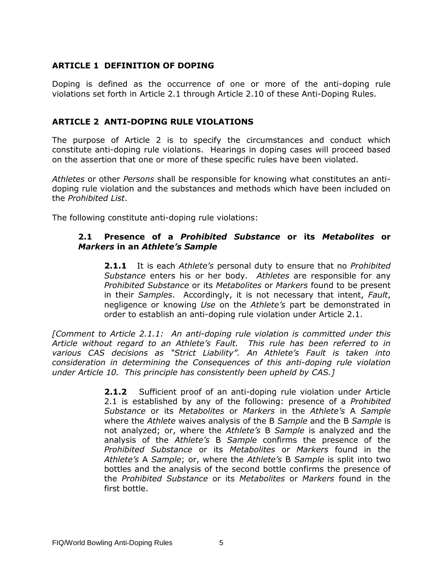# <span id="page-5-0"></span>**ARTICLE 1 DEFINITION OF DOPING**

Doping is defined as the occurrence of one or more of the anti-doping rule violations set forth in Article 2.1 through Article 2.10 of these Anti-Doping Rules.

### <span id="page-5-1"></span>**ARTICLE 2 ANTI-DOPING RULE VIOLATIONS**

The purpose of Article 2 is to specify the circumstances and conduct which constitute anti-doping rule violations. Hearings in doping cases will proceed based on the assertion that one or more of these specific rules have been violated.

*Athletes* or other *Persons* shall be responsible for knowing what constitutes an antidoping rule violation and the substances and methods which have been included on the *Prohibited List*.

The following constitute anti-doping rule violations:

#### **2.1 Presence of a** *Prohibited Substance* **or its** *Metabolites* **or**  *Markers* **in an** *Athlete's Sample*

**2.1.1** It is each *Athlete's* personal duty to ensure that no *Prohibited Substance* enters his or her body. *Athletes* are responsible for any *Prohibited Substance* or its *Metabolites* or *Markers* found to be present in their *Samples*. Accordingly, it is not necessary that intent, *Fault*, negligence or knowing *Use* on the *Athlete's* part be demonstrated in order to establish an anti-doping rule violation under Article 2.1.

*[Comment to Article 2.1.1: An anti-doping rule violation is committed under this Article without regard to an Athlete's Fault. This rule has been referred to in various CAS decisions as "Strict Liability". An Athlete's Fault is taken into consideration in determining the Consequences of this anti-doping rule violation under Article 10. This principle has consistently been upheld by CAS.]*

> **2.1.2** Sufficient proof of an anti-doping rule violation under Article 2.1 is established by any of the following: presence of a *Prohibited Substance* or its *Metabolites* or *Markers* in the *Athlete's* A *Sample* where the *Athlete* waives analysis of the B *Sample* and the B *Sample* is not analyzed; or, where the *Athlete's* B *Sample* is analyzed and the analysis of the *Athlete's* B *Sample* confirms the presence of the *Prohibited Substance* or its *Metabolites* or *Markers* found in the *Athlete's* A *Sample*; or, where the *Athlete's* B *Sample* is split into two bottles and the analysis of the second bottle confirms the presence of the *Prohibited Substance* or its *Metabolites* or *Markers* found in the first bottle.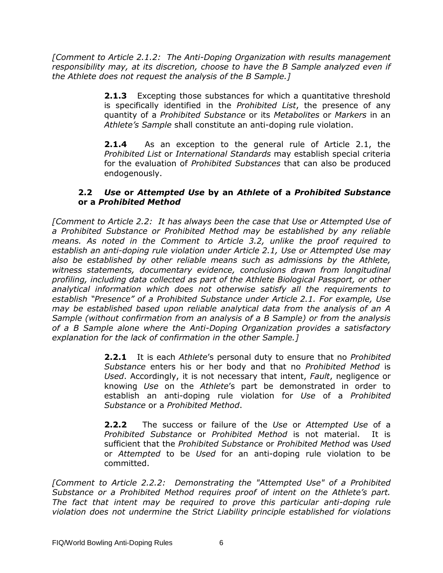*[Comment to Article 2.1.2: The Anti-Doping Organization with results management responsibility may, at its discretion, choose to have the B Sample analyzed even if the Athlete does not request the analysis of the B Sample.]*

> **2.1.3** Excepting those substances for which a quantitative threshold is specifically identified in the *Prohibited List*, the presence of any quantity of a *Prohibited Substance* or its *Metabolites* or *Markers* in an *Athlete's Sample* shall constitute an anti-doping rule violation.

> **2.1.4** As an exception to the general rule of Article 2.1, the *Prohibited List* or *International Standards* may establish special criteria for the evaluation of *Prohibited Substances* that can also be produced endogenously.

# **2.2** *Use* **or** *Attempted Use* **by an** *Athlete* **of a** *Prohibited Substance* **or a** *Prohibited Method*

*[Comment to Article 2.2: It has always been the case that Use or Attempted Use of a Prohibited Substance or Prohibited Method may be established by any reliable means. As noted in the Comment to Article 3.2, unlike the proof required to establish an anti-doping rule violation under Article 2.1, Use or Attempted Use may also be established by other reliable means such as admissions by the Athlete, witness statements, documentary evidence, conclusions drawn from longitudinal profiling, including data collected as part of the Athlete Biological Passport, or other analytical information which does not otherwise satisfy all the requirements to establish "Presence" of a Prohibited Substance under Article 2.1. For example, Use may be established based upon reliable analytical data from the analysis of an A Sample (without confirmation from an analysis of a B Sample) or from the analysis of a B Sample alone where the Anti-Doping Organization provides a satisfactory explanation for the lack of confirmation in the other Sample.]*

> **2.2.1** It is each *Athlete*'s personal duty to ensure that no *Prohibited Substance* enters his or her body and that no *Prohibited Method* is *Used*. Accordingly, it is not necessary that intent, *Fault*, negligence or knowing *Use* on the *Athlete*'s part be demonstrated in order to establish an anti-doping rule violation for *Use* of a *Prohibited Substance* or a *Prohibited Method*.

> **2.2.2** The success or failure of the *Use* or *Attempted Use* of a *Prohibited Substance* or *Prohibited Method* is not material. It is sufficient that the *Prohibited Substance* or *Prohibited Method* was *Used* or *Attempted* to be *Used* for an anti-doping rule violation to be committed.

*[Comment to Article 2.2.2: Demonstrating the "Attempted Use" of a Prohibited Substance or a Prohibited Method requires proof of intent on the Athlete's part. The fact that intent may be required to prove this particular anti-doping rule violation does not undermine the Strict Liability principle established for violations*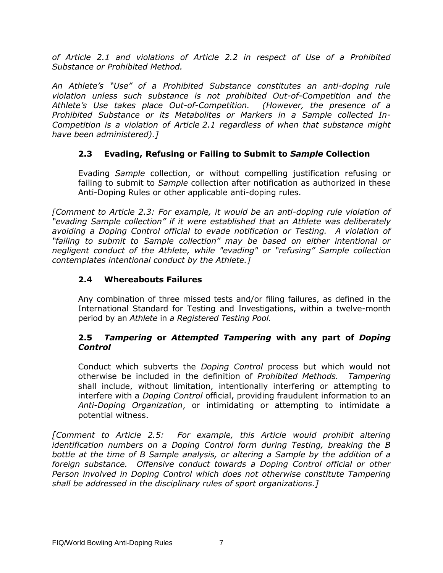*of Article 2.1 and violations of Article 2.2 in respect of Use of a Prohibited Substance or Prohibited Method.* 

*An Athlete's "Use" of a Prohibited Substance constitutes an anti-doping rule violation unless such substance is not prohibited Out-of-Competition and the Athlete's Use takes place Out-of-Competition. (However, the presence of a Prohibited Substance or its Metabolites or Markers in a Sample collected In-Competition is a violation of Article 2.1 regardless of when that substance might have been administered).]*

# **2.3 Evading, Refusing or Failing to Submit to** *Sample* **Collection**

Evading *Sample* collection, or without compelling justification refusing or failing to submit to *Sample* collection after notification as authorized in these Anti-Doping Rules or other applicable anti-doping rules.

*[Comment to Article 2.3: For example, it would be an anti-doping rule violation of "evading Sample collection" if it were established that an Athlete was deliberately avoiding a Doping Control official to evade notification or Testing. A violation of "failing to submit to Sample collection" may be based on either intentional or negligent conduct of the Athlete, while "evading" or "refusing" Sample collection contemplates intentional conduct by the Athlete.]*

# **2.4 Whereabouts Failures**

Any combination of three missed tests and/or filing failures, as defined in the International Standard for Testing and Investigations, within a twelve-month period by an *Athlete* in *a Registered Testing Pool.*

#### **2.5** *Tampering* **or** *Attempted Tampering* **with any part of** *Doping Control*

Conduct which subverts the *Doping Control* process but which would not otherwise be included in the definition of *Prohibited Methods. Tampering* shall include, without limitation, intentionally interfering or attempting to interfere with a *Doping Control* official, providing fraudulent information to an *Anti-Doping Organization*, or intimidating or attempting to intimidate a potential witness.

*[Comment to Article 2.5: For example, this Article would prohibit altering identification numbers on a Doping Control form during Testing, breaking the B bottle at the time of B Sample analysis, or altering a Sample by the addition of a foreign substance. Offensive conduct towards a Doping Control official or other Person involved in Doping Control which does not otherwise constitute Tampering shall be addressed in the disciplinary rules of sport organizations.]*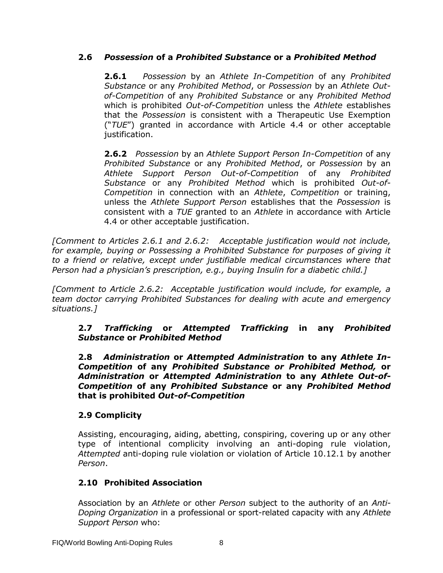# **2.6** *Possession* **of a** *Prohibited Substance* **or a** *Prohibited Method*

**2.6.1** *Possession* by an *Athlete In-Competition* of any *Prohibited Substance* or any *Prohibited Method*, or *Possession* by an *Athlete Outof-Competition* of any *Prohibited Substance* or any *Prohibited Method*  which is prohibited *Out-of-Competition* unless the *Athlete* establishes that the *Possession* is consistent with a Therapeutic Use Exemption ("*TUE*") granted in accordance with Article 4.4 or other acceptable justification.

**2.6.2** *Possession* by an *Athlete Support Person In-Competition* of any *Prohibited Substance* or any *Prohibited Method*, or *Possession* by an *Athlete Support Person Out-of-Competition* of any *Prohibited Substance* or any *Prohibited Method* which is prohibited *Out-of-Competition* in connection with an *Athlete*, *Competition* or training, unless the *Athlete Support Person* establishes that the *Possession* is consistent with a *TUE* granted to an *Athlete* in accordance with Article 4.4 or other acceptable justification.

*[Comment to Articles 2.6.1 and 2.6.2: Acceptable justification would not include, for example, buying or Possessing a Prohibited Substance for purposes of giving it to a friend or relative, except under justifiable medical circumstances where that Person had a physician's prescription, e.g., buying Insulin for a diabetic child.]*

*[Comment to Article 2.6.2: Acceptable justification would include, for example, a team doctor carrying Prohibited Substances for dealing with acute and emergency situations.]*

# **2.7** *Trafficking* **or** *Attempted Trafficking* **in any** *Prohibited Substance* **or** *Prohibited Method*

**2.8** *Administration* **or** *Attempted Administration* **to any** *Athlete In-Competition* **of any** *Prohibited Substance or Prohibited Method,* **or**  *Administration* **or** *Attempted Administration* **to any** *Athlete Out-of-Competition* **of any** *Prohibited Substance* **or any** *Prohibited Method*  **that is prohibited** *Out-of-Competition*

#### **2.9 Complicity**

Assisting, encouraging, aiding, abetting, conspiring, covering up or any other type of intentional complicity involving an anti-doping rule violation, *Attempted* anti-doping rule violation or violation of Article 10.12.1 by another *Person*.

#### **2.10 Prohibited Association**

Association by an *Athlete* or other *Person* subject to the authority of an *Anti-Doping Organization* in a professional or sport-related capacity with any *Athlete Support Person* who: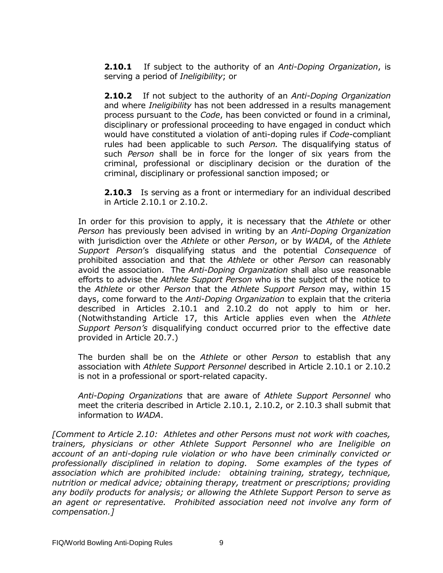**2.10.1** If subject to the authority of an *Anti-Doping Organization*, is serving a period of *Ineligibility*; or

**2.10.2** If not subject to the authority of an *Anti-Doping Organization* and where *Ineligibility* has not been addressed in a results management process pursuant to the *Code*, has been convicted or found in a criminal, disciplinary or professional proceeding to have engaged in conduct which would have constituted a violation of anti-doping rules if *Code*-compliant rules had been applicable to such *Person.* The disqualifying status of such *Person* shall be in force for the longer of six years from the criminal, professional or disciplinary decision or the duration of the criminal, disciplinary or professional sanction imposed; or

**2.10.3** Is serving as a front or intermediary for an individual described in Article 2.10.1 or 2.10.2.

In order for this provision to apply, it is necessary that the *Athlete* or other *Person* has previously been advised in writing by an *Anti-Doping Organization* with jurisdiction over the *Athlete* or other *Person*, or by *WADA*, of the *Athlete Support Person*'s disqualifying status and the potential *Consequence* of prohibited association and that the *Athlete* or other *Person* can reasonably avoid the association. The *Anti-Doping Organization* shall also use reasonable efforts to advise the *Athlete Support Person* who is the subject of the notice to the *Athlete* or other *Person* that the *Athlete Support Person* may, within 15 days, come forward to the *Anti-Doping Organization* to explain that the criteria described in Articles 2.10.1 and 2.10.2 do not apply to him or her. (Notwithstanding Article 17, this Article applies even when the *Athlete Support Person's* disqualifying conduct occurred prior to the effective date provided in Article 20.7.)

The burden shall be on the *Athlete* or other *Person* to establish that any association with *Athlete Support Personnel* described in Article 2.10.1 or 2.10.2 is not in a professional or sport-related capacity.

*Anti-Doping Organizations* that are aware of *Athlete Support Personnel* who meet the criteria described in Article 2.10.1, 2.10.2, or 2.10.3 shall submit that information to *WADA*.

*[Comment to Article 2.10: Athletes and other Persons must not work with coaches, trainers, physicians or other Athlete Support Personnel who are Ineligible on account of an anti-doping rule violation or who have been criminally convicted or professionally disciplined in relation to doping. Some examples of the types of association which are prohibited include: obtaining training, strategy, technique, nutrition or medical advice; obtaining therapy, treatment or prescriptions; providing any bodily products for analysis; or allowing the Athlete Support Person to serve as an agent or representative. Prohibited association need not involve any form of compensation.]*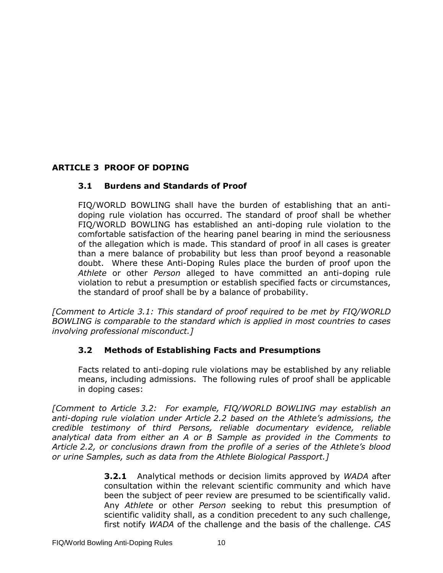# <span id="page-10-0"></span>**ARTICLE 3 PROOF OF DOPING**

# **3.1 Burdens and Standards of Proof**

FIQ/WORLD BOWLING shall have the burden of establishing that an antidoping rule violation has occurred. The standard of proof shall be whether FIQ/WORLD BOWLING has established an anti-doping rule violation to the comfortable satisfaction of the hearing panel bearing in mind the seriousness of the allegation which is made. This standard of proof in all cases is greater than a mere balance of probability but less than proof beyond a reasonable doubt. Where these Anti-Doping Rules place the burden of proof upon the *Athlete* or other *Person* alleged to have committed an anti-doping rule violation to rebut a presumption or establish specified facts or circumstances, the standard of proof shall be by a balance of probability.

*[Comment to Article 3.1: This standard of proof required to be met by FIQ/WORLD BOWLING is comparable to the standard which is applied in most countries to cases involving professional misconduct.]*

#### **3.2 Methods of Establishing Facts and Presumptions**

Facts related to anti-doping rule violations may be established by any reliable means, including admissions. The following rules of proof shall be applicable in doping cases:

*[Comment to Article 3.2: For example, FIQ/WORLD BOWLING may establish an anti-doping rule violation under Article 2.2 based on the Athlete's admissions, the credible testimony of third Persons, reliable documentary evidence, reliable analytical data from either an A or B Sample as provided in the Comments to Article 2.2, or conclusions drawn from the profile of a series of the Athlete's blood or urine Samples, such as data from the Athlete Biological Passport.]*

> **3.2.1** Analytical methods or decision limits approved by *WADA* after consultation within the relevant scientific community and which have been the subject of peer review are presumed to be scientifically valid. Any *Athlete* or other *Person* seeking to rebut this presumption of scientific validity shall, as a condition precedent to any such challenge, first notify *WADA* of the challenge and the basis of the challenge. *CAS*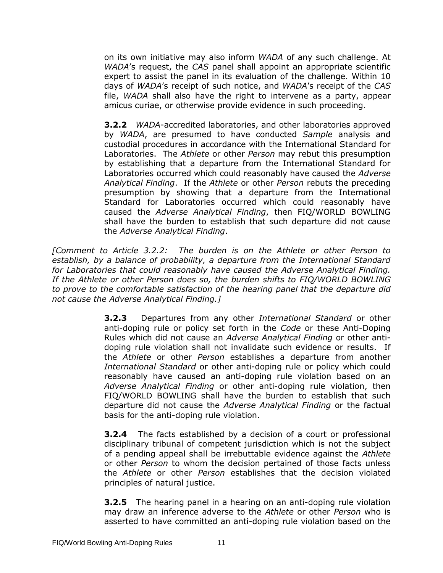on its own initiative may also inform *WADA* of any such challenge. At *WADA*'s request, the *CAS* panel shall appoint an appropriate scientific expert to assist the panel in its evaluation of the challenge. Within 10 days of *WADA*'s receipt of such notice, and *WADA*'s receipt of the *CAS* file, *WADA* shall also have the right to intervene as a party, appear amicus curiae, or otherwise provide evidence in such proceeding.

**3.2.2** *WADA*-accredited laboratories, and other laboratories approved by *WADA*, are presumed to have conducted *Sample* analysis and custodial procedures in accordance with the International Standard for Laboratories. The *Athlete* or other *Person* may rebut this presumption by establishing that a departure from the International Standard for Laboratories occurred which could reasonably have caused the *Adverse Analytical Finding*. If the *Athlete* or other *Person* rebuts the preceding presumption by showing that a departure from the International Standard for Laboratories occurred which could reasonably have caused the *Adverse Analytical Finding*, then FIQ/WORLD BOWLING shall have the burden to establish that such departure did not cause the *Adverse Analytical Finding*.

*[Comment to Article 3.2.2: The burden is on the Athlete or other Person to establish, by a balance of probability, a departure from the International Standard for Laboratories that could reasonably have caused the Adverse Analytical Finding. If the Athlete or other Person does so, the burden shifts to FIQ/WORLD BOWLING to prove to the comfortable satisfaction of the hearing panel that the departure did not cause the Adverse Analytical Finding.]*

> **3.2.3** Departures from any other *International Standard* or other anti-doping rule or policy set forth in the *Code* or these Anti-Doping Rules which did not cause an *Adverse Analytical Finding* or other antidoping rule violation shall not invalidate such evidence or results. If the *Athlete* or other *Person* establishes a departure from another *International Standard* or other anti-doping rule or policy which could reasonably have caused an anti-doping rule violation based on an *Adverse Analytical Finding* or other anti-doping rule violation, then FIQ/WORLD BOWLING shall have the burden to establish that such departure did not cause the *Adverse Analytical Finding* or the factual basis for the anti-doping rule violation.

> **3.2.4** The facts established by a decision of a court or professional disciplinary tribunal of competent jurisdiction which is not the subject of a pending appeal shall be irrebuttable evidence against the *Athlete* or other *Person* to whom the decision pertained of those facts unless the *Athlete* or other *Person* establishes that the decision violated principles of natural justice.

> **3.2.5** The hearing panel in a hearing on an anti-doping rule violation may draw an inference adverse to the *Athlete* or other *Person* who is asserted to have committed an anti-doping rule violation based on the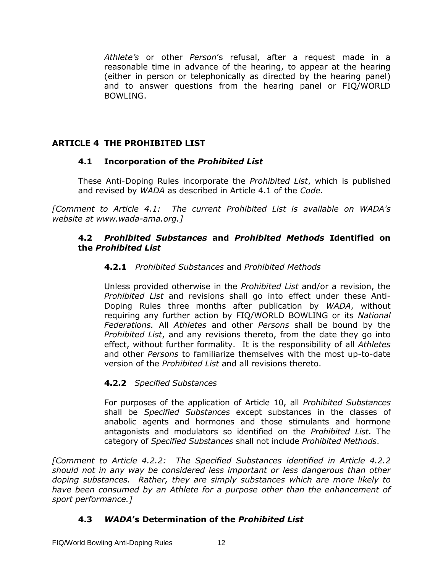*Athlete's* or other *Person*'s refusal, after a request made in a reasonable time in advance of the hearing, to appear at the hearing (either in person or telephonically as directed by the hearing panel) and to answer questions from the hearing panel or FIQ/WORLD BOWLING.

# <span id="page-12-0"></span>**ARTICLE 4 THE PROHIBITED LIST**

# **4.1 Incorporation of the** *Prohibited List*

These Anti-Doping Rules incorporate the *Prohibited List*, which is published and revised by *WADA* as described in Article 4.1 of the *Code*.

*[Comment to Article 4.1: The current Prohibited List is available on WADA's website at [www.wada-ama.org.](http://www.wada-ama.org/)]*

# **4.2** *Prohibited Substances* **and** *Prohibited Methods* **Identified on the** *Prohibited List*

# **4.2.1** *Prohibited Substances* and *Prohibited Methods*

Unless provided otherwise in the *Prohibited List* and/or a revision, the *Prohibited List* and revisions shall go into effect under these Anti-Doping Rules three months after publication by *WADA*, without requiring any further action by FIQ/WORLD BOWLING or its *National Federations.* All *Athletes* and other *Persons* shall be bound by the *Prohibited List*, and any revisions thereto, from the date they go into effect, without further formality. It is the responsibility of all *Athletes*  and other *Persons* to familiarize themselves with the most up-to-date version of the *Prohibited List* and all revisions thereto.

# **4.2.2** *Specified Substances*

For purposes of the application of Article 10, all *Prohibited Substances* shall be *Specified Substances* except substances in the classes of anabolic agents and hormones and those stimulants and hormone antagonists and modulators so identified on the *Prohibited List*. The category of *Specified Substances* shall not include *Prohibited Methods*.

*[Comment to Article 4.2.2: The Specified Substances identified in Article 4.2.2 should not in any way be considered less important or less dangerous than other doping substances. Rather, they are simply substances which are more likely to have been consumed by an Athlete for a purpose other than the enhancement of sport performance.]*

# **4.3** *WADA***'s Determination of the** *Prohibited List*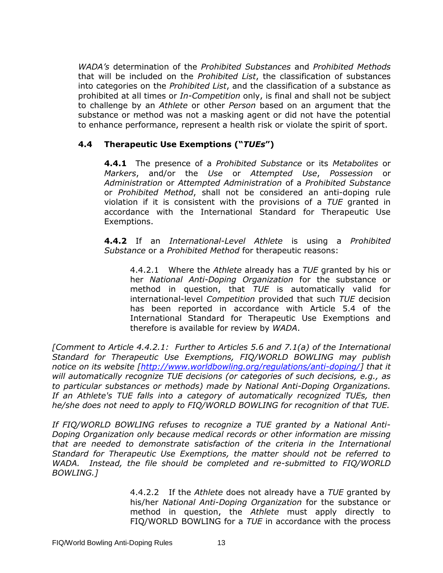*WADA's* determination of the *Prohibited Substances* and *Prohibited Methods* that will be included on the *Prohibited List*, the classification of substances into categories on the *Prohibited List*, and the classification of a substance as prohibited at all times or *In-Competition* only, is final and shall not be subject to challenge by an *Athlete* or other *Person* based on an argument that the substance or method was not a masking agent or did not have the potential to enhance performance, represent a health risk or violate the spirit of sport.

# **4.4 Therapeutic Use Exemptions ("***TUEs***")**

**4.4.1** The presence of a *Prohibited Substance* or its *Metabolites* or *Markers*, and/or the *Use* or *Attempted Use*, *Possession* or *Administration* or *Attempted Administration* of a *Prohibited Substance* or *Prohibited Method*, shall not be considered an anti-doping rule violation if it is consistent with the provisions of a *TUE* granted in accordance with the International Standard for Therapeutic Use Exemptions.

**4.4.2** If an *International-Level Athlete* is using a *Prohibited Substance* or a *Prohibited Method* for therapeutic reasons:

4.4.2.1 Where the *Athlete* already has a *TUE* granted by his or her *National Anti-Doping Organization* for the substance or method in question, that *TUE* is automatically valid for international-level *Competition* provided that such *TUE* decision has been reported in accordance with Article 5.4 of the International Standard for Therapeutic Use Exemptions and therefore is available for review by *WADA*.

*[Comment to Article 4.4.2.1: Further to Articles 5.6 and 7.1(a) of the International Standard for Therapeutic Use Exemptions, FIQ/WORLD BOWLING may publish notice on its website [\[http://www.worldbowling.org/regulations/anti-doping/\]](http://www.worldbowling.org/regulations/anti-doping/) that it will automatically recognize TUE decisions (or categories of such decisions, e.g., as to particular substances or methods) made by National Anti-Doping Organizations. If an Athlete's TUE falls into a category of automatically recognized TUEs, then he/she does not need to apply to FIQ/WORLD BOWLING for recognition of that TUE.*

*If FIQ/WORLD BOWLING refuses to recognize a TUE granted by a National Anti-Doping Organization only because medical records or other information are missing that are needed to demonstrate satisfaction of the criteria in the International Standard for Therapeutic Use Exemptions, the matter should not be referred to WADA. Instead, the file should be completed and re-submitted to FIQ/WORLD BOWLING.]*

> 4.4.2.2 If the *Athlete* does not already have a *TUE* granted by his/her *National Anti-Doping Organization* for the substance or method in question, the *Athlete* must apply directly to FIQ/WORLD BOWLING for a *TUE* in accordance with the process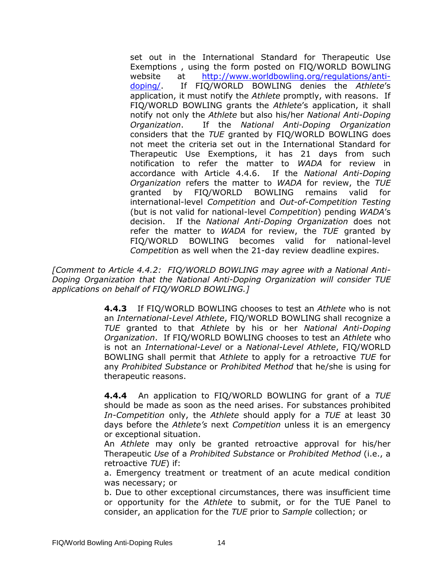set out in the International Standard for Therapeutic Use Exemptions , using the form posted on FIQ/WORLD BOWLING website at [http://www.worldbowling.org/regulations/anti](http://www.worldbowling.org/regulations/anti-doping/)[doping/.](http://www.worldbowling.org/regulations/anti-doping/) If FIQ/WORLD BOWLING denies the *Athlete*'s application, it must notify the *Athlete* promptly, with reasons. If FIQ/WORLD BOWLING grants the *Athlete*'s application, it shall notify not only the *Athlete* but also his/her *National Anti-Doping Organization*. If the *National Anti-Doping Organization* considers that the *TUE* granted by FIQ/WORLD BOWLING does not meet the criteria set out in the International Standard for Therapeutic Use Exemptions, it has 21 days from such notification to refer the matter to *WADA* for review in accordance with Article 4.4.6. If the *National Anti-Doping Organization* refers the matter to *WADA* for review, the *TUE* granted by FIQ/WORLD BOWLING remains valid for international-level *Competition* and *Out-of-Competition Testing* (but is not valid for national-level *Competition*) pending *WADA*'s decision. If the *National Anti-Doping Organization* does not refer the matter to *WADA* for review, the *TUE* granted by FIQ/WORLD BOWLING becomes valid for national-level *Competitio*n as well when the 21-day review deadline expires.

*[Comment to Article 4.4.2: FIQ/WORLD BOWLING may agree with a National Anti-Doping Organization that the National Anti-Doping Organization will consider TUE applications on behalf of FIQ/WORLD BOWLING.]*

> **4.4.3** If FIQ/WORLD BOWLING chooses to test an *Athlete* who is not an *International-Level Athlete*, FIQ/WORLD BOWLING shall recognize a *TUE* granted to that *Athlete* by his or her *National Anti-Doping Organization*. If FIQ/WORLD BOWLING chooses to test an *Athlete* who is not an *International-Level* or a *National-Level Athlete*, FIQ/WORLD BOWLING shall permit that *Athlete* to apply for a retroactive *TUE* for any *Prohibited Substance* or *Prohibited Method* that he/she is using for therapeutic reasons.

> **4.4.4** An application to FIQ/WORLD BOWLING for grant of a *TUE* should be made as soon as the need arises. For substances prohibited *In-Competition* only, the *Athlete* should apply for a *TUE* at least 30 days before the *Athlete's* next *Competition* unless it is an emergency or exceptional situation.

> An *Athlete* may only be granted retroactive approval for his/her Therapeutic *Use* of a *Prohibited Substance* or *Prohibited Method* (i.e., a retroactive *TUE*) if:

> a. Emergency treatment or treatment of an acute medical condition was necessary; or

> b. Due to other exceptional circumstances, there was insufficient time or opportunity for the *Athlete* to submit, or for the TUE Panel to consider, an application for the *TUE* prior to *Sample* collection; or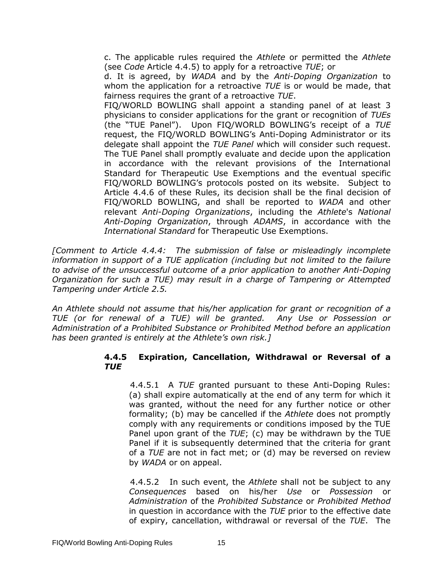c. The applicable rules required the *Athlete* or permitted the *Athlete*  (see *Code* Article 4.4.5) to apply for a retroactive *TUE*; or

d. It is agreed, by *WADA* and by the *Anti-Doping Organization* to whom the application for a retroactive *TUE* is or would be made, that fairness requires the grant of a retroactive *TUE*.

FIQ/WORLD BOWLING shall appoint a standing panel of at least 3 physicians to consider applications for the grant or recognition of *TUEs* (the "TUE Panel"). Upon FIQ/WORLD BOWLING's receipt of a *TUE*  request, the FIQ/WORLD BOWLING's Anti-Doping Administrator or its delegate shall appoint the *TUE Panel* which will consider such request. The TUE Panel shall promptly evaluate and decide upon the application in accordance with the relevant provisions of the International Standard for Therapeutic Use Exemptions and the eventual specific FIQ/WORLD BOWLING's protocols posted on its website. Subject to Article 4.4.6 of these Rules, its decision shall be the final decision of FIQ/WORLD BOWLING, and shall be reported to *WADA* and other relevant *Anti-Doping Organizations*, including the *Athlete*'s *National Anti-Doping Organization*, through *ADAMS*, in accordance with the *International Standard* for Therapeutic Use Exemptions.

*[Comment to Article 4.4.4: The submission of false or misleadingly incomplete information in support of a TUE application (including but not limited to the failure to advise of the unsuccessful outcome of a prior application to another Anti-Doping Organization for such a TUE) may result in a charge of Tampering or Attempted Tampering under Article 2.5.*

*An Athlete should not assume that his/her application for grant or recognition of a TUE (or for renewal of a TUE) will be granted. Any Use or Possession or Administration of a Prohibited Substance or Prohibited Method before an application has been granted is entirely at the Athlete's own risk.]* 

#### **4.4.5 Expiration, Cancellation, Withdrawal or Reversal of a**  *TUE*

4.4.5.1 A *TUE* granted pursuant to these Anti-Doping Rules: (a) shall expire automatically at the end of any term for which it was granted, without the need for any further notice or other formality; (b) may be cancelled if the *Athlete* does not promptly comply with any requirements or conditions imposed by the TUE Panel upon grant of the *TUE*; (c) may be withdrawn by the TUE Panel if it is subsequently determined that the criteria for grant of a *TUE* are not in fact met; or (d) may be reversed on review by *WADA* or on appeal.

4.4.5.2 In such event, the *Athlete* shall not be subject to any *Consequences* based on his/her *Use* or *Possession* or *Administration* of the *Prohibited Substance* or *Prohibited Method* in question in accordance with the *TUE* prior to the effective date of expiry, cancellation, withdrawal or reversal of the *TUE*. The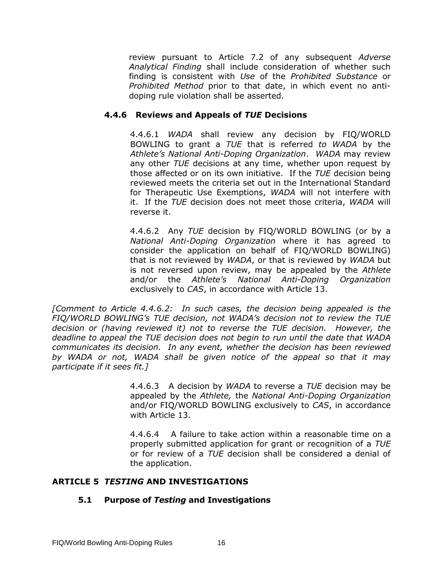review pursuant to Article 7.2 of any subsequent *Adverse Analytical Finding* shall include consideration of whether such finding is consistent with *Use* of the *Prohibited Substance* or *Prohibited Method* prior to that date, in which event no antidoping rule violation shall be asserted.

#### **4.4.6 Reviews and Appeals of** *TUE* **Decisions**

4.4.6.1 *WADA* shall review any decision by FIQ/WORLD BOWLING to grant a *TUE* that is referred *to WADA* by the *Athlete's National Anti-Doping Organization*. *WADA* may review any other *TUE* decisions at any time, whether upon request by those affected or on its own initiative. If the *TUE* decision being reviewed meets the criteria set out in the International Standard for Therapeutic Use Exemptions, *WADA* will not interfere with it. If the *TUE* decision does not meet those criteria, *WADA* will reverse it.

4.4.6.2 Any *TUE* decision by FIQ/WORLD BOWLING (or by a *National Anti-Doping Organization* where it has agreed to consider the application on behalf of FIQ/WORLD BOWLING) that is not reviewed by *WADA*, or that is reviewed by *WADA* but is not reversed upon review, may be appealed by the *Athlete*  and/or the *Athlete's National Anti-Doping Organization* exclusively to *CAS*, in accordance with Article 13.

*[Comment to Article 4.4.6.2: In such cases, the decision being appealed is the FIQ/WORLD BOWLING's TUE decision, not WADA's decision not to review the TUE decision or (having reviewed it) not to reverse the TUE decision. However, the deadline to appeal the TUE decision does not begin to run until the date that WADA communicates its decision. In any event, whether the decision has been reviewed by WADA or not, WADA shall be given notice of the appeal so that it may participate if it sees fit.]*

> 4.4.6.3 A decision by *WADA* to reverse a *TUE* decision may be appealed by the *Athlete,* the *National Anti-Doping Organization* and/or FIQ/WORLD BOWLING exclusively to *CAS*, in accordance with Article 13.

> 4.4.6.4A failure to take action within a reasonable time on a properly submitted application for grant or recognition of a *TUE* or for review of a *TUE* decision shall be considered a denial of the application.

#### <span id="page-16-0"></span>**ARTICLE 5** *TESTING* **AND INVESTIGATIONS**

#### **5.1 Purpose of** *Testing* **and Investigations**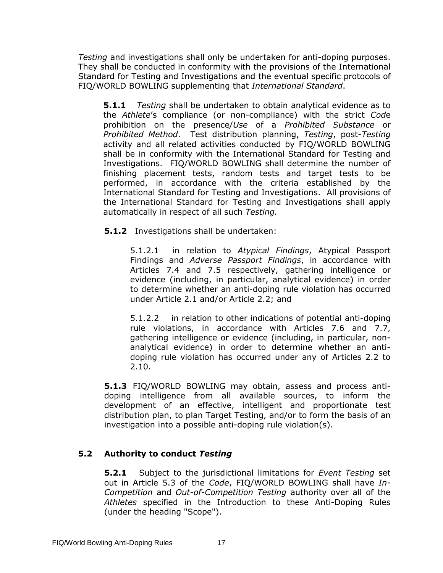*Testing* and investigations shall only be undertaken for anti-doping purposes. They shall be conducted in conformity with the provisions of the International Standard for Testing and Investigations and the eventual specific protocols of FIQ/WORLD BOWLING supplementing that *International Standard*.

**5.1.1** *Testing* shall be undertaken to obtain analytical evidence as to the *Athlete*'s compliance (or non-compliance) with the strict *Cod*e prohibition on the presence/*Use* of a *Prohibited Substance* or *Prohibited Method*. Test distribution planning, *Testing*, post-*Testing* activity and all related activities conducted by FIQ/WORLD BOWLING shall be in conformity with the International Standard for Testing and Investigations. FIQ/WORLD BOWLING shall determine the number of finishing placement tests, random tests and target tests to be performed, in accordance with the criteria established by the International Standard for Testing and Investigations. All provisions of the International Standard for Testing and Investigations shall apply automatically in respect of all such *Testing.* 

**5.1.2** Investigations shall be undertaken:

5.1.2.1 in relation to *Atypical Findings*, Atypical Passport Findings and *Adverse Passport Findings*, in accordance with Articles 7.4 and 7.5 respectively, gathering intelligence or evidence (including, in particular, analytical evidence) in order to determine whether an anti-doping rule violation has occurred under Article 2.1 and/or Article 2.2; and

5.1.2.2 in relation to other indications of potential anti-doping rule violations, in accordance with Articles 7.6 and 7.7, gathering intelligence or evidence (including, in particular, nonanalytical evidence) in order to determine whether an antidoping rule violation has occurred under any of Articles 2.2 to 2.10.

**5.1.3** FIQ/WORLD BOWLING may obtain, assess and process antidoping intelligence from all available sources, to inform the development of an effective, intelligent and proportionate test distribution plan, to plan Target Testing, and/or to form the basis of an investigation into a possible anti-doping rule violation(s).

# **5.2 Authority to conduct** *Testing*

**5.2.1** Subject to the jurisdictional limitations for *Event Testing* set out in Article 5.3 of the *Code*, FIQ/WORLD BOWLING shall have *In-Competition* and *Out-of-Competition Testing* authority over all of the *Athletes* specified in the Introduction to these Anti-Doping Rules (under the heading "Scope").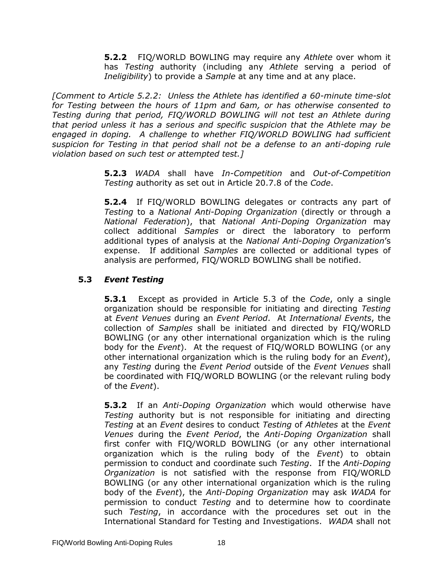**5.2.2** FIQ/WORLD BOWLING may require any *Athlete* over whom it has *Testing* authority (including any *Athlete* serving a period of *Ineligibility*) to provide a *Sample* at any time and at any place.

*[Comment to Article 5.2.2: Unless the Athlete has identified a 60-minute time-slot for Testing between the hours of 11pm and 6am, or has otherwise consented to Testing during that period, FIQ/WORLD BOWLING will not test an Athlete during that period unless it has a serious and specific suspicion that the Athlete may be engaged in doping. A challenge to whether FIQ/WORLD BOWLING had sufficient suspicion for Testing in that period shall not be a defense to an anti-doping rule violation based on such test or attempted test.]*

> **5.2.3** *WADA* shall have *In-Competition* and *Out-of-Competition Testing* authority as set out in Article 20.7.8 of the *Code*.

> **5.2.4** If FIQ/WORLD BOWLING delegates or contracts any part of *Testing* to a *National Anti-Doping Organization* (directly or through a *National Federation*), that *National Anti-Doping Organization* may collect additional *Samples* or direct the laboratory to perform additional types of analysis at the *National Anti-Doping Organization*'s expense. If additional *Samples* are collected or additional types of analysis are performed, FIQ/WORLD BOWLING shall be notified.

# **5.3** *Event Testing*

**5.3.1** Except as provided in Article 5.3 of the *Code*, only a single organization should be responsible for initiating and directing *Testing* at *Event Venues* during an *Event Period*. At *International Events*, the collection of *Samples* shall be initiated and directed by FIQ/WORLD BOWLING (or any other international organization which is the ruling body for the *Event*). At the request of FIQ/WORLD BOWLING (or any other international organization which is the ruling body for an *Event*), any *Testing* during the *Event Period* outside of the *Event Venues* shall be coordinated with FIQ/WORLD BOWLING (or the relevant ruling body of the *Event*).

**5.3.2** If an *Anti-Doping Organization* which would otherwise have *Testing* authority but is not responsible for initiating and directing *Testing* at an *Event* desires to conduct *Testing* of *Athletes* at the *Event Venues* during the *Event Period*, the *Anti-Doping Organization* shall first confer with FIQ/WORLD BOWLING (or any other international organization which is the ruling body of the *Event*) to obtain permission to conduct and coordinate such *Testing*. If the *Anti-Doping Organization* is not satisfied with the response from FIQ/WORLD BOWLING (or any other international organization which is the ruling body of the *Event*), the *Anti-Doping Organization* may ask *WADA* for permission to conduct *Testing* and to determine how to coordinate such *Testing*, in accordance with the procedures set out in the International Standard for Testing and Investigations. *WADA* shall not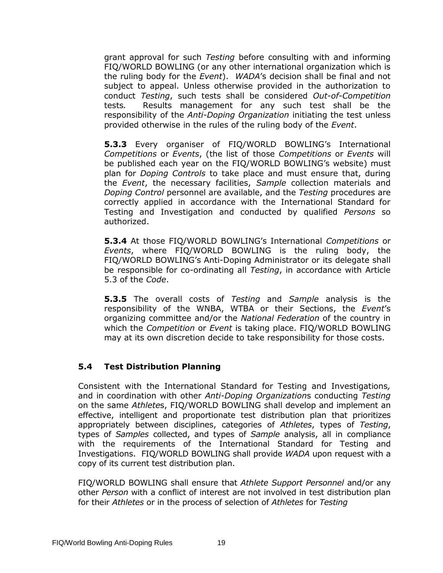grant approval for such *Testing* before consulting with and informing FIQ/WORLD BOWLING (or any other international organization which is the ruling body for the *Event*). *WADA*'s decision shall be final and not subject to appeal. Unless otherwise provided in the authorization to conduct *Testing*, such tests shall be considered *Out-of-Competition* tests*.* Results management for any such test shall be the responsibility of the *Anti-Doping Organization* initiating the test unless provided otherwise in the rules of the ruling body of the *Event*.

**5.3.3** Every organiser of FIQ/WORLD BOWLING's International *Competitions* or *Events*, (the list of those *Competitions* or *Events* will be published each year on the FIQ/WORLD BOWLING's website) must plan for *Doping Controls* to take place and must ensure that, during the *Event*, the necessary facilities, *Sample* collection materials and *Doping Control* personnel are available, and the *Testing* procedures are correctly applied in accordance with the International Standard for Testing and Investigation and conducted by qualified *Persons* so authorized.

**5.3.4** At those FIQ/WORLD BOWLING's International *Competitions* or *Events*, where FIQ/WORLD BOWLING is the ruling body, the FIQ/WORLD BOWLING's Anti-Doping Administrator or its delegate shall be responsible for co-ordinating all *Testing*, in accordance with Article 5.3 of the *Code*.

**5.3.5** The overall costs of *Testing* and *Sample* analysis is the responsibility of the WNBA, WTBA or their Sections, the *Event*'s organizing committee and/or the *National Federation* of the country in which the *Competition* or *Event* is taking place. FIQ/WORLD BOWLING may at its own discretion decide to take responsibility for those costs.

# **5.4 Test Distribution Planning**

Consistent with the International Standard for Testing and Investigations*,*  and in coordination with other *Anti-Doping Organization*s conducting *Testing* on the same *Athlete*s, FIQ/WORLD BOWLING shall develop and implement an effective, intelligent and proportionate test distribution plan that prioritizes appropriately between disciplines, categories of *Athletes*, types of *Testing*, types of *Samples* collected, and types of *Sample* analysis, all in compliance with the requirements of the International Standard for Testing and Investigations. FIQ/WORLD BOWLING shall provide *WADA* upon request with a copy of its current test distribution plan.

FIQ/WORLD BOWLING shall ensure that *Athlete Support Personnel* and/or any other *Person* with a conflict of interest are not involved in test distribution plan for their *Athletes* or in the process of selection of *Athletes* for *Testing*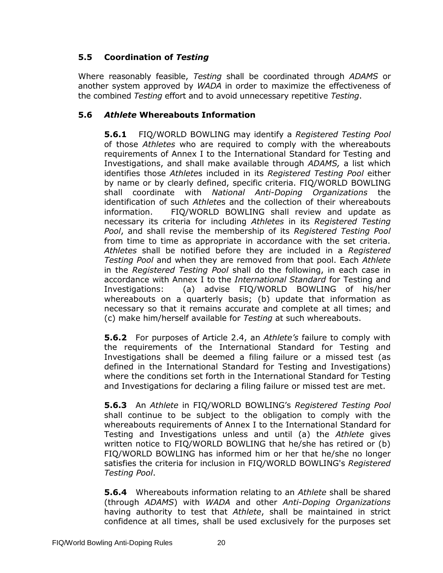# **5.5 Coordination of** *Testing*

Where reasonably feasible, *Testing* shall be coordinated through *ADAMS* or another system approved by *WADA* in order to maximize the effectiveness of the combined *Testing* effort and to avoid unnecessary repetitive *Testing*.

# **5.6** *Athlete* **Whereabouts Information**

**5.6.1** FIQ/WORLD BOWLING may identify a *Registered Testing Pool* of those *Athletes* who are required to comply with the whereabouts requirements of Annex I to the International Standard for Testing and Investigations, and shall make available through *ADAMS,* a list which identifies those *Athlete*s included in its *Registered Testing Pool* either by name or by clearly defined, specific criteria. FIQ/WORLD BOWLING shall coordinate with *National Anti-Doping Organizations* the identification of such *Athlete*s and the collection of their whereabouts information. FIQ/WORLD BOWLING shall review and update as necessary its criteria for including *Athletes* in its *Registered Testing Pool*, and shall revise the membership of its *Registered Testing Pool* from time to time as appropriate in accordance with the set criteria. *Athletes* shall be notified before they are included in a *Registered Testing Pool* and when they are removed from that pool. Each *Athlete* in the *Registered Testing Pool* shall do the following, in each case in accordance with Annex I to the *International Standard* for Testing and Investigations: (a) advise FIQ/WORLD BOWLING of his/her whereabouts on a quarterly basis; (b) update that information as necessary so that it remains accurate and complete at all times; and (c) make him/herself available for *Testing* at such whereabouts.

**5.6.2** For purposes of Article 2.4, an *Athlete's* failure to comply with the requirements of the International Standard for Testing and Investigations shall be deemed a filing failure or a missed test (as defined in the International Standard for Testing and Investigations) where the conditions set forth in the International Standard for Testing and Investigations for declaring a filing failure or missed test are met.

**5.6.3** An *Athlete* in FIQ/WORLD BOWLING's *Registered Testing Pool* shall continue to be subject to the obligation to comply with the whereabouts requirements of Annex I to the International Standard for Testing and Investigations unless and until (a) the *Athlete* gives written notice to FIQ/WORLD BOWLING that he/she has retired or (b) FIQ/WORLD BOWLING has informed him or her that he/she no longer satisfies the criteria for inclusion in FIQ/WORLD BOWLING's *Registered Testing Pool*.

**5.6.4** Whereabouts information relating to an *Athlete* shall be shared (through *ADAMS*) with *WADA* and other *Anti-Doping Organizations* having authority to test that *Athlete*, shall be maintained in strict confidence at all times, shall be used exclusively for the purposes set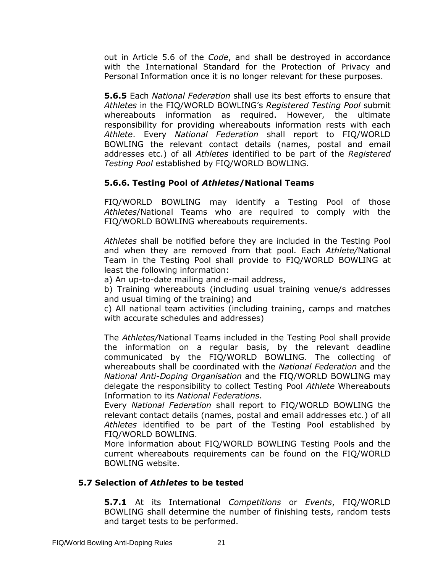out in Article 5.6 of the *Code*, and shall be destroyed in accordance with the International Standard for the Protection of Privacy and Personal Information once it is no longer relevant for these purposes.

**5.6.5** Each *National Federation* shall use its best efforts to ensure that *Athletes* in the FIQ/WORLD BOWLING's *Registered Testing Pool* submit whereabouts information as required. However, the ultimate responsibility for providing whereabouts information rests with each *Athlete*. Every *National Federation* shall report to FIQ/WORLD BOWLING the relevant contact details (names, postal and email addresses etc.) of all *Athletes* identified to be part of the *Registered Testing Pool* established by FIQ/WORLD BOWLING.

# **5.6.6. Testing Pool of** *Athletes***/National Teams**

FIQ/WORLD BOWLING may identify a Testing Pool of those *Athletes*/National Teams who are required to comply with the FIQ/WORLD BOWLING whereabouts requirements.

*Athletes* shall be notified before they are included in the Testing Pool and when they are removed from that pool. Each *Athlete/*National Team in the Testing Pool shall provide to FIQ/WORLD BOWLING at least the following information:

a) An up-to-date mailing and e-mail address,

b) Training whereabouts (including usual training venue/s addresses and usual timing of the training) and

c) All national team activities (including training, camps and matches with accurate schedules and addresses)

The *Athletes/*National Teams included in the Testing Pool shall provide the information on a regular basis, by the relevant deadline communicated by the FIQ/WORLD BOWLING. The collecting of whereabouts shall be coordinated with the *National Federation* and the *National Anti-Doping Organisation* and the FIQ/WORLD BOWLING may delegate the responsibility to collect Testing Pool *Athlete* Whereabouts Information to its *National Federations*.

Every *National Federation* shall report to FIQ/WORLD BOWLING the relevant contact details (names, postal and email addresses etc.) of all *Athletes* identified to be part of the Testing Pool established by FIQ/WORLD BOWLING.

More information about FIQ/WORLD BOWLING Testing Pools and the current whereabouts requirements can be found on the FIQ/WORLD BOWLING website.

#### **5.7 Selection of** *Athletes* **to be tested**

**5.7.1** At its International *Competitions* or *Events*, FIQ/WORLD BOWLING shall determine the number of finishing tests, random tests and target tests to be performed.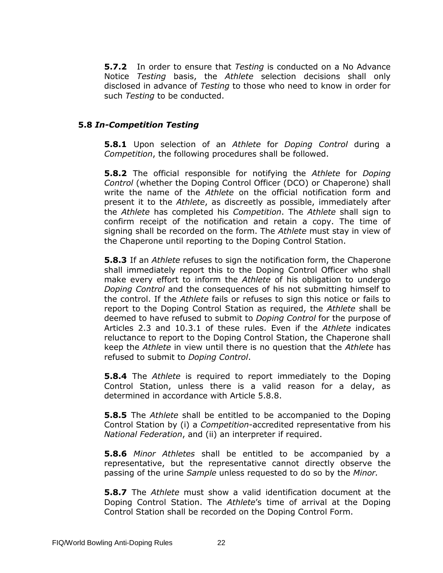**5.7.2** In order to ensure that *Testing* is conducted on a No Advance Notice *Testing* basis, the *Athlete* selection decisions shall only disclosed in advance of *Testing* to those who need to know in order for such *Testing* to be conducted.

#### **5.8** *In-Competition Testing*

**5.8.1** Upon selection of an *Athlete* for *Doping Control* during a *Competition*, the following procedures shall be followed.

**5.8.2** The official responsible for notifying the *Athlete* for *Doping Control* (whether the Doping Control Officer (DCO) or Chaperone) shall write the name of the *Athlete* on the official notification form and present it to the *Athlete*, as discreetly as possible, immediately after the *Athlete* has completed his *Competition*. The *Athlete* shall sign to confirm receipt of the notification and retain a copy. The time of signing shall be recorded on the form. The *Athlete* must stay in view of the Chaperone until reporting to the Doping Control Station.

**5.8.3** If an *Athlete* refuses to sign the notification form, the Chaperone shall immediately report this to the Doping Control Officer who shall make every effort to inform the *Athlete* of his obligation to undergo *Doping Control* and the consequences of his not submitting himself to the control. If the *Athlete* fails or refuses to sign this notice or fails to report to the Doping Control Station as required, the *Athlete* shall be deemed to have refused to submit to *Doping Control* for the purpose of Articles 2.3 and 10.3.1 of these rules. Even if the *Athlete* indicates reluctance to report to the Doping Control Station, the Chaperone shall keep the *Athlete* in view until there is no question that the *Athlete* has refused to submit to *Doping Control*.

**5.8.4** The *Athlete* is required to report immediately to the Doping Control Station, unless there is a valid reason for a delay, as determined in accordance with Article 5.8.8.

**5.8.5** The *Athlete* shall be entitled to be accompanied to the Doping Control Station by (i) a *Competition*-accredited representative from his *National Federation*, and (ii) an interpreter if required.

**5.8.6** *Minor Athletes* shall be entitled to be accompanied by a representative, but the representative cannot directly observe the passing of the urine *Sample* unless requested to do so by the *Minor.*

**5.8.7** The *Athlete* must show a valid identification document at the Doping Control Station. The *Athlete*'s time of arrival at the Doping Control Station shall be recorded on the Doping Control Form.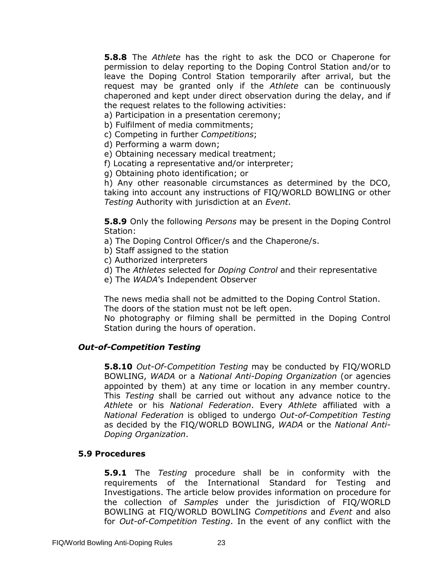**5.8.8** The *Athlete* has the right to ask the DCO or Chaperone for permission to delay reporting to the Doping Control Station and/or to leave the Doping Control Station temporarily after arrival, but the request may be granted only if the *Athlete* can be continuously chaperoned and kept under direct observation during the delay, and if the request relates to the following activities:

a) Participation in a presentation ceremony;

b) Fulfilment of media commitments;

c) Competing in further *Competitions*;

d) Performing a warm down;

e) Obtaining necessary medical treatment;

f) Locating a representative and/or interpreter;

g) Obtaining photo identification; or

h) Any other reasonable circumstances as determined by the DCO, taking into account any instructions of FIQ/WORLD BOWLING or other *Testing* Authority with jurisdiction at an *Event*.

**5.8.9** Only the following *Persons* may be present in the Doping Control Station:

a) The Doping Control Officer/s and the Chaperone/s.

- b) Staff assigned to the station
- c) Authorized interpreters
- d) The *Athletes* selected for *Doping Control* and their representative
- e) The *WADA*'s Independent Observer

The news media shall not be admitted to the Doping Control Station. The doors of the station must not be left open.

No photography or filming shall be permitted in the Doping Control Station during the hours of operation.

#### *Out-of-Competition Testing*

**5.8.10** *Out-Of-Competition Testing* may be conducted by FIQ/WORLD BOWLING, *WADA* or a *National Anti-Doping Organization* (or agencies appointed by them) at any time or location in any member country. This *Testing* shall be carried out without any advance notice to the *Athlete* or his *National Federation*. Every *Athlete* affiliated with a *National Federation* is obliged to undergo *Out-of-Competition Testing* as decided by the FIQ/WORLD BOWLING, *WADA* or the *National Anti-Doping Organization*.

#### **5.9 Procedures**

**5.9.1** The *Testing* procedure shall be in conformity with the requirements of the International Standard for Testing and Investigations. The article below provides information on procedure for the collection of *Samples* under the jurisdiction of FIQ/WORLD BOWLING at FIQ/WORLD BOWLING *Competitions* and *Event* and also for *Out-of-Competition Testing*. In the event of any conflict with the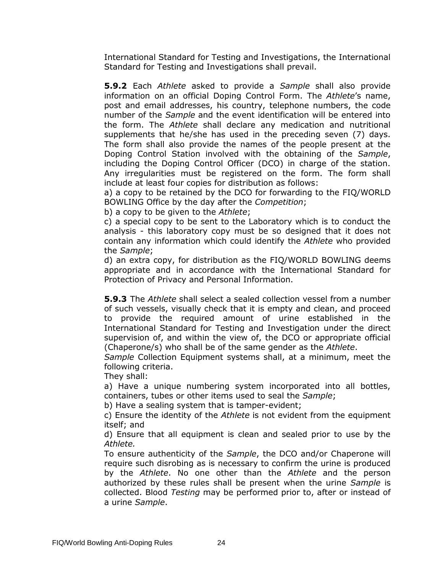International Standard for Testing and Investigations, the International Standard for Testing and Investigations shall prevail.

**5.9.2** Each *Athlete* asked to provide a *Sample* shall also provide information on an official Doping Control Form. The *Athlete*'s name, post and email addresses, his country, telephone numbers, the code number of the *Sample* and the event identification will be entered into the form. The *Athlete* shall declare any medication and nutritional supplements that he/she has used in the preceding seven (7) days. The form shall also provide the names of the people present at the Doping Control Station involved with the obtaining of the *Sample*, including the Doping Control Officer (DCO) in charge of the station. Any irregularities must be registered on the form. The form shall include at least four copies for distribution as follows:

a) a copy to be retained by the DCO for forwarding to the FIQ/WORLD BOWLING Office by the day after the *Competition*;

b) a copy to be given to the *Athlete*;

c) a special copy to be sent to the Laboratory which is to conduct the analysis - this laboratory copy must be so designed that it does not contain any information which could identify the *Athlete* who provided the *Sample*;

d) an extra copy, for distribution as the FIQ/WORLD BOWLING deems appropriate and in accordance with the International Standard for Protection of Privacy and Personal Information.

**5.9.3** The *Athlete* shall select a sealed collection vessel from a number of such vessels, visually check that it is empty and clean, and proceed to provide the required amount of urine established in the International Standard for Testing and Investigation under the direct supervision of, and within the view of, the DCO or appropriate official (Chaperone/s) who shall be of the same gender as the *Athlete*.

*Sample* Collection Equipment systems shall, at a minimum, meet the following criteria.

They shall:

a) Have a unique numbering system incorporated into all bottles, containers, tubes or other items used to seal the *Sample*;

b) Have a sealing system that is tamper-evident;

c) Ensure the identity of the *Athlete* is not evident from the equipment itself; and

d) Ensure that all equipment is clean and sealed prior to use by the *Athlete.*

To ensure authenticity of the *Sample*, the DCO and/or Chaperone will require such disrobing as is necessary to confirm the urine is produced by the *Athlete*. No one other than the *Athlete* and the person authorized by these rules shall be present when the urine *Sample* is collected. Blood *Testing* may be performed prior to, after or instead of a urine *Sample*.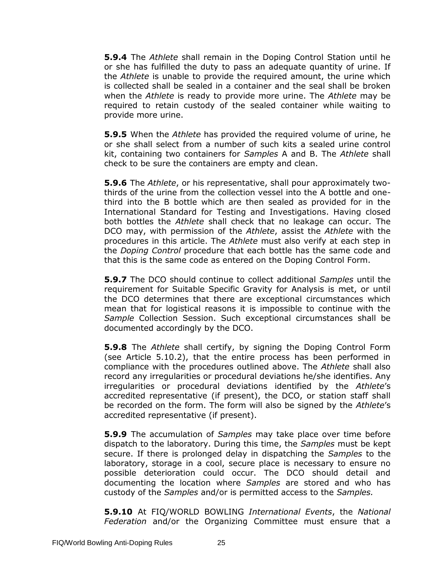**5.9.4** The *Athlete* shall remain in the Doping Control Station until he or she has fulfilled the duty to pass an adequate quantity of urine. If the *Athlete* is unable to provide the required amount, the urine which is collected shall be sealed in a container and the seal shall be broken when the *Athlete* is ready to provide more urine. The *Athlete* may be required to retain custody of the sealed container while waiting to provide more urine.

**5.9.5** When the *Athlete* has provided the required volume of urine, he or she shall select from a number of such kits a sealed urine control kit, containing two containers for *Samples* A and B. The *Athlete* shall check to be sure the containers are empty and clean.

**5.9.6** The *Athlete*, or his representative, shall pour approximately twothirds of the urine from the collection vessel into the A bottle and onethird into the B bottle which are then sealed as provided for in the International Standard for Testing and Investigations. Having closed both bottles the *Athlete* shall check that no leakage can occur. The DCO may, with permission of the *Athlete*, assist the *Athlete* with the procedures in this article. The *Athlete* must also verify at each step in the *Doping Control* procedure that each bottle has the same code and that this is the same code as entered on the Doping Control Form.

**5.9.7** The DCO should continue to collect additional *Samples* until the requirement for Suitable Specific Gravity for Analysis is met, or until the DCO determines that there are exceptional circumstances which mean that for logistical reasons it is impossible to continue with the *Sample* Collection Session. Such exceptional circumstances shall be documented accordingly by the DCO.

**5.9.8** The *Athlete* shall certify, by signing the Doping Control Form (see Article 5.10.2), that the entire process has been performed in compliance with the procedures outlined above. The *Athlete* shall also record any irregularities or procedural deviations he/she identifies. Any irregularities or procedural deviations identified by the *Athlete*'s accredited representative (if present), the DCO, or station staff shall be recorded on the form. The form will also be signed by the *Athlete*'s accredited representative (if present).

**5.9.9** The accumulation of *Samples* may take place over time before dispatch to the laboratory. During this time, the *Samples* must be kept secure. If there is prolonged delay in dispatching the *Samples* to the laboratory, storage in a cool, secure place is necessary to ensure no possible deterioration could occur. The DCO should detail and documenting the location where *Samples* are stored and who has custody of the *Samples* and/or is permitted access to the *Samples.* 

**5.9.10** At FIQ/WORLD BOWLING *International Events*, the *National Federation* and/or the Organizing Committee must ensure that a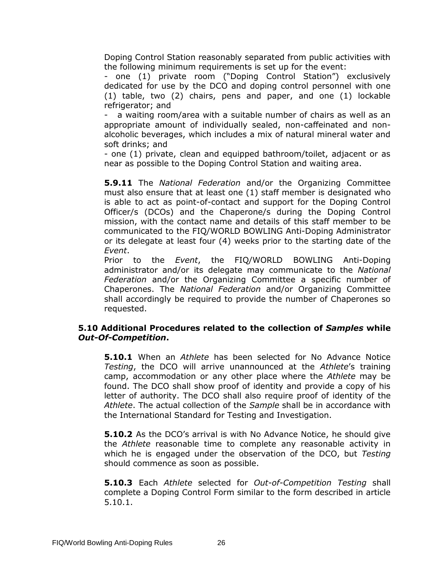Doping Control Station reasonably separated from public activities with the following minimum requirements is set up for the event:

- one (1) private room ("Doping Control Station") exclusively dedicated for use by the DCO and doping control personnel with one (1) table, two (2) chairs, pens and paper, and one (1) lockable refrigerator; and

- a waiting room/area with a suitable number of chairs as well as an appropriate amount of individually sealed, non-caffeinated and nonalcoholic beverages, which includes a mix of natural mineral water and soft drinks; and

- one (1) private, clean and equipped bathroom/toilet, adjacent or as near as possible to the Doping Control Station and waiting area.

**5.9.11** The *National Federation* and/or the Organizing Committee must also ensure that at least one (1) staff member is designated who is able to act as point-of-contact and support for the Doping Control Officer/s (DCOs) and the Chaperone/s during the Doping Control mission, with the contact name and details of this staff member to be communicated to the FIQ/WORLD BOWLING Anti-Doping Administrator or its delegate at least four (4) weeks prior to the starting date of the *Event*.

Prior to the *Event*, the FIQ/WORLD BOWLING Anti-Doping administrator and/or its delegate may communicate to the *National Federation* and/or the Organizing Committee a specific number of Chaperones. The *National Federation* and/or Organizing Committee shall accordingly be required to provide the number of Chaperones so requested.

#### **5.10 Additional Procedures related to the collection of** *Samples* **while**  *Out-Of-Competition***.**

**5.10.1** When an *Athlete* has been selected for No Advance Notice *Testing*, the DCO will arrive unannounced at the *Athlete*'s training camp, accommodation or any other place where the *Athlete* may be found. The DCO shall show proof of identity and provide a copy of his letter of authority. The DCO shall also require proof of identity of the *Athlete*. The actual collection of the *Sample* shall be in accordance with the International Standard for Testing and Investigation.

**5.10.2** As the DCO's arrival is with No Advance Notice, he should give the *Athlete* reasonable time to complete any reasonable activity in which he is engaged under the observation of the DCO, but *Testing* should commence as soon as possible.

**5.10.3** Each *Athlete* selected for *Out-of-Competition Testing* shall complete a Doping Control Form similar to the form described in article 5.10.1.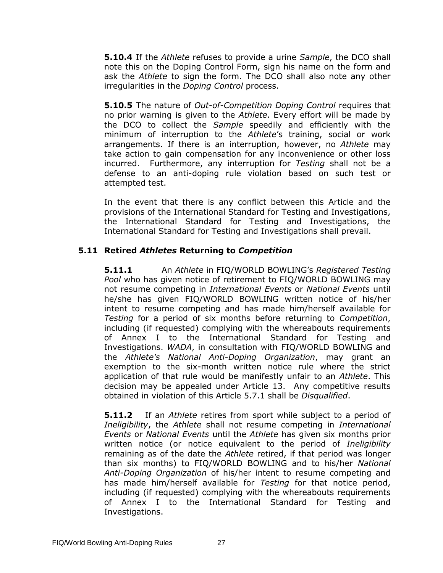**5.10.4** If the *Athlete* refuses to provide a urine *Sample*, the DCO shall note this on the Doping Control Form, sign his name on the form and ask the *Athlete* to sign the form. The DCO shall also note any other irregularities in the *Doping Control* process.

**5.10.5** The nature of *Out-of-Competition Doping Control* requires that no prior warning is given to the *Athlete*. Every effort will be made by the DCO to collect the *Sample* speedily and efficiently with the minimum of interruption to the *Athlete*'s training, social or work arrangements. If there is an interruption, however, no *Athlete* may take action to gain compensation for any inconvenience or other loss incurred. Furthermore, any interruption for *Testing* shall not be a defense to an anti-doping rule violation based on such test or attempted test.

In the event that there is any conflict between this Article and the provisions of the International Standard for Testing and Investigations, the International Standard for Testing and Investigations, the International Standard for Testing and Investigations shall prevail.

# **5.11 Retired** *Athletes* **Returning to** *Competition*

**5.11.1** An *Athlete* in FIQ/WORLD BOWLING's *Registered Testing Pool* who has given notice of retirement to FIQ/WORLD BOWLING may not resume competing in *International Events* or *National Events* until he/she has given FIQ/WORLD BOWLING written notice of his/her intent to resume competing and has made him/herself available for *Testing* for a period of six months before returning to *Competition*, including (if requested) complying with the whereabouts requirements of Annex I to the International Standard for Testing and Investigations. *WADA*, in consultation with FIQ/WORLD BOWLING and the *Athlete's National Anti-Doping Organization*, may grant an exemption to the six-month written notice rule where the strict application of that rule would be manifestly unfair to an *Athlete*. This decision may be appealed under Article 13. Any competitive results obtained in violation of this Article 5.7.1 shall be *Disqualified*.

**5.11.2** If an *Athlete* retires from sport while subject to a period of *Ineligibility*, the *Athlete* shall not resume competing in *International Events* or *National Events* until the *Athlete* has given six months prior written notice (or notice equivalent to the period of *Ineligibility*  remaining as of the date the *Athlete* retired, if that period was longer than six months) to FIQ/WORLD BOWLING and to his/her *National Anti-Doping Organization* of his/her intent to resume competing and has made him/herself available for *Testing* for that notice period, including (if requested) complying with the whereabouts requirements of Annex I to the International Standard for Testing and Investigations.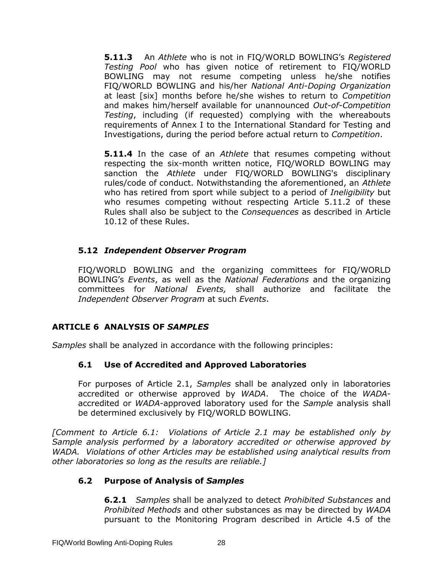**5.11.3** An *Athlete* who is not in FIQ/WORLD BOWLING's *Registered Testing Pool* who has given notice of retirement to FIQ/WORLD BOWLING may not resume competing unless he/she notifies FIQ/WORLD BOWLING and his/her *National Anti-Doping Organization* at least [six] months before he/she wishes to return to *Competition* and makes him/herself available for unannounced *Out-of-Competition Testing*, including (if requested) complying with the whereabouts requirements of Annex I to the International Standard for Testing and Investigations, during the period before actual return to *Competition*.

**5.11.4** In the case of an *Athlete* that resumes competing without respecting the six-month written notice, FIQ/WORLD BOWLING may sanction the *Athlete* under FIQ/WORLD BOWLING's disciplinary rules/code of conduct. Notwithstanding the aforementioned, an *Athlete* who has retired from sport while subject to a period of *Ineligibility* but who resumes competing without respecting Article 5.11.2 of these Rules shall also be subject to the *Consequences* as described in Article 10.12 of these Rules.

# **5.12** *Independent Observer Program*

FIQ/WORLD BOWLING and the organizing committees for FIQ/WORLD BOWLING's *Events*, as well as the *National Federations* and the organizing committees for *National Events,* shall authorize and facilitate the *Independent Observer Program* at such *Events*.

#### <span id="page-28-0"></span>**ARTICLE 6 ANALYSIS OF** *SAMPLES*

*Samples* shall be analyzed in accordance with the following principles:

#### **6.1 Use of Accredited and Approved Laboratories**

For purposes of Article 2.1, *Samples* shall be analyzed only in laboratories accredited or otherwise approved by *WADA*. The choice of the *WADA*accredited or *WADA*-approved laboratory used for the *Sample* analysis shall be determined exclusively by FIQ/WORLD BOWLING.

*[Comment to Article 6.1: Violations of Article 2.1 may be established only by Sample analysis performed by a laboratory accredited or otherwise approved by WADA. Violations of other Articles may be established using analytical results from other laboratories so long as the results are reliable.]*

#### **6.2 Purpose of Analysis of** *Samples*

**6.2.1** *Samples* shall be analyzed to detect *Prohibited Substances* and *Prohibited Methods* and other substances as may be directed by *WADA* pursuant to the Monitoring Program described in Article 4.5 of the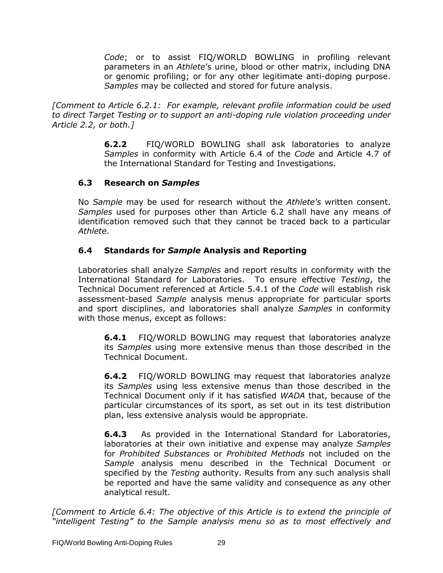*Code*; or to assist FIQ/WORLD BOWLING in profiling relevant parameters in an *Athlete*'s urine, blood or other matrix, including DNA or genomic profiling; or for any other legitimate anti-doping purpose. *Samples* may be collected and stored for future analysis.

*[Comment to Article 6.2.1: For example, relevant profile information could be used to direct Target Testing or to support an anti-doping rule violation proceeding under Article 2.2, or both.]*

> **6.2.2** FIQ/WORLD BOWLING shall ask laboratories to analyze *Samples* in conformity with Article 6.4 of the *Code* and Article 4.7 of the International Standard for Testing and Investigations.

# **6.3 Research on** *Samples*

No *Sample* may be used for research without the *Athlete's* written consent. *Samples* used for purposes other than Article 6.2 shall have any means of identification removed such that they cannot be traced back to a particular *Athlete*.

# **6.4 Standards for** *Sample* **Analysis and Reporting**

Laboratories shall analyze *Samples* and report results in conformity with the International Standard for Laboratories. To ensure effective *Testing*, the Technical Document referenced at Article 5.4.1 of the *Code* will establish risk assessment-based *Sample* analysis menus appropriate for particular sports and sport disciplines, and laboratories shall analyze *Samples* in conformity with those menus, except as follows:

**6.4.1** FIQ/WORLD BOWLING may request that laboratories analyze its *Samples* using more extensive menus than those described in the Technical Document.

**6.4.2** FIQ/WORLD BOWLING may request that laboratories analyze its *Samples* using less extensive menus than those described in the Technical Document only if it has satisfied *WADA* that, because of the particular circumstances of its sport, as set out in its test distribution plan, less extensive analysis would be appropriate.

**6.4.3** As provided in the International Standard for Laboratories, laboratories at their own initiative and expense may analyze *Samples*  for *Prohibited Substances* or *Prohibited Methods* not included on the *Sample* analysis menu described in the Technical Document or specified by the *Testing* authority. Results from any such analysis shall be reported and have the same validity and consequence as any other analytical result.

*[Comment to Article 6.4: The objective of this Article is to extend the principle of "intelligent Testing" to the Sample analysis menu so as to most effectively and*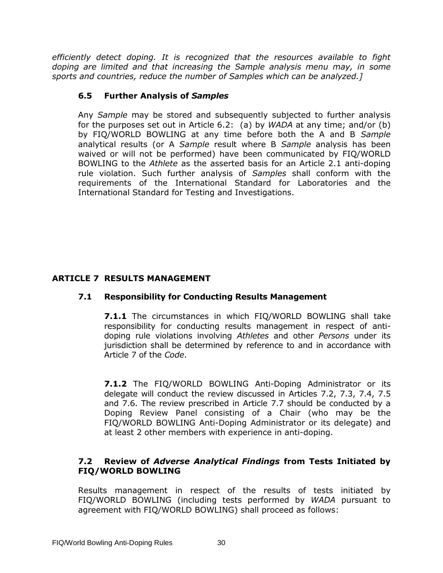*efficiently detect doping. It is recognized that the resources available to fight doping are limited and that increasing the Sample analysis menu may, in some sports and countries, reduce the number of Samples which can be analyzed.]*

# **6.5 Further Analysis of** *Samples*

Any *Sample* may be stored and subsequently subjected to further analysis for the purposes set out in Article 6.2: (a) by *WADA* at any time; and/or (b) by FIQ/WORLD BOWLING at any time before both the A and B *Sample* analytical results (or A *Sample* result where B *Sample* analysis has been waived or will not be performed) have been communicated by FIQ/WORLD BOWLING to the *Athlete* as the asserted basis for an Article 2.1 anti-doping rule violation. Such further analysis of *Samples* shall conform with the requirements of the International Standard for Laboratories and the International Standard for Testing and Investigations.

# <span id="page-30-0"></span>**ARTICLE 7 RESULTS MANAGEMENT**

# **7.1 Responsibility for Conducting Results Management**

**7.1.1** The circumstances in which FIQ/WORLD BOWLING shall take responsibility for conducting results management in respect of antidoping rule violations involving *Athletes* and other *Persons* under its jurisdiction shall be determined by reference to and in accordance with Article 7 of the *Code*.

**7.1.2** The FIQ/WORLD BOWLING Anti-Doping Administrator or its delegate will conduct the review discussed in Articles 7.2, 7.3, 7.4, 7.5 and 7.6. The review prescribed in Article 7.7 should be conducted by a Doping Review Panel consisting of a Chair (who may be the FIQ/WORLD BOWLING Anti-Doping Administrator or its delegate) and at least 2 other members with experience in anti-doping.

# **7.2 Review of** *Adverse Analytical Findings* **from Tests Initiated by FIQ/WORLD BOWLING**

Results management in respect of the results of tests initiated by FIQ/WORLD BOWLING (including tests performed by *WADA* pursuant to agreement with FIQ/WORLD BOWLING) shall proceed as follows: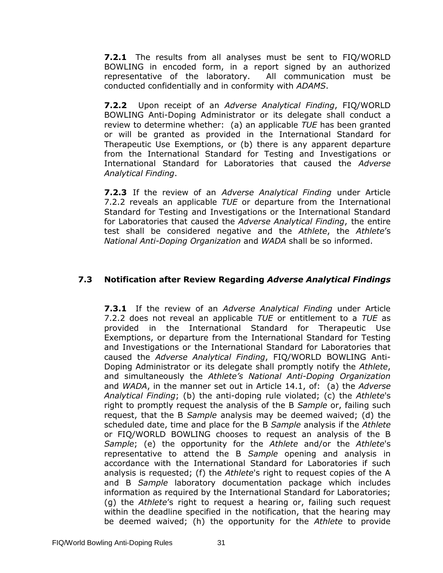**7.2.1** The results from all analyses must be sent to FIQ/WORLD BOWLING in encoded form, in a report signed by an authorized representative of the laboratory. All communication must be conducted confidentially and in conformity with *ADAMS*.

**7.2.2** Upon receipt of an *Adverse Analytical Finding*, FIQ/WORLD BOWLING Anti-Doping Administrator or its delegate shall conduct a review to determine whether: (a) an applicable *TUE* has been granted or will be granted as provided in the International Standard for Therapeutic Use Exemptions, or (b) there is any apparent departure from the International Standard for Testing and Investigations or International Standard for Laboratories that caused the *Adverse Analytical Finding*.

**7.2.3** If the review of an *Adverse Analytical Finding* under Article 7.2.2 reveals an applicable *TUE* or departure from the International Standard for Testing and Investigations or the International Standard for Laboratories that caused the *Adverse Analytical Finding*, the entire test shall be considered negative and the *Athlete*, the *Athlete*'s *National Anti-Doping Organization* and *WADA* shall be so informed.

# **7.3 Notification after Review Regarding** *Adverse Analytical Findings*

**7.3.1** If the review of an *Adverse Analytical Finding* under Article 7.2.2 does not reveal an applicable *TUE* or entitlement to a *TUE* as provided in the International Standard for Therapeutic Use Exemptions, or departure from the International Standard for Testing and Investigations or the International Standard for Laboratories that caused the *Adverse Analytical Finding*, FIQ/WORLD BOWLING Anti-Doping Administrator or its delegate shall promptly notify the *Athlete*, and simultaneously the *Athlete's National Anti-Doping Organization*  and *WADA*, in the manner set out in Article 14.1, of: (a) the *Adverse Analytical Finding*; (b) the anti-doping rule violated; (c) the *Athlete*'s right to promptly request the analysis of the B *Sample* or, failing such request, that the B *Sample* analysis may be deemed waived; (d) the scheduled date, time and place for the B *Sample* analysis if the *Athlete* or FIQ/WORLD BOWLING chooses to request an analysis of the B *Sample*; (e) the opportunity for the *Athlete* and/or the *Athlete*'s representative to attend the B *Sample* opening and analysis in accordance with the International Standard for Laboratories if such analysis is requested; (f) the *Athlete*'s right to request copies of the A and B *Sample* laboratory documentation package which includes information as required by the International Standard for Laboratories; (g) the *Athlete*'s right to request a hearing or, failing such request within the deadline specified in the notification, that the hearing may be deemed waived; (h) the opportunity for the *Athlete* to provide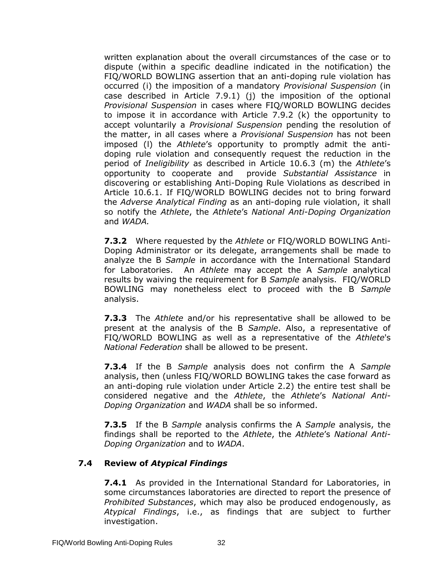written explanation about the overall circumstances of the case or to dispute (within a specific deadline indicated in the notification) the FIQ/WORLD BOWLING assertion that an anti-doping rule violation has occurred (i) the imposition of a mandatory *Provisional Suspension* (in case described in Article 7.9.1) (j) the imposition of the optional *Provisional Suspension* in cases where FIQ/WORLD BOWLING decides to impose it in accordance with Article 7.9.2 (k) the opportunity to accept voluntarily a *Provisional Suspension* pending the resolution of the matter, in all cases where a *Provisional Suspension* has not been imposed (l) the *Athlete*'s opportunity to promptly admit the antidoping rule violation and consequently request the reduction in the period of *Ineligibility* as described in Article 10.6.3 (m) the *Athlete*'s opportunity to cooperate and provide *Substantial Assistance* in discovering or establishing Anti-Doping Rule Violations as described in Article 10.6.1. If FIQ/WORLD BOWLING decides not to bring forward the *Adverse Analytical Finding* as an anti-doping rule violation, it shall so notify the *Athlete*, the *Athlete*'s *National Anti-Doping Organization* and *WADA.*

**7.3.2** Where requested by the *Athlete* or FIQ/WORLD BOWLING Anti-Doping Administrator or its delegate, arrangements shall be made to analyze the B *Sample* in accordance with the International Standard for Laboratories. An *Athlete* may accept the A *Sample* analytical results by waiving the requirement for B *Sample* analysis. FIQ/WORLD BOWLING may nonetheless elect to proceed with the B *Sample* analysis.

**7.3.3** The *Athlete* and/or his representative shall be allowed to be present at the analysis of the B *Sample*. Also, a representative of FIQ/WORLD BOWLING as well as a representative of the *Athlete*'s *National Federation* shall be allowed to be present.

**7.3.4** If the B *Sample* analysis does not confirm the A *Sample*  analysis, then (unless FIQ/WORLD BOWLING takes the case forward as an anti-doping rule violation under Article 2.2) the entire test shall be considered negative and the *Athlete*, the *Athlete*'s *National Anti-Doping Organization* and *WADA* shall be so informed.

**7.3.5** If the B *Sample* analysis confirms the A *Sample* analysis, the findings shall be reported to the *Athlete*, the *Athlete*'s *National Anti-Doping Organization* and to *WADA*.

#### **7.4 Review of** *Atypical Findings*

**7.4.1** As provided in the International Standard for Laboratories, in some circumstances laboratories are directed to report the presence of *Prohibited Substances*, which may also be produced endogenously, as *Atypical Findings*, i.e., as findings that are subject to further investigation.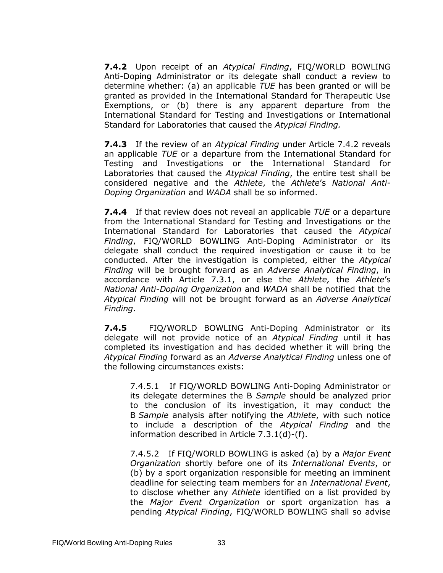**7.4.2** Upon receipt of an *Atypical Finding*, FIQ/WORLD BOWLING Anti-Doping Administrator or its delegate shall conduct a review to determine whether: (a) an applicable *TUE* has been granted or will be granted as provided in the International Standard for Therapeutic Use Exemptions, or (b) there is any apparent departure from the International Standard for Testing and Investigations or International Standard for Laboratories that caused the *Atypical Finding.*

**7.4.3** If the review of an *Atypical Finding* under Article 7.4.2 reveals an applicable *TUE* or a departure from the International Standard for Testing and Investigations or the International Standard for Laboratories that caused the *Atypical Finding*, the entire test shall be considered negative and the *Athlete*, the *Athlete*'s *National Anti-Doping Organization* and *WADA* shall be so informed.

**7.4.4** If that review does not reveal an applicable *TUE* or a departure from the International Standard for Testing and Investigations or the International Standard for Laboratories that caused the *Atypical Finding*, FIQ/WORLD BOWLING Anti-Doping Administrator or its delegate shall conduct the required investigation or cause it to be conducted. After the investigation is completed, either the *Atypical Finding* will be brought forward as an *Adverse Analytical Finding*, in accordance with Article 7.3.1, or else the *Athlete,* the *Athlete*'s *National Anti-Doping Organization* and *WADA* shall be notified that the *Atypical Finding* will not be brought forward as an *Adverse Analytical Finding*.

**7.4.5** FIQ/WORLD BOWLING Anti-Doping Administrator or its delegate will not provide notice of an *Atypical Finding* until it has completed its investigation and has decided whether it will bring the *Atypical Finding* forward as an *Adverse Analytical Finding* unless one of the following circumstances exists:

7.4.5.1 If FIQ/WORLD BOWLING Anti-Doping Administrator or its delegate determines the B *Sample* should be analyzed prior to the conclusion of its investigation, it may conduct the B *Sample* analysis after notifying the *Athlete*, with such notice to include a description of the *Atypical Finding* and the information described in Article 7.3.1(d)-(f).

7.4.5.2 If FIQ/WORLD BOWLING is asked (a) by a *Major Event Organization* shortly before one of its *International Events*, or (b) by a sport organization responsible for meeting an imminent deadline for selecting team members for an *International Event*, to disclose whether any *Athlete* identified on a list provided by the *Major Event Organization* or sport organization has a pending *Atypical Finding*, FIQ/WORLD BOWLING shall so advise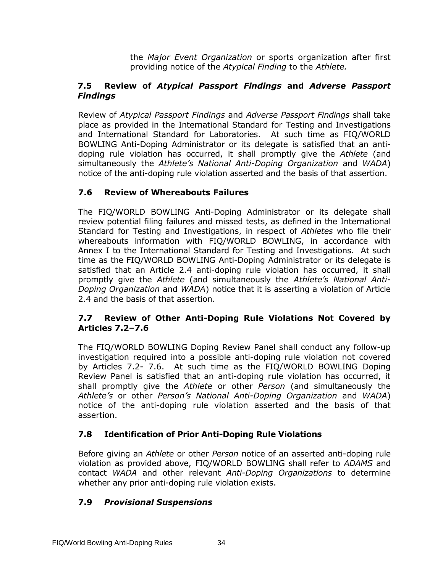the *Major Event Organization* or sports organization after first providing notice of the *Atypical Finding* to the *Athlete.*

### **7.5 Review of** *Atypical Passport Findings* **and** *Adverse Passport Findings*

Review of *Atypical Passport Findings* and *Adverse Passport Findings* shall take place as provided in the International Standard for Testing and Investigations and International Standard for Laboratories. At such time as FIQ/WORLD BOWLING Anti-Doping Administrator or its delegate is satisfied that an antidoping rule violation has occurred, it shall promptly give the *Athlete* (and simultaneously the *Athlete's National Anti-Doping Organization* and *WADA*) notice of the anti-doping rule violation asserted and the basis of that assertion.

# **7.6 Review of Whereabouts Failures**

The FIQ/WORLD BOWLING Anti-Doping Administrator or its delegate shall review potential filing failures and missed tests, as defined in the International Standard for Testing and Investigations, in respect of *Athletes* who file their whereabouts information with FIQ/WORLD BOWLING, in accordance with Annex I to the International Standard for Testing and Investigations. At such time as the FIQ/WORLD BOWLING Anti-Doping Administrator or its delegate is satisfied that an Article 2.4 anti-doping rule violation has occurred, it shall promptly give the *Athlete* (and simultaneously the *Athlete's National Anti-Doping Organization* and *WADA*) notice that it is asserting a violation of Article 2.4 and the basis of that assertion.

#### **7.7 Review of Other Anti-Doping Rule Violations Not Covered by Articles 7.2–7.6**

The FIQ/WORLD BOWLING Doping Review Panel shall conduct any follow-up investigation required into a possible anti-doping rule violation not covered by Articles 7.2- 7.6. At such time as the FIQ/WORLD BOWLING Doping Review Panel is satisfied that an anti-doping rule violation has occurred, it shall promptly give the *Athlete* or other *Person* (and simultaneously the *Athlete's* or other *Person's National Anti-Doping Organization* and *WADA*) notice of the anti-doping rule violation asserted and the basis of that assertion.

#### **7.8 Identification of Prior Anti-Doping Rule Violations**

Before giving an *Athlete* or other *Person* notice of an asserted anti-doping rule violation as provided above, FIQ/WORLD BOWLING shall refer to *ADAMS* and contact *WADA* and other relevant *Anti-Doping Organizations* to determine whether any prior anti-doping rule violation exists.

#### **7.9** *Provisional Suspensions*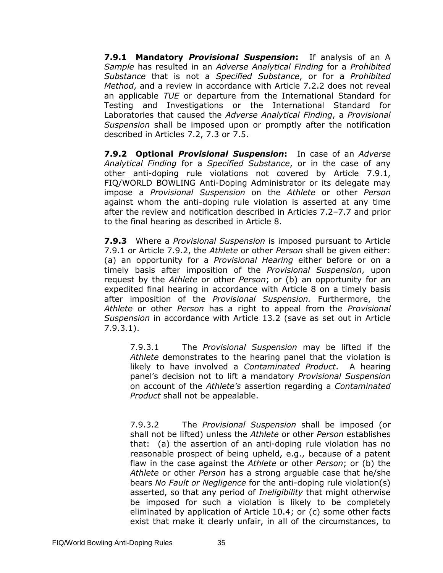**7.9.1 Mandatory** *Provisional Suspension***:** If analysis of an A *Sample* has resulted in an *Adverse Analytical Finding* for a *Prohibited Substance* that is not a *Specified Substance*, or for a *Prohibited Method*, and a review in accordance with Article 7.2.2 does not reveal an applicable *TUE* or departure from the International Standard for Testing and Investigations or the International Standard for Laboratories that caused the *Adverse Analytical Finding*, a *Provisional Suspension* shall be imposed upon or promptly after the notification described in Articles 7.2, 7.3 or 7.5.

**7.9.2 Optional** *Provisional Suspension***:** In case of an *Adverse Analytical Finding* for a *Specified Substance*, or in the case of any other anti-doping rule violations not covered by Article 7.9.1, FIQ/WORLD BOWLING Anti-Doping Administrator or its delegate may impose a *Provisional Suspension* on the *Athlete* or other *Person*  against whom the anti-doping rule violation is asserted at any time after the review and notification described in Articles 7.2–7.7 and prior to the final hearing as described in Article 8.

**7.9.3** Where a *Provisional Suspension* is imposed pursuant to Article 7.9.1 or Article 7.9.2, the *Athlete* or other *Person* shall be given either: (a) an opportunity for a *Provisional Hearing* either before or on a timely basis after imposition of the *Provisional Suspension*, upon request by the *Athlete* or other *Person*; or (b) an opportunity for an expedited final hearing in accordance with Article 8 on a timely basis after imposition of the *Provisional Suspension.* Furthermore, the *Athlete* or other *Person* has a right to appeal from the *Provisional Suspension* in accordance with Article 13.2 (save as set out in Article 7.9.3.1).

7.9.3.1 The *Provisional Suspension* may be lifted if the *Athlete* demonstrates to the hearing panel that the violation is likely to have involved a *Contaminated Product*. A hearing panel's decision not to lift a mandatory *Provisional Suspension* on account of the *Athlete's* assertion regarding a *Contaminated Product* shall not be appealable.

7.9.3.2 The *Provisional Suspension* shall be imposed (or shall not be lifted) unless the *Athlete* or other *Person* establishes that: (a) the assertion of an anti-doping rule violation has no reasonable prospect of being upheld, e.g., because of a patent flaw in the case against the *Athlete* or other *Person*; or (b) the *Athlete* or other *Person* has a strong arguable case that he/she bears *No Fault or Negligence* for the anti-doping rule violation(s) asserted, so that any period of *Ineligibility* that might otherwise be imposed for such a violation is likely to be completely eliminated by application of Article 10.4; or (c) some other facts exist that make it clearly unfair, in all of the circumstances, to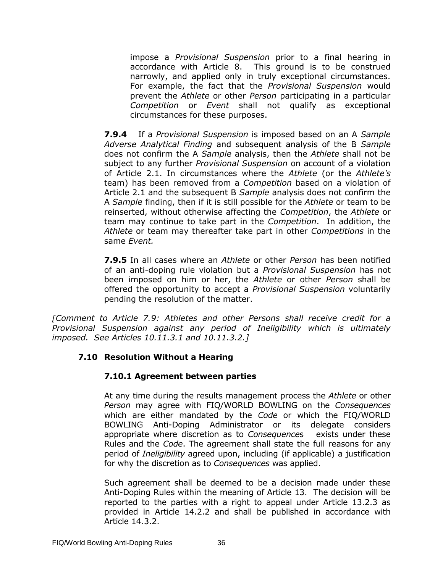impose a *Provisional Suspension* prior to a final hearing in accordance with Article 8. This ground is to be construed narrowly, and applied only in truly exceptional circumstances. For example, the fact that the *Provisional Suspension* would prevent the *Athlete* or other *Person* participating in a particular *Competition* or *Event* shall not qualify as exceptional circumstances for these purposes.

**7.9.4** If a *Provisional Suspension* is imposed based on an A *Sample Adverse Analytical Finding* and subsequent analysis of the B *Sample* does not confirm the A *Sample* analysis, then the *Athlete* shall not be subject to any further *Provisional Suspension* on account of a violation of Article 2.1. In circumstances where the *Athlete* (or the *Athlete's*  team) has been removed from a *Competition* based on a violation of Article 2.1 and the subsequent B *Sample* analysis does not confirm the A *Sample* finding, then if it is still possible for the *Athlete* or team to be reinserted, without otherwise affecting the *Competition*, the *Athlete* or team may continue to take part in the *Competition*. In addition, the *Athlete* or team may thereafter take part in other *Competitions* in the same *Event.*

**7.9.5** In all cases where an *Athlete* or other *Person* has been notified of an anti-doping rule violation but a *Provisional Suspension* has not been imposed on him or her, the *Athlete* or other *Person* shall be offered the opportunity to accept a *Provisional Suspension* voluntarily pending the resolution of the matter.

*[Comment to Article 7.9: Athletes and other Persons shall receive credit for a Provisional Suspension against any period of Ineligibility which is ultimately imposed. See Articles 10.11.3.1 and 10.11.3.2.]* 

### **7.10 Resolution Without a Hearing**

### **7.10.1 Agreement between parties**

At any time during the results management process the *Athlete* or other *Person* may agree with FIQ/WORLD BOWLING on the *Consequences*  which are either mandated by the *Code* or which the FIQ/WORLD BOWLING Anti-Doping Administrator or its delegate considers appropriate where discretion as to *Consequence*s exists under these Rules and the *Code*. The agreement shall state the full reasons for any period of *Ineligibility* agreed upon, including (if applicable) a justification for why the discretion as to *Consequences* was applied.

Such agreement shall be deemed to be a decision made under these Anti-Doping Rules within the meaning of Article 13. The decision will be reported to the parties with a right to appeal under Article 13.2.3 as provided in Article 14.2.2 and shall be published in accordance with Article 14.3.2.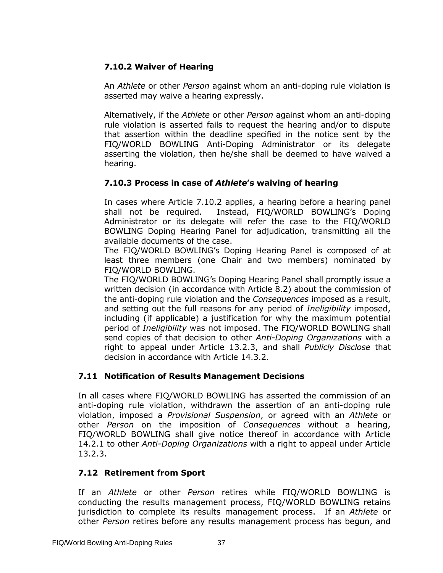# **7.10.2 Waiver of Hearing**

An *Athlete* or other *Person* against whom an anti-doping rule violation is asserted may waive a hearing expressly.

Alternatively, if the *Athlete* or other *Person* against whom an anti-doping rule violation is asserted fails to request the hearing and/or to dispute that assertion within the deadline specified in the notice sent by the FIQ/WORLD BOWLING Anti-Doping Administrator or its delegate asserting the violation, then he/she shall be deemed to have waived a hearing.

# **7.10.3 Process in case of** *Athlete***'s waiving of hearing**

In cases where Article 7.10.2 applies, a hearing before a hearing panel shall not be required. Instead, FIQ/WORLD BOWLING's Doping Administrator or its delegate will refer the case to the FIQ/WORLD BOWLING Doping Hearing Panel for adjudication, transmitting all the available documents of the case.

The FIQ/WORLD BOWLING's Doping Hearing Panel is composed of at least three members (one Chair and two members) nominated by FIQ/WORLD BOWLING.

The FIQ/WORLD BOWLING's Doping Hearing Panel shall promptly issue a written decision (in accordance with Article 8.2) about the commission of the anti-doping rule violation and the *Consequences* imposed as a result, and setting out the full reasons for any period of *Ineligibility* imposed, including (if applicable) a justification for why the maximum potential period of *Ineligibility* was not imposed. The FIQ/WORLD BOWLING shall send copies of that decision to other *Anti-Doping Organizations* with a right to appeal under Article 13.2.3, and shall *Publicly Disclose* that decision in accordance with Article 14.3.2.

# **7.11 Notification of Results Management Decisions**

In all cases where FIQ/WORLD BOWLING has asserted the commission of an anti-doping rule violation, withdrawn the assertion of an anti-doping rule violation, imposed a *Provisional Suspension*, or agreed with an *Athlete* or other *Person* on the imposition of *Consequences* without a hearing, FIQ/WORLD BOWLING shall give notice thereof in accordance with Article 14.2.1 to other *Anti-Doping Organizations* with a right to appeal under Article 13.2.3.

# **7.12 Retirement from Sport**

If an *Athlete* or other *Person* retires while FIQ/WORLD BOWLING is conducting the results management process, FIQ/WORLD BOWLING retains jurisdiction to complete its results management process. If an *Athlete* or other *Person* retires before any results management process has begun, and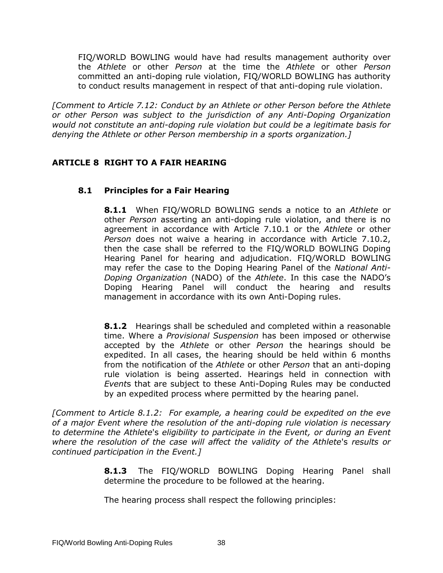FIQ/WORLD BOWLING would have had results management authority over the *Athlete* or other *Person* at the time the *Athlete* or other *Person* committed an anti-doping rule violation, FIQ/WORLD BOWLING has authority to conduct results management in respect of that anti-doping rule violation.

*[Comment to Article 7.12: Conduct by an Athlete or other Person before the Athlete or other Person was subject to the jurisdiction of any Anti-Doping Organization would not constitute an anti-doping rule violation but could be a legitimate basis for denying the Athlete or other Person membership in a sports organization.]* 

# **ARTICLE 8 RIGHT TO A FAIR HEARING**

### **8.1 Principles for a Fair Hearing**

**8.1.1** When FIQ/WORLD BOWLING sends a notice to an *Athlete* or other *Person* asserting an anti-doping rule violation, and there is no agreement in accordance with Article 7.10.1 or the *Athlete* or other *Person* does not waive a hearing in accordance with Article 7.10.2, then the case shall be referred to the FIQ/WORLD BOWLING Doping Hearing Panel for hearing and adjudication. FIQ/WORLD BOWLING may refer the case to the Doping Hearing Panel of the *National Anti-Doping Organization* (NADO) of the *Athlete*. In this case the NADO's Doping Hearing Panel will conduct the hearing and results management in accordance with its own Anti-Doping rules.

**8.1.2** Hearings shall be scheduled and completed within a reasonable time. Where a *Provisional Suspension* has been imposed or otherwise accepted by the *Athlete* or other *Person* the hearings should be expedited. In all cases, the hearing should be held within 6 months from the notification of the *Athlete* or other *Person* that an anti-doping rule violation is being asserted. Hearings held in connection with *Event*s that are subject to these Anti-Doping Rules may be conducted by an expedited process where permitted by the hearing panel.

*[Comment to Article 8.1.2: For example, a hearing could be expedited on the eve of a major Event where the resolution of the anti-doping rule violation is necessary to determine the Athlete*'s *eligibility to participate in the Event, or during an Event where the resolution of the case will affect the validity of the Athlete*'s *results or continued participation in the Event.]*

> **8.1.3** The FIQ/WORLD BOWLING Doping Hearing Panel shall determine the procedure to be followed at the hearing.

The hearing process shall respect the following principles: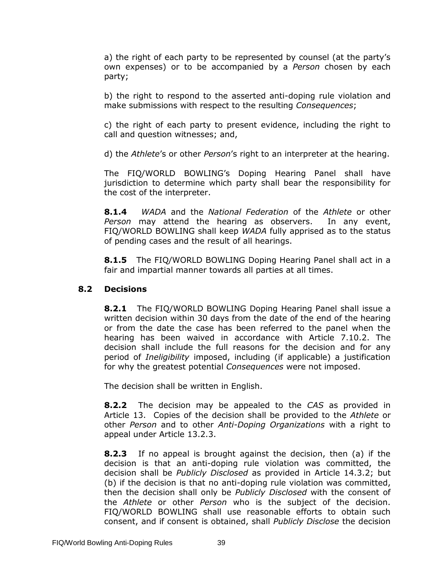a) the right of each party to be represented by counsel (at the party's own expenses) or to be accompanied by a *Person* chosen by each party;

b) the right to respond to the asserted anti-doping rule violation and make submissions with respect to the resulting *Consequences*;

c) the right of each party to present evidence, including the right to call and question witnesses; and,

d) the *Athlete*'s or other *Person*'s right to an interpreter at the hearing.

The FIQ/WORLD BOWLING's Doping Hearing Panel shall have jurisdiction to determine which party shall bear the responsibility for the cost of the interpreter.

**8.1.4** *WADA* and the *National Federation* of the *Athlete* or other *Person* may attend the hearing as observers. In any event, FIQ/WORLD BOWLING shall keep *WADA* fully apprised as to the status of pending cases and the result of all hearings.

**8.1.5** The FIQ/WORLD BOWLING Doping Hearing Panel shall act in a fair and impartial manner towards all parties at all times.

### **8.2 Decisions**

**8.2.1** The FIQ/WORLD BOWLING Doping Hearing Panel shall issue a written decision within 30 days from the date of the end of the hearing or from the date the case has been referred to the panel when the hearing has been waived in accordance with Article 7.10.2. The decision shall include the full reasons for the decision and for any period of *Ineligibility* imposed, including (if applicable) a justification for why the greatest potential *Consequences* were not imposed.

The decision shall be written in English.

**8.2.2** The decision may be appealed to the *CAS* as provided in Article 13. Copies of the decision shall be provided to the *Athlete* or other *Person* and to other *Anti-Doping Organizations* with a right to appeal under Article 13.2.3.

**8.2.3** If no appeal is brought against the decision, then (a) if the decision is that an anti-doping rule violation was committed, the decision shall be *Publicly Disclosed* as provided in Article 14.3.2; but (b) if the decision is that no anti-doping rule violation was committed, then the decision shall only be *Publicly Disclosed* with the consent of the *Athlete* or other *Person* who is the subject of the decision. FIQ/WORLD BOWLING shall use reasonable efforts to obtain such consent, and if consent is obtained, shall *Publicly Disclose* the decision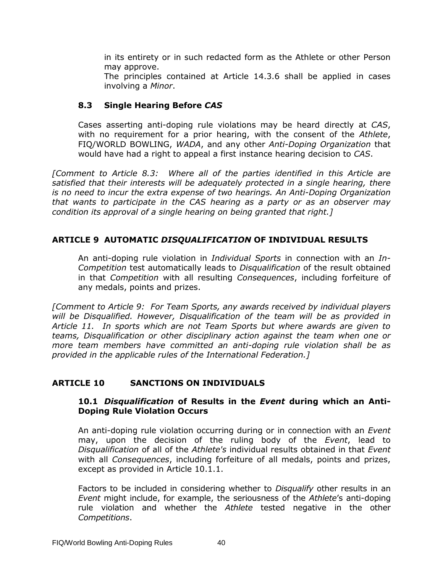in its entirety or in such redacted form as the Athlete or other Person may approve.

The principles contained at Article 14.3.6 shall be applied in cases involving a *Minor*.

### **8.3 Single Hearing Before** *CAS*

Cases asserting anti-doping rule violations may be heard directly at *CAS*, with no requirement for a prior hearing, with the consent of the *Athlete*, FIQ/WORLD BOWLING, *WADA*, and any other *Anti-Doping Organization* that would have had a right to appeal a first instance hearing decision to *CAS*.

*[Comment to Article 8.3: Where all of the parties identified in this Article are satisfied that their interests will be adequately protected in a single hearing, there is no need to incur the extra expense of two hearings. An Anti-Doping Organization that wants to participate in the CAS hearing as a party or as an observer may condition its approval of a single hearing on being granted that right.]*

### **ARTICLE 9 AUTOMATIC** *DISQUALIFICATION* **OF INDIVIDUAL RESULTS**

An anti-doping rule violation in *Individual Sports* in connection with an *In-Competition* test automatically leads to *Disqualification* of the result obtained in that *Competition* with all resulting *Consequences*, including forfeiture of any medals, points and prizes.

*[Comment to Article 9: For Team Sports, any awards received by individual players will be Disqualified. However, Disqualification of the team will be as provided in Article 11. In sports which are not Team Sports but where awards are given to teams, Disqualification or other disciplinary action against the team when one or more team members have committed an anti-doping rule violation shall be as provided in the applicable rules of the International Federation.]*

# **ARTICLE 10 SANCTIONS ON INDIVIDUALS**

### **10.1** *Disqualification* **of Results in the** *Event* **during which an Anti-Doping Rule Violation Occurs**

An anti-doping rule violation occurring during or in connection with an *Event*  may, upon the decision of the ruling body of the *Event*, lead to *Disqualification* of all of the *Athlete's* individual results obtained in that *Event* with all *Consequences*, including forfeiture of all medals, points and prizes, except as provided in Article 10.1.1.

Factors to be included in considering whether to *Disqualify* other results in an *Event* might include, for example, the seriousness of the *Athlete*'s anti-doping rule violation and whether the *Athlete* tested negative in the other *Competitions*.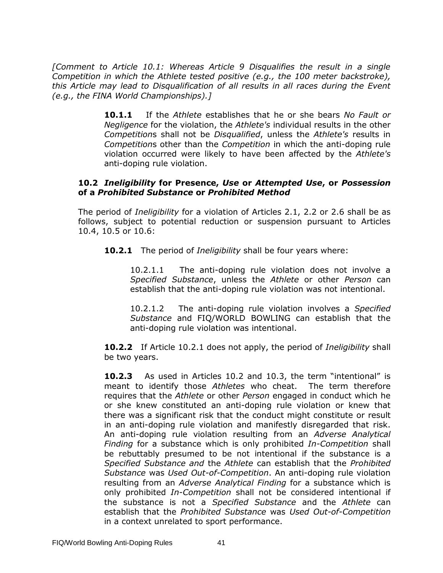*[Comment to Article 10.1: Whereas Article 9 Disqualifies the result in a single Competition in which the Athlete tested positive (e.g., the 100 meter backstroke), this Article may lead to Disqualification of all results in all races during the Event (e.g., the FINA World Championships).]*

> **10.1.1** If the *Athlete* establishes that he or she bears *No Fault or Negligence* for the violation, the *Athlete's* individual results in the other *Competition*s shall not be *Disqualified*, unless the *Athlete's* results in *Competition*s other than the *Competition* in which the anti-doping rule violation occurred were likely to have been affected by the *Athlete's* anti-doping rule violation.

#### **10.2** *Ineligibility* **for Presence,** *Use* **or** *Attempted Use***, or** *Possession*  **of a** *Prohibited Substance* **or** *Prohibited Method*

The period of *Ineligibility* for a violation of Articles 2.1, 2.2 or 2.6 shall be as follows, subject to potential reduction or suspension pursuant to Articles 10.4, 10.5 or 10.6:

**10.2.1** The period of *Ineligibility* shall be four years where:

10.2.1.1 The anti-doping rule violation does not involve a *Specified Substance*, unless the *Athlete* or other *Person* can establish that the anti-doping rule violation was not intentional.

10.2.1.2 The anti-doping rule violation involves a *Specified Substance* and FIQ/WORLD BOWLING can establish that the anti-doping rule violation was intentional.

**10.2.2** If Article 10.2.1 does not apply, the period of *Ineligibility* shall be two years.

**10.2.3** As used in Articles 10.2 and 10.3, the term "intentional" is meant to identify those *Athletes* who cheat. The term therefore requires that the *Athlete* or other *Person* engaged in conduct which he or she knew constituted an anti-doping rule violation or knew that there was a significant risk that the conduct might constitute or result in an anti-doping rule violation and manifestly disregarded that risk. An anti-doping rule violation resulting from an *Adverse Analytical Finding* for a substance which is only prohibited *In-Competition* shall be rebuttably presumed to be not intentional if the substance is a *Specified Substance and* the *Athlete* can establish that the *Prohibited Substance* was *Used Out-of-Competition*. An anti-doping rule violation resulting from an *Adverse Analytical Finding* for a substance which is only prohibited *In-Competition* shall not be considered intentional if the substance is not a *Specified Substance* and the *Athlete* can establish that the *Prohibited Substance* was *Used Out-of-Competition* in a context unrelated to sport performance.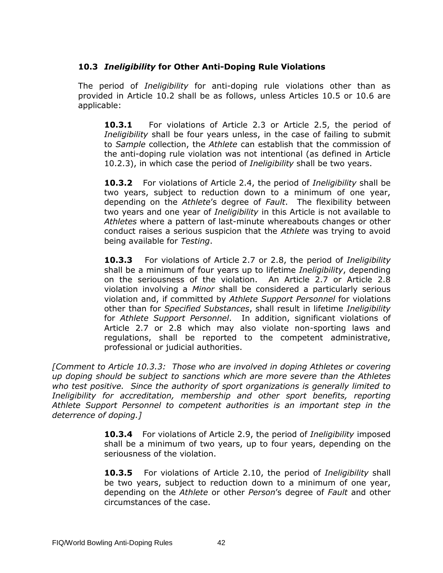### **10.3** *Ineligibility* **for Other Anti-Doping Rule Violations**

The period of *Ineligibility* for anti-doping rule violations other than as provided in Article 10.2 shall be as follows, unless Articles 10.5 or 10.6 are applicable:

**10.3.1** For violations of Article 2.3 or Article 2.5, the period of *Ineligibility* shall be four years unless, in the case of failing to submit to *Sample* collection, the *Athlete* can establish that the commission of the anti-doping rule violation was not intentional (as defined in Article 10.2.3), in which case the period of *Ineligibility* shall be two years.

**10.3.2** For violations of Article 2.4, the period of *Ineligibility* shall be two years, subject to reduction down to a minimum of one year, depending on the *Athlete*'s degree of *Fault*. The flexibility between two years and one year of *Ineligibility* in this Article is not available to *Athletes* where a pattern of last-minute whereabouts changes or other conduct raises a serious suspicion that the *Athlete* was trying to avoid being available for *Testing*.

**10.3.3** For violations of Article 2.7 or 2.8, the period of *Ineligibility* shall be a minimum of four years up to lifetime *Ineligibility*, depending on the seriousness of the violation. An Article 2.7 or Article 2.8 violation involving a *Minor* shall be considered a particularly serious violation and, if committed by *Athlete Support Personnel* for violations other than for *Specified Substances*, shall result in lifetime *Ineligibility* for *Athlete Support Personnel*. In addition, significant violations of Article 2.7 or 2.8 which may also violate non-sporting laws and regulations, shall be reported to the competent administrative, professional or judicial authorities.

*[Comment to Article 10.3.3: Those who are involved in doping Athletes or covering up doping should be subject to sanctions which are more severe than the Athletes who test positive. Since the authority of sport organizations is generally limited to Ineligibility for accreditation, membership and other sport benefits, reporting Athlete Support Personnel to competent authorities is an important step in the deterrence of doping.]*

> **10.3.4** For violations of Article 2.9, the period of *Ineligibility* imposed shall be a minimum of two years, up to four years, depending on the seriousness of the violation.

> **10.3.5** For violations of Article 2.10, the period of *Ineligibility* shall be two years, subject to reduction down to a minimum of one year, depending on the *Athlete* or other *Person*'s degree of *Fault* and other circumstances of the case.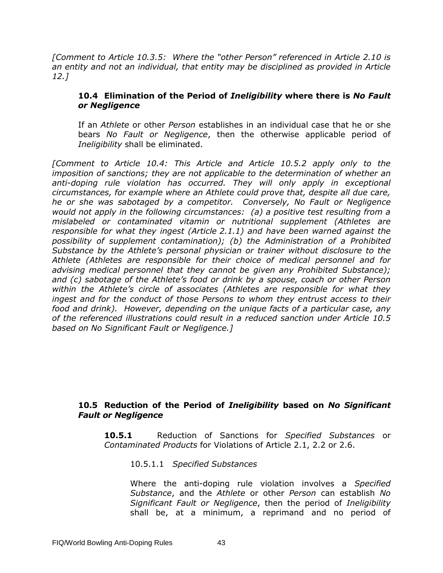*[Comment to Article 10.3.5: Where the "other Person" referenced in Article 2.10 is an entity and not an individual, that entity may be disciplined as provided in Article 12.]*

### **10.4 Elimination of the Period of** *Ineligibility* **where there is** *No Fault or Negligence*

If an *Athlete* or other *Person* establishes in an individual case that he or she bears *No Fault or Negligence*, then the otherwise applicable period of *Ineligibility* shall be eliminated.

*[Comment to Article 10.4: This Article and Article 10.5.2 apply only to the imposition of sanctions; they are not applicable to the determination of whether an anti-doping rule violation has occurred. They will only apply in exceptional circumstances, for example where an Athlete could prove that, despite all due care, he or she was sabotaged by a competitor. Conversely, No Fault or Negligence would not apply in the following circumstances: (a) a positive test resulting from a mislabeled or contaminated vitamin or nutritional supplement (Athletes are responsible for what they ingest (Article 2.1.1) and have been warned against the possibility of supplement contamination); (b) the Administration of a Prohibited Substance by the Athlete's personal physician or trainer without disclosure to the Athlete (Athletes are responsible for their choice of medical personnel and for advising medical personnel that they cannot be given any Prohibited Substance); and (c) sabotage of the Athlete's food or drink by a spouse, coach or other Person within the Athlete's circle of associates (Athletes are responsible for what they ingest and for the conduct of those Persons to whom they entrust access to their food and drink). However, depending on the unique facts of a particular case, any of the referenced illustrations could result in a reduced sanction under Article 10.5 based on No Significant Fault or Negligence.]*

### **10.5 Reduction of the Period of** *Ineligibility* **based on** *No Significant Fault or Negligence*

**10.5.1** Reduction of Sanctions for *Specified Substances* or *Contaminated Products* for Violations of Article 2.1, 2.2 or 2.6.

10.5.1.1 *Specified Substances*

Where the anti-doping rule violation involves a *Specified Substance*, and the *Athlete* or other *Person* can establish *No Significant Fault or Negligence*, then the period of *Ineligibility* shall be, at a minimum, a reprimand and no period of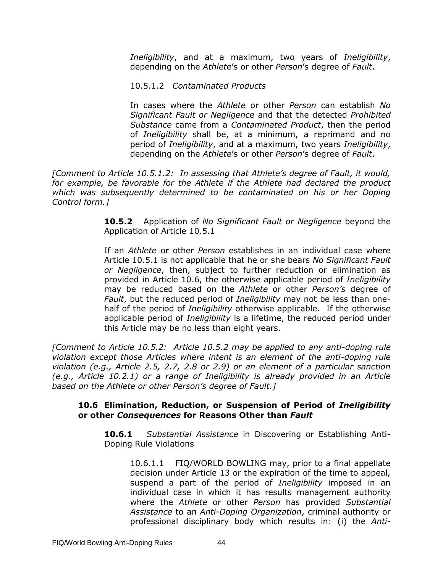*Ineligibility*, and at a maximum, two years of *Ineligibility*, depending on the *Athlete*'s or other *Person*'s degree of *Fault*.

#### 10.5.1.2 *Contaminated Products*

In cases where the *Athlete* or other *Person* can establish *No Significant Fault or Negligence* and that the detected *Prohibited Substance* came from a *Contaminated Product*, then the period of *Ineligibility* shall be, at a minimum, a reprimand and no period of *Ineligibility*, and at a maximum, two years *Ineligibility*, depending on the *Athlete*'s or other *Person*'s degree of *Fault*.

*[Comment to Article 10.5.1.2: In assessing that Athlete's degree of Fault, it would, for example, be favorable for the Athlete if the Athlete had declared the product which was subsequently determined to be contaminated on his or her Doping Control form.]*

> **10.5.2** Application of *No Significant Fault or Negligence* beyond the Application of Article 10.5.1

> If an *Athlete* or other *Person* establishes in an individual case where Article 10.5.1 is not applicable that he or she bears *No Significant Fault or Negligence*, then, subject to further reduction or elimination as provided in Article 10.6, the otherwise applicable period of *Ineligibility*  may be reduced based on the *Athlete* or other *Person's* degree of *Fault*, but the reduced period of *Ineligibility* may not be less than onehalf of the period of *Ineligibility* otherwise applicable. If the otherwise applicable period of *Ineligibility* is a lifetime, the reduced period under this Article may be no less than eight years.

*[Comment to Article 10.5.2: Article 10.5.2 may be applied to any anti-doping rule violation except those Articles where intent is an element of the anti-doping rule violation (e.g., Article 2.5, 2.7, 2.8 or 2.9) or an element of a particular sanction (e.g., Article 10.2.1) or a range of Ineligibility is already provided in an Article based on the Athlete or other Person's degree of Fault.]*

#### **10.6 Elimination, Reduction, or Suspension of Period of** *Ineligibility*  **or other** *Consequences* **for Reasons Other than** *Fault*

**10.6.1** *Substantial Assistance* in Discovering or Establishing Anti-Doping Rule Violations

10.6.1.1FIQ/WORLD BOWLING may, prior to a final appellate decision under Article 13 or the expiration of the time to appeal, suspend a part of the period of *Ineligibility* imposed in an individual case in which it has results management authority where the *Athlete* or other *Person* has provided *Substantial Assistance* to an *Anti-Doping Organization*, criminal authority or professional disciplinary body which results in: (i) the *Anti-*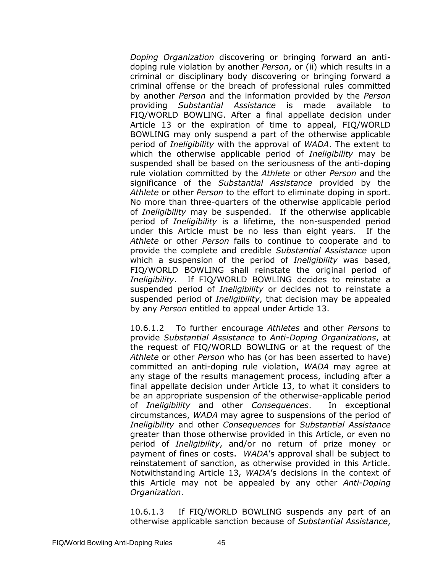*Doping Organization* discovering or bringing forward an antidoping rule violation by another *Person*, or (ii) which results in a criminal or disciplinary body discovering or bringing forward a criminal offense or the breach of professional rules committed by another *Person* and the information provided by the *Person* providing *Substantial Assistance* is made available to FIQ/WORLD BOWLING. After a final appellate decision under Article 13 or the expiration of time to appeal, FIQ/WORLD BOWLING may only suspend a part of the otherwise applicable period of *Ineligibility* with the approval of *WADA*. The extent to which the otherwise applicable period of *Ineligibility* may be suspended shall be based on the seriousness of the anti-doping rule violation committed by the *Athlete* or other *Person* and the significance of the *Substantial Assistance* provided by the *Athlete* or other *Person* to the effort to eliminate doping in sport. No more than three-quarters of the otherwise applicable period of *Ineligibility* may be suspended. If the otherwise applicable period of *Ineligibility* is a lifetime, the non-suspended period under this Article must be no less than eight years. If the *Athlete* or other *Person* fails to continue to cooperate and to provide the complete and credible *Substantial Assistance* upon which a suspension of the period of *Ineligibility* was based, FIQ/WORLD BOWLING shall reinstate the original period of *Ineligibility*. If FIQ/WORLD BOWLING decides to reinstate a suspended period of *Ineligibility* or decides not to reinstate a suspended period of *Ineligibility*, that decision may be appealed by any *Person* entitled to appeal under Article 13.

10.6.1.2 To further encourage *Athletes* and other *Persons* to provide *Substantial Assistance* to *Anti-Doping Organizations*, at the request of FIQ/WORLD BOWLING or at the request of the *Athlete* or other *Person* who has (or has been asserted to have) committed an anti-doping rule violation, *WADA* may agree at any stage of the results management process, including after a final appellate decision under Article 13, to what it considers to be an appropriate suspension of the otherwise-applicable period of *Ineligibility* and other *Consequences*. In exceptional circumstances, *WADA* may agree to suspensions of the period of *Ineligibility* and other *Consequences* for *Substantial Assistance* greater than those otherwise provided in this Article, or even no period of *Ineligibility*, and/or no return of prize money or payment of fines or costs. *WADA*'s approval shall be subject to reinstatement of sanction, as otherwise provided in this Article. Notwithstanding Article 13, *WADA*'s decisions in the context of this Article may not be appealed by any other *Anti-Doping Organization*.

10.6.1.3 If FIQ/WORLD BOWLING suspends any part of an otherwise applicable sanction because of *Substantial Assistance*,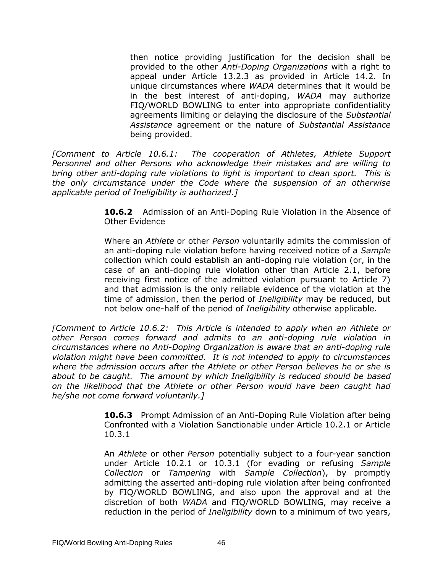then notice providing justification for the decision shall be provided to the other *Anti-Doping Organizations* with a right to appeal under Article 13.2.3 as provided in Article 14.2. In unique circumstances where *WADA* determines that it would be in the best interest of anti-doping, *WADA* may authorize FIQ/WORLD BOWLING to enter into appropriate confidentiality agreements limiting or delaying the disclosure of the *Substantial Assistance* agreement or the nature of *Substantial Assistance* being provided.

*[Comment to Article 10.6.1: The cooperation of Athletes, Athlete Support Personnel and other Persons who acknowledge their mistakes and are willing to bring other anti-doping rule violations to light is important to clean sport. This is the only circumstance under the Code where the suspension of an otherwise applicable period of Ineligibility is authorized.]*

> **10.6.2** Admission of an Anti-Doping Rule Violation in the Absence of Other Evidence

> Where an *Athlete* or other *Person* voluntarily admits the commission of an anti-doping rule violation before having received notice of a *Sample*  collection which could establish an anti-doping rule violation (or, in the case of an anti-doping rule violation other than Article 2.1, before receiving first notice of the admitted violation pursuant to Article 7) and that admission is the only reliable evidence of the violation at the time of admission, then the period of *Ineligibility* may be reduced, but not below one-half of the period of *Ineligibility* otherwise applicable.

*[Comment to Article 10.6.2: This Article is intended to apply when an Athlete or other Person comes forward and admits to an anti-doping rule violation in circumstances where no Anti-Doping Organization is aware that an anti-doping rule violation might have been committed. It is not intended to apply to circumstances where the admission occurs after the Athlete or other Person believes he or she is about to be caught. The amount by which Ineligibility is reduced should be based on the likelihood that the Athlete or other Person would have been caught had he/she not come forward voluntarily.]*

> **10.6.3** Prompt Admission of an Anti-Doping Rule Violation after being Confronted with a Violation Sanctionable under Article 10.2.1 or Article 10.3.1

> An *Athlete* or other *Person* potentially subject to a four-year sanction under Article 10.2.1 or 10.3.1 (for evading or refusing *Sample Collection* or *Tampering* with *Sample Collection*), by promptly admitting the asserted anti-doping rule violation after being confronted by FIQ/WORLD BOWLING, and also upon the approval and at the discretion of both *WADA* and FIQ/WORLD BOWLING, may receive a reduction in the period of *Ineligibility* down to a minimum of two years,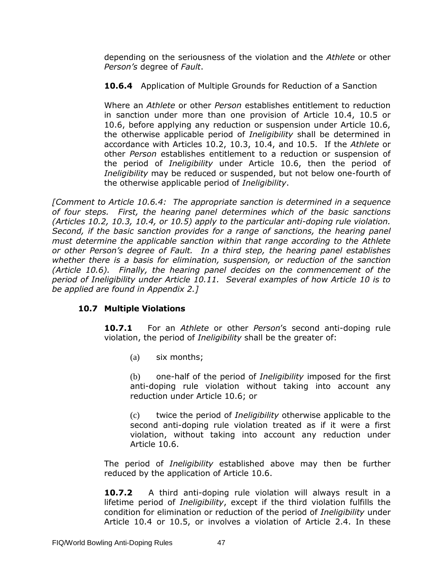depending on the seriousness of the violation and the *Athlete* or other *Person's* degree of *Fault*.

**10.6.4** Application of Multiple Grounds for Reduction of a Sanction

Where an *Athlete* or other *Person* establishes entitlement to reduction in sanction under more than one provision of Article 10.4, 10.5 or 10.6, before applying any reduction or suspension under Article 10.6, the otherwise applicable period of *Ineligibility* shall be determined in accordance with Articles 10.2, 10.3, 10.4, and 10.5. If the *Athlete* or other *Person* establishes entitlement to a reduction or suspension of the period of *Ineligibility* under Article 10.6, then the period of *Ineligibility* may be reduced or suspended, but not below one-fourth of the otherwise applicable period of *Ineligibility*.

*[Comment to Article 10.6.4: The appropriate sanction is determined in a sequence of four steps. First, the hearing panel determines which of the basic sanctions (Articles 10.2, 10.3, 10.4, or 10.5) apply to the particular anti-doping rule violation. Second, if the basic sanction provides for a range of sanctions, the hearing panel must determine the applicable sanction within that range according to the Athlete or other Person's degree of Fault. In a third step, the hearing panel establishes whether there is a basis for elimination, suspension, or reduction of the sanction (Article 10.6). Finally, the hearing panel decides on the commencement of the period of Ineligibility under Article 10.11. Several examples of how Article 10 is to be applied are found in Appendix 2.]*

# **10.7 Multiple Violations**

**10.7.1** For an *Athlete* or other *Person*'s second anti-doping rule violation, the period of *Ineligibility* shall be the greater of:

(a) six months;

(b) one-half of the period of *Ineligibility* imposed for the first anti-doping rule violation without taking into account any reduction under Article 10.6; or

(c) twice the period of *Ineligibility* otherwise applicable to the second anti-doping rule violation treated as if it were a first violation, without taking into account any reduction under Article 10.6.

The period of *Ineligibility* established above may then be further reduced by the application of Article 10.6.

**10.7.2** A third anti-doping rule violation will always result in a lifetime period of *Ineligibility*, except if the third violation fulfills the condition for elimination or reduction of the period of *Ineligibility* under Article 10.4 or 10.5, or involves a violation of Article 2.4. In these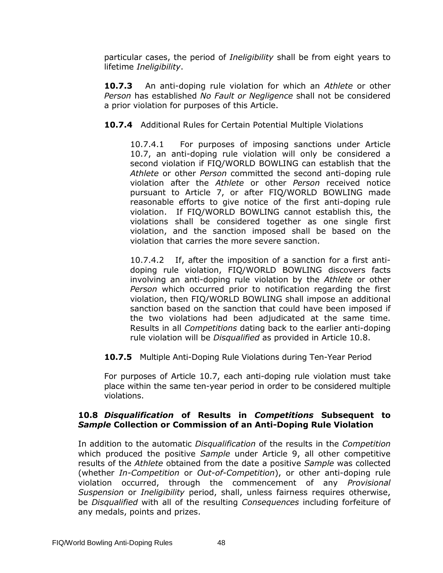particular cases, the period of *Ineligibility* shall be from eight years to lifetime *Ineligibility*.

**10.7.3** An anti-doping rule violation for which an *Athlete* or other *Person* has established *No Fault or Negligence* shall not be considered a prior violation for purposes of this Article.

### **10.7.4** Additional Rules for Certain Potential Multiple Violations

10.7.4.1 For purposes of imposing sanctions under Article 10.7, an anti-doping rule violation will only be considered a second violation if FIQ/WORLD BOWLING can establish that the *Athlete* or other *Person* committed the second anti-doping rule violation after the *Athlete* or other *Person* received notice pursuant to Article 7, or after FIQ/WORLD BOWLING made reasonable efforts to give notice of the first anti-doping rule violation. If FIQ/WORLD BOWLING cannot establish this, the violations shall be considered together as one single first violation, and the sanction imposed shall be based on the violation that carries the more severe sanction.

10.7.4.2 If, after the imposition of a sanction for a first antidoping rule violation, FIQ/WORLD BOWLING discovers facts involving an anti-doping rule violation by the *Athlete* or other *Person* which occurred prior to notification regarding the first violation, then FIQ/WORLD BOWLING shall impose an additional sanction based on the sanction that could have been imposed if the two violations had been adjudicated at the same time. Results in all *Competitions* dating back to the earlier anti-doping rule violation will be *Disqualified* as provided in Article 10.8.

**10.7.5** Multiple Anti-Doping Rule Violations during Ten-Year Period

For purposes of Article 10.7, each anti-doping rule violation must take place within the same ten-year period in order to be considered multiple violations.

### **10.8** *Disqualification* **of Results in** *Competitions* **Subsequent to**  *Sample* **Collection or Commission of an Anti-Doping Rule Violation**

In addition to the automatic *Disqualification* of the results in the *Competition* which produced the positive *Sample* under Article 9, all other competitive results of the *Athlete* obtained from the date a positive *Sample* was collected (whether *In-Competition* or *Out-of-Competition*), or other anti-doping rule violation occurred, through the commencement of any *Provisional Suspension* or *Ineligibility* period, shall, unless fairness requires otherwise, be *Disqualified* with all of the resulting *Consequences* including forfeiture of any medals, points and prizes.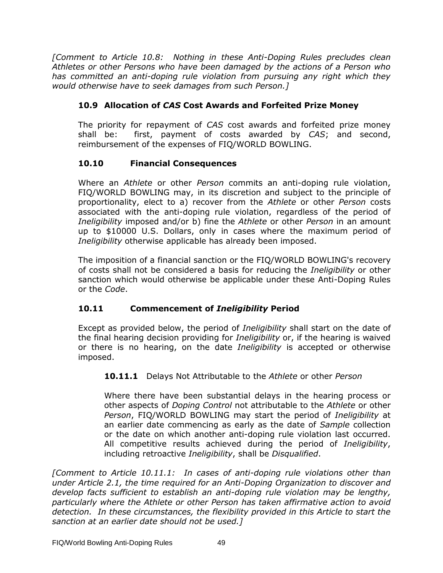*[Comment to Article 10.8: Nothing in these Anti-Doping Rules precludes clean Athletes or other Persons who have been damaged by the actions of a Person who has committed an anti-doping rule violation from pursuing any right which they would otherwise have to seek damages from such Person.]*

# **10.9 Allocation of** *CAS* **Cost Awards and Forfeited Prize Money**

The priority for repayment of *CAS* cost awards and forfeited prize money shall be: first, payment of costs awarded by *CAS*; and second, reimbursement of the expenses of FIQ/WORLD BOWLING.

# **10.10 Financial Consequences**

Where an *Athlete* or other *Person* commits an anti-doping rule violation, FIQ/WORLD BOWLING may, in its discretion and subject to the principle of proportionality, elect to a) recover from the *Athlete* or other *Person* costs associated with the anti-doping rule violation, regardless of the period of *Ineligibility* imposed and/or b) fine the *Athlete* or other *Person* in an amount up to \$10000 U.S. Dollars, only in cases where the maximum period of *Ineligibility* otherwise applicable has already been imposed.

The imposition of a financial sanction or the FIQ/WORLD BOWLING's recovery of costs shall not be considered a basis for reducing the *Ineligibility* or other sanction which would otherwise be applicable under these Anti-Doping Rules or the *Code*.

# **10.11 Commencement of** *Ineligibility* **Period**

Except as provided below, the period of *Ineligibility* shall start on the date of the final hearing decision providing for *Ineligibility* or, if the hearing is waived or there is no hearing, on the date *Ineligibility* is accepted or otherwise imposed.

# **10.11.1** Delays Not Attributable to the *Athlete* or other *Person*

Where there have been substantial delays in the hearing process or other aspects of *Doping Control* not attributable to the *Athlete* or other *Person*, FIQ/WORLD BOWLING may start the period of *Ineligibility* at an earlier date commencing as early as the date of *Sample* collection or the date on which another anti-doping rule violation last occurred. All competitive results achieved during the period of *Ineligibility*, including retroactive *Ineligibility*, shall be *Disqualified*.

*[Comment to Article 10.11.1: In cases of anti-doping rule violations other than under Article 2.1, the time required for an Anti-Doping Organization to discover and develop facts sufficient to establish an anti-doping rule violation may be lengthy, particularly where the Athlete or other Person has taken affirmative action to avoid detection. In these circumstances, the flexibility provided in this Article to start the sanction at an earlier date should not be used.]*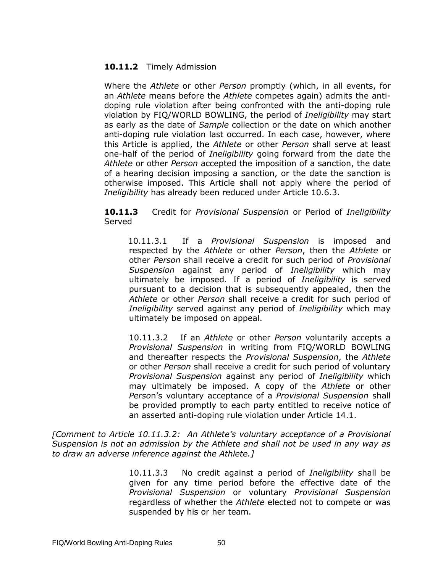### **10.11.2** Timely Admission

Where the *Athlete* or other *Person* promptly (which, in all events, for an *Athlete* means before the *Athlete* competes again) admits the antidoping rule violation after being confronted with the anti-doping rule violation by FIQ/WORLD BOWLING, the period of *Ineligibility* may start as early as the date of *Sample* collection or the date on which another anti-doping rule violation last occurred. In each case, however, where this Article is applied, the *Athlete* or other *Person* shall serve at least one-half of the period of *Ineligibility* going forward from the date the *Athlete* or other *Person* accepted the imposition of a sanction, the date of a hearing decision imposing a sanction, or the date the sanction is otherwise imposed. This Article shall not apply where the period of *Ineligibility* has already been reduced under Article 10.6.3.

#### **10.11.3** Credit for *Provisional Suspension* or Period of *Ineligibility*  Served

10.11.3.1 If a *Provisional Suspension* is imposed and respected by the *Athlete* or other *Person*, then the *Athlete* or other *Person* shall receive a credit for such period of *Provisional Suspension* against any period of *Ineligibility* which may ultimately be imposed. If a period of *Ineligibility* is served pursuant to a decision that is subsequently appealed, then the *Athlete* or other *Person* shall receive a credit for such period of *Ineligibility* served against any period of *Ineligibility* which may ultimately be imposed on appeal.

10.11.3.2 If an *Athlete* or other *Person* voluntarily accepts a *Provisional Suspension* in writing from FIQ/WORLD BOWLING and thereafter respects the *Provisional Suspension*, the *Athlete* or other *Person* shall receive a credit for such period of voluntary *Provisional Suspension* against any period of *Ineligibility* which may ultimately be imposed. A copy of the *Athlete* or other *Perso*n's voluntary acceptance of a *Provisional Suspension* shall be provided promptly to each party entitled to receive notice of an asserted anti-doping rule violation under Article 14.1.

*[Comment to Article 10.11.3.2: An Athlete's voluntary acceptance of a Provisional Suspension is not an admission by the Athlete and shall not be used in any way as to draw an adverse inference against the Athlete.]*

> 10.11.3.3 No credit against a period of *Ineligibility* shall be given for any time period before the effective date of the *Provisional Suspension* or voluntary *Provisional Suspension* regardless of whether the *Athlete* elected not to compete or was suspended by his or her team.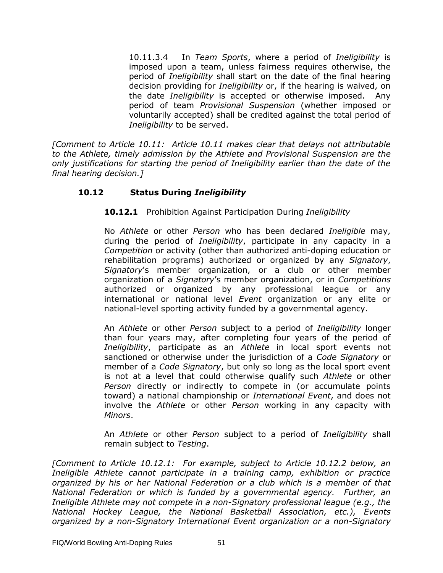10.11.3.4 In *Team Sports*, where a period of *Ineligibility* is imposed upon a team, unless fairness requires otherwise, the period of *Ineligibility* shall start on the date of the final hearing decision providing for *Ineligibility* or, if the hearing is waived, on the date *Ineligibility* is accepted or otherwise imposed. Any period of team *Provisional Suspension* (whether imposed or voluntarily accepted) shall be credited against the total period of *Ineligibility* to be served.

*[Comment to Article 10.11: Article 10.11 makes clear that delays not attributable to the Athlete, timely admission by the Athlete and Provisional Suspension are the only justifications for starting the period of Ineligibility earlier than the date of the final hearing decision.]*

### **10.12 Status During** *Ineligibility*

### **10.12.1** Prohibition Against Participation During *Ineligibility*

No *Athlete* or other *Person* who has been declared *Ineligible* may, during the period of *Ineligibility*, participate in any capacity in a *Competition* or activity (other than authorized anti-doping education or rehabilitation programs) authorized or organized by any *Signatory*, *Signatory*'s member organization, or a club or other member organization of a *Signatory*'s member organization, or in *Competitions* authorized or organized by any professional league or any international or national level *Event* organization or any elite or national-level sporting activity funded by a governmental agency.

An *Athlete* or other *Person* subject to a period of *Ineligibility* longer than four years may, after completing four years of the period of *Ineligibility*, participate as an *Athlete* in local sport events not sanctioned or otherwise under the jurisdiction of a *Code Signatory* or member of a *Code Signatory*, but only so long as the local sport event is not at a level that could otherwise qualify such *Athlete* or other *Person* directly or indirectly to compete in (or accumulate points toward) a national championship or *International Event*, and does not involve the *Athlete* or other *Person* working in any capacity with *Minors*.

An *Athlete* or other *Person* subject to a period of *Ineligibility* shall remain subject to *Testing*.

*[Comment to Article 10.12.1: For example, subject to Article 10.12.2 below, an Ineligible Athlete cannot participate in a training camp, exhibition or practice organized by his or her National Federation or a club which is a member of that National Federation or which is funded by a governmental agency. Further, an Ineligible Athlete may not compete in a non-Signatory professional league (e.g., the National Hockey League, the National Basketball Association, etc.), Events organized by a non-Signatory International Event organization or a non-Signatory*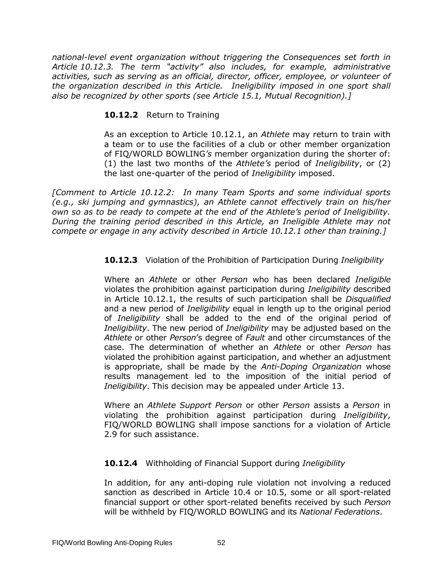*national-level event organization without triggering the Consequences set forth in Article 10.12.3. The term "activity" also includes, for example, administrative activities, such as serving as an official, director, officer, employee, or volunteer of the organization described in this Article. Ineligibility imposed in one sport shall also be recognized by other sports (see Article 15.1, Mutual Recognition).]*

### **10.12.2** Return to Training

As an exception to Article 10.12.1, an *Athlete* may return to train with a team or to use the facilities of a club or other member organization of FIQ/WORLD BOWLING*'s* member organization during the shorter of: (1) the last two months of the *Athlete's* period of *Ineligibility*, or (2) the last one-quarter of the period of *Ineligibility* imposed.

*[Comment to Article 10.12.2: In many Team Sports and some individual sports (e.g., ski jumping and gymnastics), an Athlete cannot effectively train on his/her own so as to be ready to compete at the end of the Athlete's period of Ineligibility. During the training period described in this Article, an Ineligible Athlete may not compete or engage in any activity described in Article 10.12.1 other than training.]*

### **10.12.3** Violation of the Prohibition of Participation During *Ineligibility*

Where an *Athlete* or other *Person* who has been declared *Ineligible* violates the prohibition against participation during *Ineligibility* described in Article 10.12.1, the results of such participation shall be *Disqualified* and a new period of *Ineligibility* equal in length up to the original period of *Ineligibility* shall be added to the end of the original period of *Ineligibility*. The new period of *Ineligibility* may be adjusted based on the *Athlete* or other *Person*'s degree of *Fault* and other circumstances of the case. The determination of whether an *Athlete* or other *Person* has violated the prohibition against participation, and whether an adjustment is appropriate, shall be made by the *Anti-Doping Organization* whose results management led to the imposition of the initial period of *Ineligibility*. This decision may be appealed under Article 13.

Where an *Athlete Support Person* or other *Person* assists a *Person* in violating the prohibition against participation during *Ineligibility*, FIQ/WORLD BOWLING shall impose sanctions for a violation of Article 2.9 for such assistance.

### **10.12.4** Withholding of Financial Support during *Ineligibility*

In addition, for any anti-doping rule violation not involving a reduced sanction as described in Article 10.4 or 10.5, some or all sport-related financial support or other sport-related benefits received by such *Person* will be withheld by FIQ/WORLD BOWLING and its *National Federations*.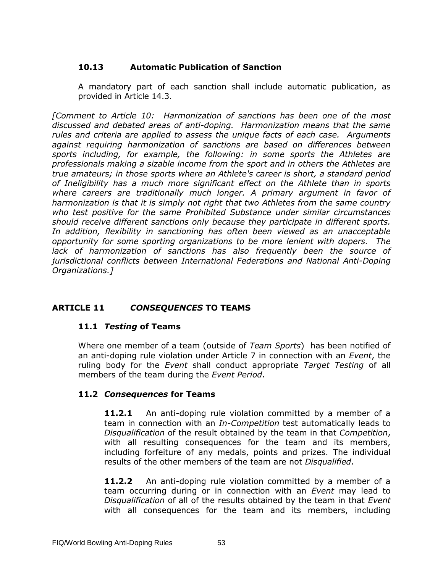# **10.13 Automatic Publication of Sanction**

A mandatory part of each sanction shall include automatic publication, as provided in Article 14.3.

*[Comment to Article 10: Harmonization of sanctions has been one of the most discussed and debated areas of anti-doping. Harmonization means that the same rules and criteria are applied to assess the unique facts of each case. Arguments against requiring harmonization of sanctions are based on differences between sports including, for example, the following: in some sports the Athletes are professionals making a sizable income from the sport and in others the Athletes are true amateurs; in those sports where an Athlete's career is short, a standard period of Ineligibility has a much more significant effect on the Athlete than in sports where careers are traditionally much longer. A primary argument in favor of harmonization is that it is simply not right that two Athletes from the same country who test positive for the same Prohibited Substance under similar circumstances should receive different sanctions only because they participate in different sports. In addition, flexibility in sanctioning has often been viewed as an unacceptable opportunity for some sporting organizations to be more lenient with dopers. The*  lack of harmonization of sanctions has also frequently been the source of *jurisdictional conflicts between International Federations and National Anti-Doping Organizations.]*

# **ARTICLE 11** *CONSEQUENCES* **TO TEAMS**

### **11.1** *Testing* **of Teams**

Where one member of a team (outside of *Team Sports*) has been notified of an anti-doping rule violation under Article 7 in connection with an *Event*, the ruling body for the *Event* shall conduct appropriate *Target Testing* of all members of the team during the *Event Period*.

### **11.2** *Consequences* **for Teams**

**11.2.1** An anti-doping rule violation committed by a member of a team in connection with an *In-Competition* test automatically leads to *Disqualification* of the result obtained by the team in that *Competition*, with all resulting consequences for the team and its members, including forfeiture of any medals, points and prizes. The individual results of the other members of the team are not *Disqualified*.

**11.2.2** An anti-doping rule violation committed by a member of a team occurring during or in connection with an *Event* may lead to *Disqualification* of all of the results obtained by the team in that *Event* with all consequences for the team and its members, including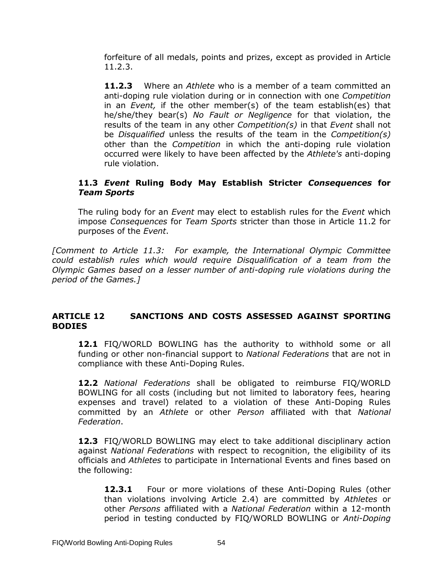forfeiture of all medals, points and prizes, except as provided in Article 11.2.3.

**11.2.3** Where an *Athlete* who is a member of a team committed an anti-doping rule violation during or in connection with one *Competition*  in an *Event,* if the other member(s) of the team establish(es) that he/she/they bear(s) *No Fault or Negligence* for that violation, the results of the team in any other *Competition(s)* in that *Event* shall not be *Disqualified* unless the results of the team in the *Competition(s)* other than the *Competition* in which the anti-doping rule violation occurred were likely to have been affected by the *Athlete's* anti-doping rule violation.

### **11.3** *Event* **Ruling Body May Establish Stricter** *Consequences* **for**  *Team Sports*

The ruling body for an *Event* may elect to establish rules for the *Event* which impose *Consequences* for *Team Sports* stricter than those in Article 11.2 for purposes of the *Event*.

*[Comment to Article 11.3: For example, the International Olympic Committee could establish rules which would require Disqualification of a team from the Olympic Games based on a lesser number of anti-doping rule violations during the period of the Games.]*

### **ARTICLE 12 SANCTIONS AND COSTS ASSESSED AGAINST SPORTING BODIES**

**12.1** FIQ/WORLD BOWLING has the authority to withhold some or all funding or other non-financial support to *National Federations* that are not in compliance with these Anti-Doping Rules.

**12.2** *National Federations* shall be obligated to reimburse FIQ/WORLD BOWLING for all costs (including but not limited to laboratory fees, hearing expenses and travel) related to a violation of these Anti-Doping Rules committed by an *Athlete* or other *Person* affiliated with that *National Federation*.

**12.3** FIQ/WORLD BOWLING may elect to take additional disciplinary action against *National Federations* with respect to recognition, the eligibility of its officials and *Athletes* to participate in International Events and fines based on the following:

12.3.1 Four or more violations of these Anti-Doping Rules (other than violations involving Article 2.4) are committed by *Athletes* or other *Persons* affiliated with a *National Federation* within a 12-month period in testing conducted by FIQ/WORLD BOWLING or *Anti-Doping*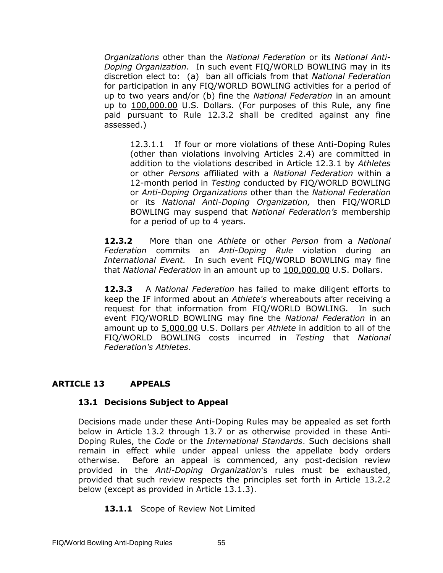*Organizations* other than the *National Federation* or its *National Anti-Doping Organization*. In such event FIQ/WORLD BOWLING may in its discretion elect to: (a) ban all officials from that *National Federation* for participation in any FIQ/WORLD BOWLING activities for a period of up to two years and/or (b) fine the *National Federation* in an amount up to 100,000.00 U.S. Dollars. (For purposes of this Rule, any fine paid pursuant to Rule 12.3.2 shall be credited against any fine assessed.)

12.3.1.1 If four or more violations of these Anti-Doping Rules (other than violations involving Articles 2.4) are committed in addition to the violations described in Article 12.3.1 by *Athletes* or other *Persons* affiliated with a *National Federation* within a 12-month period in *Testing* conducted by FIQ/WORLD BOWLING or *Anti-Doping Organizations* other than the *National Federation* or its *National Anti-Doping Organization,* then FIQ/WORLD BOWLING may suspend that *National Federation's* membership for a period of up to 4 years.

**12.3.2** More than one *Athlete* or other *Person* from a *National Federation* commits an *Anti-Doping Rule* violation during an *International Event.* In such event FIQ/WORLD BOWLING may fine that *National Federation* in an amount up to 100,000.00 U.S. Dollars.

**12.3.3** A *National Federation* has failed to make diligent efforts to keep the IF informed about an *Athlete's* whereabouts after receiving a request for that information from FIQ/WORLD BOWLING. In such event FIQ/WORLD BOWLING may fine the *National Federation* in an amount up to 5,000.00 U.S. Dollars per *Athlete* in addition to all of the FIQ/WORLD BOWLING costs incurred in *Testing* that *National Federation's Athletes*.

# **ARTICLE 13 APPEALS**

### **13.1 Decisions Subject to Appeal**

Decisions made under these Anti-Doping Rules may be appealed as set forth below in Article 13.2 through 13.7 or as otherwise provided in these Anti-Doping Rules, the *Code* or the *International Standards*. Such decisions shall remain in effect while under appeal unless the appellate body orders otherwise. Before an appeal is commenced, any post-decision review provided in the *Anti-Doping Organization*'s rules must be exhausted, provided that such review respects the principles set forth in Article 13.2.2 below (except as provided in Article 13.1.3).

### 13.1.1 Scope of Review Not Limited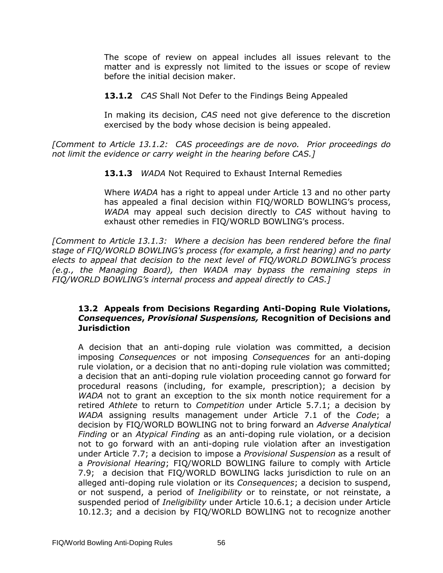The scope of review on appeal includes all issues relevant to the matter and is expressly not limited to the issues or scope of review before the initial decision maker.

**13.1.2** *CAS* Shall Not Defer to the Findings Being Appealed

In making its decision, *CAS* need not give deference to the discretion exercised by the body whose decision is being appealed.

*[Comment to Article 13.1.2: CAS proceedings are de novo. Prior proceedings do not limit the evidence or carry weight in the hearing before CAS.]*

**13.1.3** *WADA* Not Required to Exhaust Internal Remedies

Where *WADA* has a right to appeal under Article 13 and no other party has appealed a final decision within FIQ/WORLD BOWLING's process, *WADA* may appeal such decision directly to *CAS* without having to exhaust other remedies in FIQ/WORLD BOWLING's process.

*[Comment to Article 13.1.3: Where a decision has been rendered before the final stage of FIQ/WORLD BOWLING's process (for example, a first hearing) and no party elects to appeal that decision to the next level of FIQ/WORLD BOWLING's process (e.g., the Managing Board), then WADA may bypass the remaining steps in FIQ/WORLD BOWLING's internal process and appeal directly to CAS.]*

### **13.2 Appeals from Decisions Regarding Anti-Doping Rule Violations,**  *Consequences***,** *Provisional Suspensions,* **Recognition of Decisions and Jurisdiction**

A decision that an anti-doping rule violation was committed, a decision imposing *Consequences* or not imposing *Consequences* for an anti-doping rule violation, or a decision that no anti-doping rule violation was committed; a decision that an anti-doping rule violation proceeding cannot go forward for procedural reasons (including, for example, prescription); a decision by *WADA* not to grant an exception to the six month notice requirement for a retired *Athlete* to return to *Competition* under Article 5.7.1; a decision by *WADA* assigning results management under Article 7.1 of the *Code*; a decision by FIQ/WORLD BOWLING not to bring forward an *Adverse Analytical Finding* or an *Atypical Finding* as an anti-doping rule violation, or a decision not to go forward with an anti-doping rule violation after an investigation under Article 7.7; a decision to impose a *Provisional Suspension* as a result of a *Provisional Hearing*; FIQ/WORLD BOWLING failure to comply with Article 7.9; a decision that FIQ/WORLD BOWLING lacks jurisdiction to rule on an alleged anti-doping rule violation or its *Consequences*; a decision to suspend, or not suspend, a period of *Ineligibility* or to reinstate, or not reinstate, a suspended period of *Ineligibility* under Article 10.6.1; a decision under Article 10.12.3; and a decision by FIQ/WORLD BOWLING not to recognize another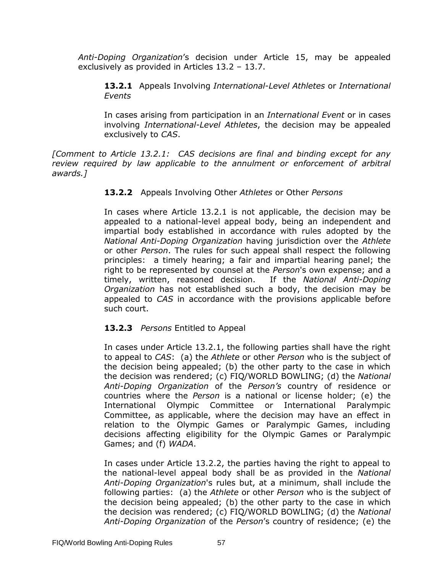*Anti-Doping Organization*'s decision under Article 15, may be appealed exclusively as provided in Articles 13.2 – 13.7.

**13.2.1** Appeals Involving *International-Level Athletes* or *International Events*

In cases arising from participation in an *International Event* or in cases involving *International-Level Athletes*, the decision may be appealed exclusively to *CAS*.

*[Comment to Article 13.2.1: CAS decisions are final and binding except for any review required by law applicable to the annulment or enforcement of arbitral awards.]*

**13.2.2** Appeals Involving Other *Athletes* or Other *Persons*

In cases where Article 13.2.1 is not applicable, the decision may be appealed to a national-level appeal body, being an independent and impartial body established in accordance with rules adopted by the *National Anti-Doping Organization* having jurisdiction over the *Athlete* or other *Person*. The rules for such appeal shall respect the following principles: a timely hearing; a fair and impartial hearing panel; the right to be represented by counsel at the *Person*'s own expense; and a timely, written, reasoned decision. If the *National Anti-Doping Organization* has not established such a body, the decision may be appealed to *CAS* in accordance with the provisions applicable before such court.

# **13.2.3** *Persons* Entitled to Appeal

In cases under Article 13.2.1, the following parties shall have the right to appeal to *CAS*: (a) the *Athlete* or other *Person* who is the subject of the decision being appealed; (b) the other party to the case in which the decision was rendered; (c) FIQ/WORLD BOWLING; (d) the *National Anti-Doping Organization* of the *Person's* country of residence or countries where the *Person* is a national or license holder; (e) the International Olympic Committee or International Paralympic Committee, as applicable, where the decision may have an effect in relation to the Olympic Games or Paralympic Games, including decisions affecting eligibility for the Olympic Games or Paralympic Games; and (f) *WADA*.

In cases under Article 13.2.2, the parties having the right to appeal to the national-level appeal body shall be as provided in the *National Anti-Doping Organization*'s rules but, at a minimum, shall include the following parties: (a) the *Athlete* or other *Person* who is the subject of the decision being appealed; (b) the other party to the case in which the decision was rendered; (c) FIQ/WORLD BOWLING; (d) the *National Anti-Doping Organization* of the *Person*'s country of residence; (e) the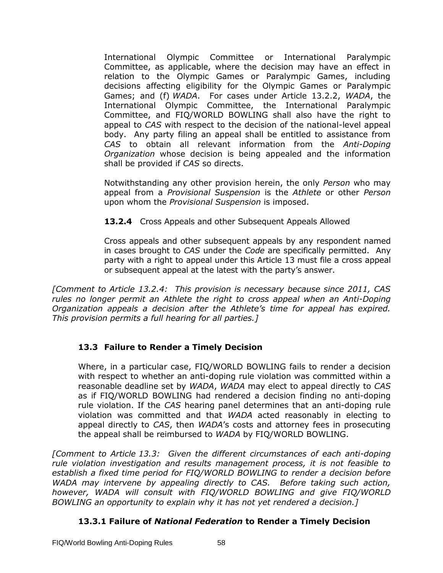International Olympic Committee or International Paralympic Committee, as applicable, where the decision may have an effect in relation to the Olympic Games or Paralympic Games, including decisions affecting eligibility for the Olympic Games or Paralympic Games; and (f) *WADA*. For cases under Article 13.2.2, *WADA*, the International Olympic Committee, the International Paralympic Committee, and FIQ/WORLD BOWLING shall also have the right to appeal to *CAS* with respect to the decision of the national-level appeal body. Any party filing an appeal shall be entitled to assistance from *CAS* to obtain all relevant information from the *Anti-Doping Organization* whose decision is being appealed and the information shall be provided if *CAS* so directs.

Notwithstanding any other provision herein, the only *Person* who may appeal from a *Provisional Suspension* is the *Athlete* or other *Person* upon whom the *Provisional Suspension* is imposed.

**13.2.4** Cross Appeals and other Subsequent Appeals Allowed

Cross appeals and other subsequent appeals by any respondent named in cases brought to *CAS* under the *Code* are specifically permitted. Any party with a right to appeal under this Article 13 must file a cross appeal or subsequent appeal at the latest with the party's answer.

*[Comment to Article 13.2.4: This provision is necessary because since 2011, CAS rules no longer permit an Athlete the right to cross appeal when an Anti-Doping Organization appeals a decision after the Athlete's time for appeal has expired. This provision permits a full hearing for all parties.]*

# **13.3 Failure to Render a Timely Decision**

Where, in a particular case, FIQ/WORLD BOWLING fails to render a decision with respect to whether an anti-doping rule violation was committed within a reasonable deadline set by *WADA*, *WADA* may elect to appeal directly to *CAS* as if FIQ/WORLD BOWLING had rendered a decision finding no anti-doping rule violation. If the *CAS* hearing panel determines that an anti-doping rule violation was committed and that *WADA* acted reasonably in electing to appeal directly to *CAS*, then *WADA*'s costs and attorney fees in prosecuting the appeal shall be reimbursed to *WADA* by FIQ/WORLD BOWLING.

*[Comment to Article 13.3: Given the different circumstances of each anti-doping rule violation investigation and results management process, it is not feasible to establish a fixed time period for FIQ/WORLD BOWLING to render a decision before WADA may intervene by appealing directly to CAS. Before taking such action, however, WADA will consult with FIQ/WORLD BOWLING and give FIQ/WORLD BOWLING an opportunity to explain why it has not yet rendered a decision.]* 

# **13.3.1 Failure of** *National Federation* **to Render a Timely Decision**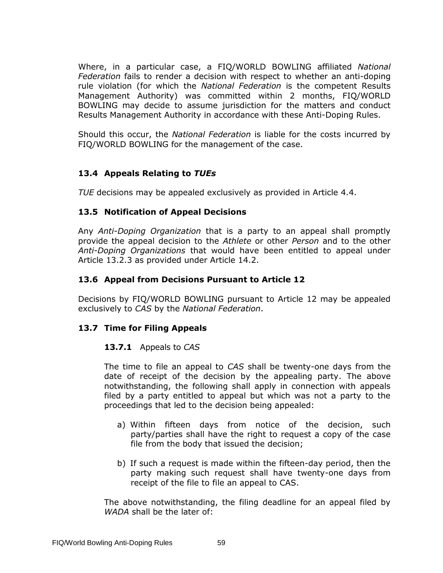Where, in a particular case, a FIQ/WORLD BOWLING affiliated *National Federation* fails to render a decision with respect to whether an anti-doping rule violation (for which the *National Federation* is the competent Results Management Authority) was committed within 2 months, FIQ/WORLD BOWLING may decide to assume jurisdiction for the matters and conduct Results Management Authority in accordance with these Anti-Doping Rules.

Should this occur, the *National Federation* is liable for the costs incurred by FIQ/WORLD BOWLING for the management of the case.

# **13.4 Appeals Relating to** *TUEs*

*TUE* decisions may be appealed exclusively as provided in Article 4.4.

### **13.5 Notification of Appeal Decisions**

Any *Anti-Doping Organization* that is a party to an appeal shall promptly provide the appeal decision to the *Athlete* or other *Person* and to the other *Anti-Doping Organizations* that would have been entitled to appeal under Article 13.2.3 as provided under Article 14.2.

### **13.6 Appeal from Decisions Pursuant to Article 12**

Decisions by FIQ/WORLD BOWLING pursuant to Article 12 may be appealed exclusively to *CAS* by the *National Federation*.

# **13.7 Time for Filing Appeals**

### **13.7.1** Appeals to *CAS*

The time to file an appeal to *CAS* shall be twenty-one days from the date of receipt of the decision by the appealing party. The above notwithstanding, the following shall apply in connection with appeals filed by a party entitled to appeal but which was not a party to the proceedings that led to the decision being appealed:

- a) Within fifteen days from notice of the decision, such party/parties shall have the right to request a copy of the case file from the body that issued the decision;
- b) If such a request is made within the fifteen-day period, then the party making such request shall have twenty-one days from receipt of the file to file an appeal to CAS.

The above notwithstanding, the filing deadline for an appeal filed by *WADA* shall be the later of: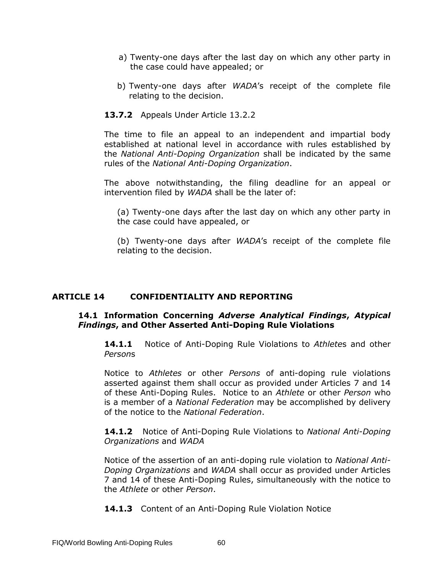- a) Twenty-one days after the last day on which any other party in the case could have appealed; or
- b) Twenty-one days after *WADA*'s receipt of the complete file relating to the decision.

#### **13.7.2** Appeals Under Article 13.2.2

The time to file an appeal to an independent and impartial body established at national level in accordance with rules established by the *National Anti-Doping Organization* shall be indicated by the same rules of the *National Anti-Doping Organization*.

The above notwithstanding, the filing deadline for an appeal or intervention filed by *WADA* shall be the later of:

(a) Twenty-one days after the last day on which any other party in the case could have appealed, or

(b) Twenty-one days after *WADA*'s receipt of the complete file relating to the decision.

### **ARTICLE 14 CONFIDENTIALITY AND REPORTING**

#### **14.1 Information Concerning** *Adverse Analytical Findings***,** *Atypical Findings***, and Other Asserted Anti-Doping Rule Violations**

**14.1.1** Notice of Anti-Doping Rule Violations to *Athlete*s and other *Person*s

Notice to *Athletes* or other *Persons* of anti-doping rule violations asserted against them shall occur as provided under Articles 7 and 14 of these Anti-Doping Rules. Notice to an *Athlete* or other *Person* who is a member of a *National Federation* may be accomplished by delivery of the notice to the *National Federation*.

**14.1.2** Notice of Anti-Doping Rule Violations to *National Anti-Doping Organizations* and *WADA*

Notice of the assertion of an anti-doping rule violation to *National Anti-Doping Organizations* and *WADA* shall occur as provided under Articles 7 and 14 of these Anti-Doping Rules, simultaneously with the notice to the *Athlete* or other *Person*.

**14.1.3** Content of an Anti-Doping Rule Violation Notice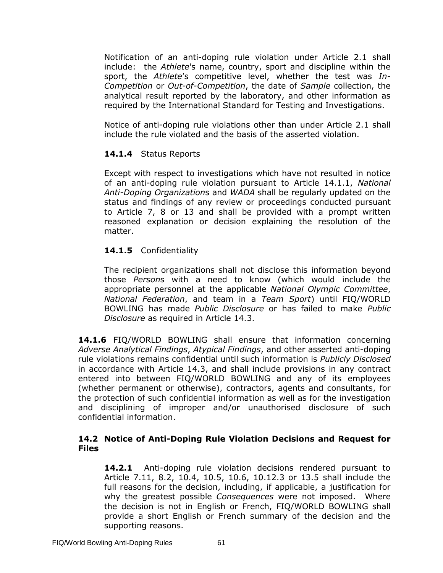Notification of an anti-doping rule violation under Article 2.1 shall include: the *Athlete*'s name, country, sport and discipline within the sport, the *Athlete*'s competitive level, whether the test was *In-Competition* or *Out-of-Competition*, the date of *Sample* collection, the analytical result reported by the laboratory, and other information as required by the International Standard for Testing and Investigations.

Notice of anti-doping rule violations other than under Article 2.1 shall include the rule violated and the basis of the asserted violation.

# **14.1.4** Status Reports

Except with respect to investigations which have not resulted in notice of an anti-doping rule violation pursuant to Article 14.1.1, *National Anti-Doping Organization*s and *WADA* shall be regularly updated on the status and findings of any review or proceedings conducted pursuant to Article 7, 8 or 13 and shall be provided with a prompt written reasoned explanation or decision explaining the resolution of the matter.

# **14.1.5** Confidentiality

The recipient organizations shall not disclose this information beyond those *Person*s with a need to know (which would include the appropriate personnel at the applicable *National Olympic Committee*, *National Federation*, and team in a *Team Sport*) until FIQ/WORLD BOWLING has made *Public Disclosure* or has failed to make *Public Disclosure* as required in Article 14.3.

**14.1.6** FIQ/WORLD BOWLING shall ensure that information concerning *Adverse Analytical Findings*, *Atypical Findings*, and other asserted anti-doping rule violations remains confidential until such information is *Publicly Disclosed*  in accordance with Article 14.3, and shall include provisions in any contract entered into between FIQ/WORLD BOWLING and any of its employees (whether permanent or otherwise), contractors, agents and consultants, for the protection of such confidential information as well as for the investigation and disciplining of improper and/or unauthorised disclosure of such confidential information.

### **14.2 Notice of Anti-Doping Rule Violation Decisions and Request for Files**

**14.2.1** Anti-doping rule violation decisions rendered pursuant to Article 7.11, 8.2, 10.4, 10.5, 10.6, 10.12.3 or 13.5 shall include the full reasons for the decision, including, if applicable, a justification for why the greatest possible *Consequences* were not imposed. Where the decision is not in English or French, FIQ/WORLD BOWLING shall provide a short English or French summary of the decision and the supporting reasons.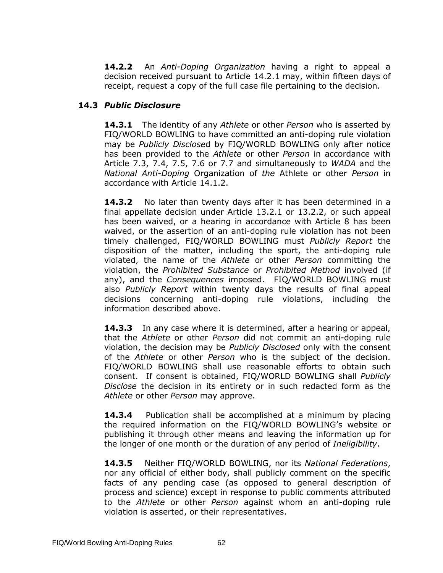**14.2.2** An *Anti-Doping Organization* having a right to appeal a decision received pursuant to Article 14.2.1 may, within fifteen days of receipt, request a copy of the full case file pertaining to the decision.

# **14.3** *Public Disclosure*

**14.3.1** The identity of any *Athlete* or other *Person* who is asserted by FIQ/WORLD BOWLING to have committed an anti-doping rule violation may be *Publicly Disclose*d by FIQ/WORLD BOWLING only after notice has been provided to the *Athlete* or other *Person* in accordance with Article 7.3, 7.4, 7.5, 7.6 or 7.7 and simultaneously to *WADA* and the *National Anti-Doping* Organization of *the* Athlete or other *Person* in accordance with Article 14.1.2.

**14.3.2** No later than twenty days after it has been determined in a final appellate decision under Article 13.2.1 or 13.2.2, or such appeal has been waived, or a hearing in accordance with Article 8 has been waived, or the assertion of an anti-doping rule violation has not been timely challenged, FIQ/WORLD BOWLING must *Publicly Report* the disposition of the matter, including the sport, the anti-doping rule violated, the name of the *Athlete* or other *Person* committing the violation, the *Prohibited Substance* or *Prohibited Method* involved (if any), and the *Consequences* imposed. FIQ/WORLD BOWLING must also *Publicly Report* within twenty days the results of final appeal decisions concerning anti-doping rule violations, including the information described above.

**14.3.3** In any case where it is determined, after a hearing or appeal, that the *Athlete* or other *Person* did not commit an anti-doping rule violation, the decision may be *Publicly Disclosed* only with the consent of the *Athlete* or other *Person* who is the subject of the decision. FIQ/WORLD BOWLING shall use reasonable efforts to obtain such consent. If consent is obtained, FIQ/WORLD BOWLING shall *Publicly Disclose* the decision in its entirety or in such redacted form as the *Athlete* or other *Person* may approve.

**14.3.4** Publication shall be accomplished at a minimum by placing the required information on the FIQ/WORLD BOWLING's website or publishing it through other means and leaving the information up for the longer of one month or the duration of any period of *Ineligibility*.

**14.3.5** Neither FIQ/WORLD BOWLING, nor its *National Federations*, nor any official of either body, shall publicly comment on the specific facts of any pending case (as opposed to general description of process and science) except in response to public comments attributed to the *Athlete* or other *Person* against whom an anti-doping rule violation is asserted, or their representatives.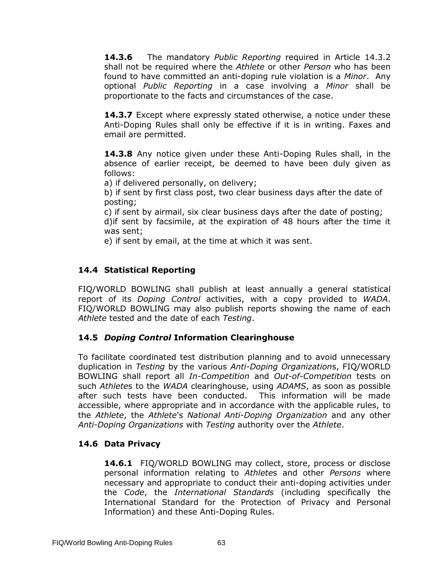**14.3.6** The mandatory *Public Reporting* required in Article 14.3.2 shall not be required where the *Athlete* or other *Person* who has been found to have committed an anti-doping rule violation is a *Minor*. Any optional *Public Reporting* in a case involving a *Minor* shall be proportionate to the facts and circumstances of the case.

14.3.7 Except where expressly stated otherwise, a notice under these Anti-Doping Rules shall only be effective if it is in writing. Faxes and email are permitted.

**14.3.8** Any notice given under these Anti-Doping Rules shall, in the absence of earlier receipt, be deemed to have been duly given as follows:

a) if delivered personally, on delivery;

b) if sent by first class post, two clear business days after the date of posting;

c) if sent by airmail, six clear business days after the date of posting; d)if sent by facsimile, at the expiration of 48 hours after the time it was sent;

e) if sent by email, at the time at which it was sent.

# **14.4 Statistical Reporting**

FIQ/WORLD BOWLING shall publish at least annually a general statistical report of its *Doping Control* activities, with a copy provided to *WADA*. FIQ/WORLD BOWLING may also publish reports showing the name of each *Athlete* tested and the date of each *Testing*.

# **14.5** *Doping Control* **Information Clearinghouse**

To facilitate coordinated test distribution planning and to avoid unnecessary duplication in *Testing* by the various *Anti-Doping Organization*s, FIQ/WORLD BOWLING shall report all *In-Competition* and *Out-of-Competition* tests on such *Athlete*s to the *WADA* clearinghouse, using *ADAMS*, as soon as possible after such tests have been conducted. This information will be made accessible, where appropriate and in accordance with the applicable rules, to the *Athlete*, the *Athlete*'s *National Anti-Doping Organization* and any other *Anti-Doping Organizations* with *Testing* authority over the *Athlete*.

# **14.6 Data Privacy**

**14.6.1** FIQ/WORLD BOWLING may collect, store, process or disclose personal information relating to *Athlete*s and other *Persons* where necessary and appropriate to conduct their anti-doping activities under the *Code*, the *International Standards* (including specifically the International Standard for the Protection of Privacy and Personal Information) and these Anti-Doping Rules.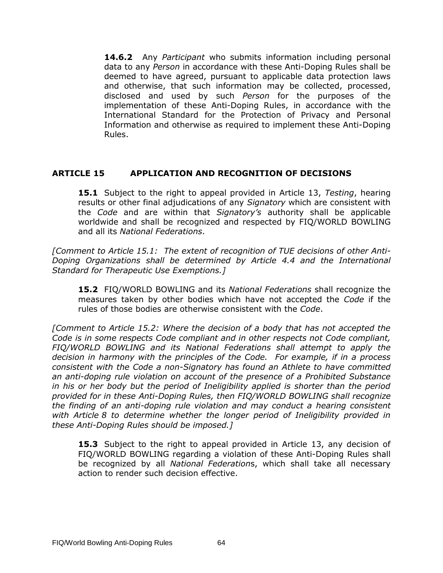**14.6.2** Any *Participant* who submits information including personal data to any *Person* in accordance with these Anti-Doping Rules shall be deemed to have agreed, pursuant to applicable data protection laws and otherwise, that such information may be collected, processed, disclosed and used by such *Person* for the purposes of the implementation of these Anti-Doping Rules, in accordance with the International Standard for the Protection of Privacy and Personal Information and otherwise as required to implement these Anti-Doping Rules.

### **ARTICLE 15 APPLICATION AND RECOGNITION OF DECISIONS**

**15.1** Subject to the right to appeal provided in Article 13, *Testing*, hearing results or other final adjudications of any *Signatory* which are consistent with the *Code* and are within that *Signatory's* authority shall be applicable worldwide and shall be recognized and respected by FIQ/WORLD BOWLING and all its *National Federations*.

*[Comment to Article 15.1: The extent of recognition of TUE decisions of other Anti-Doping Organizations shall be determined by Article 4.4 and the International Standard for Therapeutic Use Exemptions.]*

**15.2** FIQ/WORLD BOWLING and its *National Federations* shall recognize the measures taken by other bodies which have not accepted the *Code* if the rules of those bodies are otherwise consistent with the *Code*.

*[Comment to Article 15.2: Where the decision of a body that has not accepted the Code is in some respects Code compliant and in other respects not Code compliant, FIQ/WORLD BOWLING and its National Federations shall attempt to apply the decision in harmony with the principles of the Code. For example, if in a process consistent with the Code a non-Signatory has found an Athlete to have committed an anti-doping rule violation on account of the presence of a Prohibited Substance in his or her body but the period of Ineligibility applied is shorter than the period provided for in these Anti-Doping Rules, then FIQ/WORLD BOWLING shall recognize the finding of an anti-doping rule violation and may conduct a hearing consistent with Article 8 to determine whether the longer period of Ineligibility provided in these Anti-Doping Rules should be imposed.]*

**15.3** Subject to the right to appeal provided in Article 13, any decision of FIQ/WORLD BOWLING regarding a violation of these Anti-Doping Rules shall be recognized by all *National Federation*s, which shall take all necessary action to render such decision effective.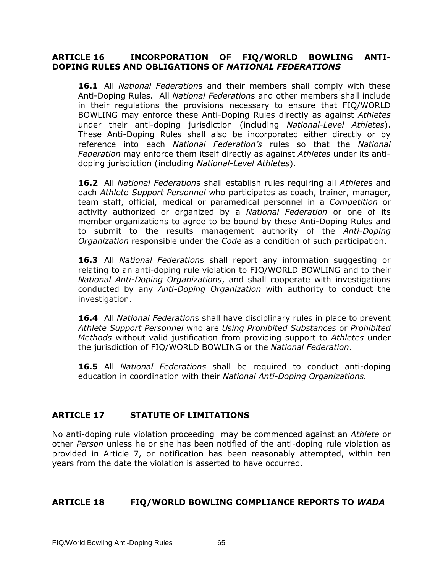#### **ARTICLE 16 INCORPORATION OF FIQ/WORLD BOWLING ANTI-DOPING RULES AND OBLIGATIONS OF** *NATIONAL FEDERATIONS*

**16.1** All *National Federation*s and their members shall comply with these Anti-Doping Rules. All *National Federation*s and other members shall include in their regulations the provisions necessary to ensure that FIQ/WORLD BOWLING may enforce these Anti-Doping Rules directly as against *Athletes*  under their anti-doping jurisdiction (including *National-Level Athletes*). These Anti-Doping Rules shall also be incorporated either directly or by reference into each *National Federation's* rules so that the *National Federation* may enforce them itself directly as against *Athletes* under its antidoping jurisdiction (including *National-Level Athletes*).

**16.2** All *National Federation*s shall establish rules requiring all *Athlete*s and each *Athlete Support Personnel* who participates as coach, trainer, manager, team staff, official, medical or paramedical personnel in a *Competition* or activity authorized or organized by a *National Federation* or one of its member organizations to agree to be bound by these Anti-Doping Rules and to submit to the results management authority of the *Anti-Doping Organization* responsible under the *Code* as a condition of such participation.

**16.3** All *National Federation*s shall report any information suggesting or relating to an anti-doping rule violation to FIQ/WORLD BOWLING and to their *National Anti-Doping Organizations*, and shall cooperate with investigations conducted by any *Anti-Doping Organization* with authority to conduct the investigation.

**16.4** All *National Federation*s shall have disciplinary rules in place to prevent *Athlete Support Personnel* who are *Using Prohibited Substances* or *Prohibited Methods* without valid justification from providing support to *Athletes* under the jurisdiction of FIQ/WORLD BOWLING or the *National Federation*.

**16.5** All *National Federations* shall be required to conduct anti-doping education in coordination with their *National Anti-Doping Organizations.*

### **ARTICLE 17 STATUTE OF LIMITATIONS**

No anti-doping rule violation proceeding may be commenced against an *Athlete* or other *Person* unless he or she has been notified of the anti-doping rule violation as provided in Article 7, or notification has been reasonably attempted, within ten years from the date the violation is asserted to have occurred.

### **ARTICLE 18 FIQ/WORLD BOWLING COMPLIANCE REPORTS TO** *WADA*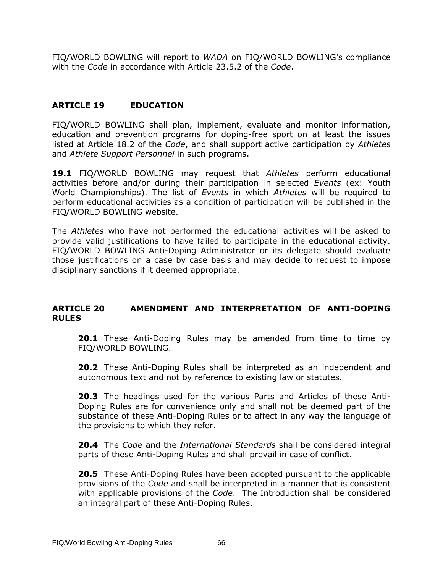FIQ/WORLD BOWLING will report to *WADA* on FIQ/WORLD BOWLING's compliance with the *Code* in accordance with Article 23.5.2 of the *Code*.

### **ARTICLE 19 EDUCATION**

FIQ/WORLD BOWLING shall plan, implement, evaluate and monitor information, education and prevention programs for doping-free sport on at least the issues listed at Article 18.2 of the *Code*, and shall support active participation by *Athlete*s and *Athlete Support Personnel* in such programs.

**19.1** FIQ/WORLD BOWLING may request that *Athletes* perform educational activities before and/or during their participation in selected *Events* (ex: Youth World Championships). The list of *Events* in which *Athletes* will be required to perform educational activities as a condition of participation will be published in the FIQ/WORLD BOWLING website.

The *Athletes* who have not performed the educational activities will be asked to provide valid justifications to have failed to participate in the educational activity. FIQ/WORLD BOWLING Anti-Doping Administrator or its delegate should evaluate those justifications on a case by case basis and may decide to request to impose disciplinary sanctions if it deemed appropriate.

#### **ARTICLE 20 AMENDMENT AND INTERPRETATION OF ANTI-DOPING RULES**

**20.1** These Anti-Doping Rules may be amended from time to time by FIQ/WORLD BOWLING.

**20.2** These Anti-Doping Rules shall be interpreted as an independent and autonomous text and not by reference to existing law or statutes.

**20.3** The headings used for the various Parts and Articles of these Anti-Doping Rules are for convenience only and shall not be deemed part of the substance of these Anti-Doping Rules or to affect in any way the language of the provisions to which they refer.

**20.4** The *Code* and the *International Standards* shall be considered integral parts of these Anti-Doping Rules and shall prevail in case of conflict.

**20.5** These Anti-Doping Rules have been adopted pursuant to the applicable provisions of the *Code* and shall be interpreted in a manner that is consistent with applicable provisions of the *Code*. The Introduction shall be considered an integral part of these Anti-Doping Rules.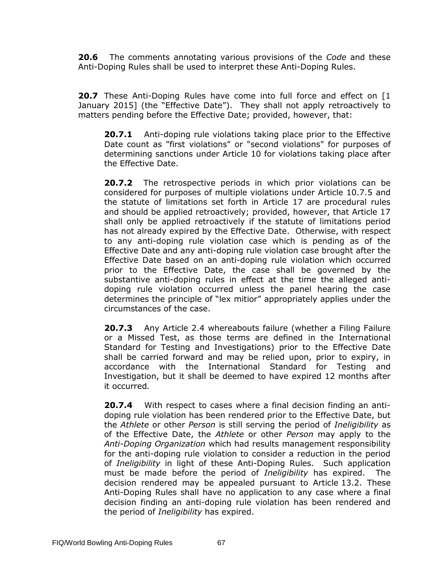**20.6** The comments annotating various provisions of the *Code* and these Anti-Doping Rules shall be used to interpret these Anti-Doping Rules.

**20.7** These Anti-Doping Rules have come into full force and effect on [1] January 2015] (the "Effective Date"). They shall not apply retroactively to matters pending before the Effective Date; provided, however, that:

**20.7.1** Anti-doping rule violations taking place prior to the Effective Date count as "first violations" or "second violations" for purposes of determining sanctions under Article 10 for violations taking place after the Effective Date.

**20.7.2** The retrospective periods in which prior violations can be considered for purposes of multiple violations under Article 10.7.5 and the statute of limitations set forth in Article 17 are procedural rules and should be applied retroactively; provided, however, that Article 17 shall only be applied retroactively if the statute of limitations period has not already expired by the Effective Date. Otherwise, with respect to any anti-doping rule violation case which is pending as of the Effective Date and any anti-doping rule violation case brought after the Effective Date based on an anti-doping rule violation which occurred prior to the Effective Date, the case shall be governed by the substantive anti-doping rules in effect at the time the alleged antidoping rule violation occurred unless the panel hearing the case determines the principle of "lex mitior" appropriately applies under the circumstances of the case.

**20.7.3** Any Article 2.4 whereabouts failure (whether a Filing Failure or a Missed Test, as those terms are defined in the International Standard for Testing and Investigations) prior to the Effective Date shall be carried forward and may be relied upon, prior to expiry, in accordance with the International Standard for Testing and Investigation, but it shall be deemed to have expired 12 months after it occurred*.* 

**20.7.4** With respect to cases where a final decision finding an antidoping rule violation has been rendered prior to the Effective Date, but the *Athlete* or other *Person* is still serving the period of *Ineligibility* as of the Effective Date, the *Athlete* or other *Person* may apply to the *Anti-Doping Organization* which had results management responsibility for the anti-doping rule violation to consider a reduction in the period of *Ineligibility* in light of these Anti-Doping Rules. Such application must be made before the period of *Ineligibility* has expired. The decision rendered may be appealed pursuant to Article 13.2. These Anti-Doping Rules shall have no application to any case where a final decision finding an anti-doping rule violation has been rendered and the period of *Ineligibility* has expired.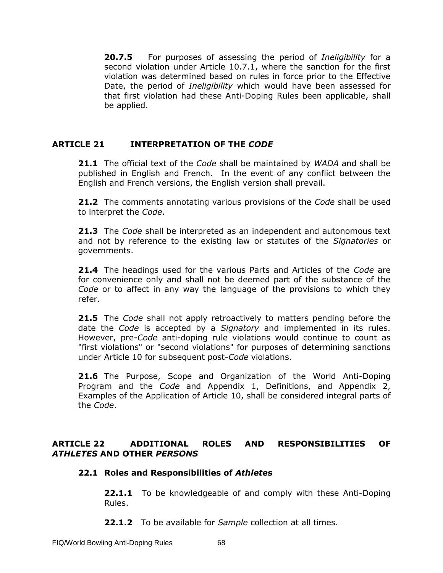**20.7.5** For purposes of assessing the period of *Ineligibility* for a second violation under Article 10.7.1, where the sanction for the first violation was determined based on rules in force prior to the Effective Date, the period of *Ineligibility* which would have been assessed for that first violation had these Anti-Doping Rules been applicable, shall be applied.

### **ARTICLE 21 INTERPRETATION OF THE** *CODE*

**21.1** The official text of the *Code* shall be maintained by *WADA* and shall be published in English and French. In the event of any conflict between the English and French versions, the English version shall prevail.

**21.2** The comments annotating various provisions of the *Code* shall be used to interpret the *Code*.

**21.3** The *Code* shall be interpreted as an independent and autonomous text and not by reference to the existing law or statutes of the *Signatories* or governments.

**21.4** The headings used for the various Parts and Articles of the *Code* are for convenience only and shall not be deemed part of the substance of the *Code* or to affect in any way the language of the provisions to which they refer.

**21.5** The *Code* shall not apply retroactively to matters pending before the date the *Code* is accepted by a *Signatory* and implemented in its rules. However, pre-*Code* anti-doping rule violations would continue to count as "first violations" or "second violations" for purposes of determining sanctions under Article 10 for subsequent post-*Code* violations.

**21.6** The Purpose, Scope and Organization of the World Anti-Doping Program and the *Code* and Appendix 1, Definitions, and Appendix 2, Examples of the Application of Article 10, shall be considered integral parts of the *Code*.

### **ARTICLE 22 ADDITIONAL ROLES AND RESPONSIBILITIES OF**  *ATHLETES* **AND OTHER** *PERSONS*

### **22.1 Roles and Responsibilities of** *Athlete***s**

**22.1.1** To be knowledgeable of and comply with these Anti-Doping Rules.

**22.1.2** To be available for *Sample* collection at all times.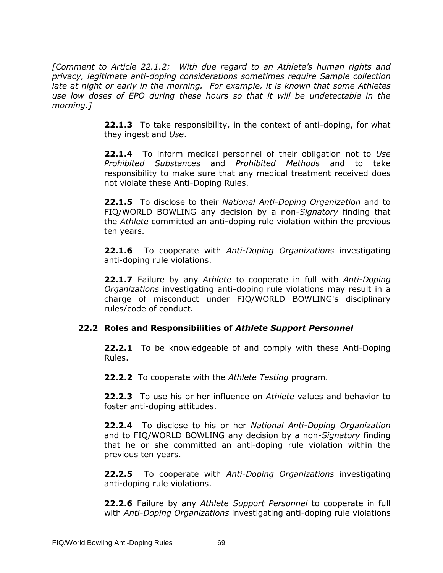*[Comment to Article 22.1.2: With due regard to an Athlete's human rights and privacy, legitimate anti-doping considerations sometimes require Sample collection late at night or early in the morning. For example, it is known that some Athletes use low doses of EPO during these hours so that it will be undetectable in the morning.]*

> **22.1.3** To take responsibility, in the context of anti-doping, for what they ingest and *Use*.

> **22.1.4** To inform medical personnel of their obligation not to *Use Prohibited Substance*s and *Prohibited Method*s and to take responsibility to make sure that any medical treatment received does not violate these Anti-Doping Rules.

> **22.1.5** To disclose to their *National Anti-Doping Organization* and to FIQ/WORLD BOWLING any decision by a non-*Signatory* finding that the *Athlete* committed an anti-doping rule violation within the previous ten years.

> **22.1.6** To cooperate with *Anti-Doping Organizations* investigating anti-doping rule violations.

> **22.1.7** Failure by any *Athlete* to cooperate in full with *Anti-Doping Organizations* investigating anti-doping rule violations may result in a charge of misconduct under FIQ/WORLD BOWLING's disciplinary rules/code of conduct.

# **22.2 Roles and Responsibilities of** *Athlete Support Personnel*

**22.2.1** To be knowledgeable of and comply with these Anti-Doping Rules.

**22.2.2** To cooperate with the *Athlete Testing* program.

**22.2.3** To use his or her influence on *Athlete* values and behavior to foster anti-doping attitudes.

**22.2.4** To disclose to his or her *National Anti-Doping Organization* and to FIQ/WORLD BOWLING any decision by a non-*Signatory* finding that he or she committed an anti-doping rule violation within the previous ten years.

**22.2.5** To cooperate with *Anti-Doping Organizations* investigating anti-doping rule violations.

**22.2.6** Failure by any *Athlete Support Personnel* to cooperate in full with *Anti-Doping Organizations* investigating anti-doping rule violations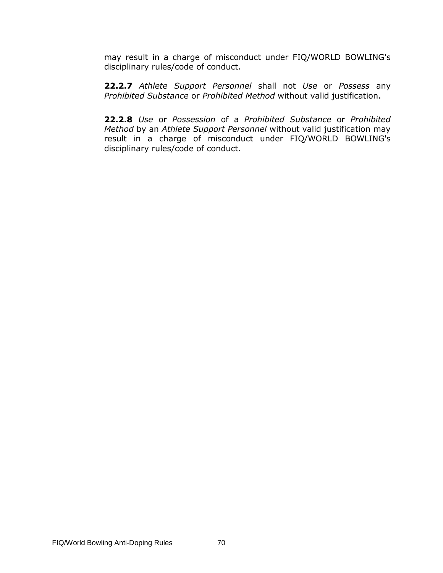may result in a charge of misconduct under FIQ/WORLD BOWLING's disciplinary rules/code of conduct.

**22.2.7** *Athlete Support Personnel* shall not *Use* or *Possess* any *Prohibited Substance* or *Prohibited Method* without valid justification.

**22.2.8** *Use* or *Possession* of a *Prohibited Substance* or *Prohibited Method* by an *Athlete Support Personnel* without valid justification may result in a charge of misconduct under FIQ/WORLD BOWLING's disciplinary rules/code of conduct.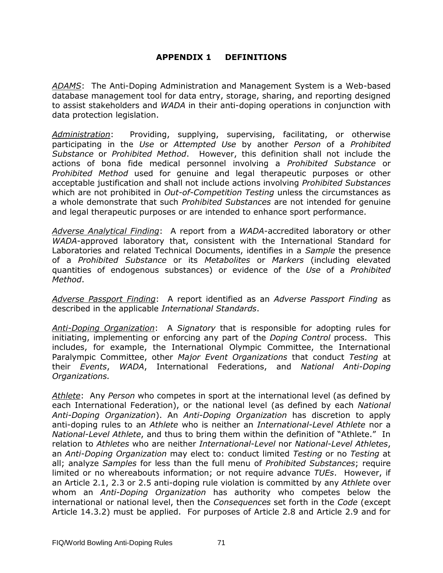#### **APPENDIX 1 DEFINITIONS**

*ADAMS*: The Anti-Doping Administration and Management System is a Web-based database management tool for data entry, storage, sharing, and reporting designed to assist stakeholders and *WADA* in their anti-doping operations in conjunction with data protection legislation.

*Administration*: Providing, supplying, supervising, facilitating, or otherwise participating in the *Use* or *Attempted Use* by another *Person* of a *Prohibited Substance* or *Prohibited Method*. However, this definition shall not include the actions of bona fide medical personnel involving a *Prohibited Substance* or *Prohibited Method* used for genuine and legal therapeutic purposes or other acceptable justification and shall not include actions involving *Prohibited Substances* which are not prohibited in *Out-of-Competition Testing* unless the circumstances as a whole demonstrate that such *Prohibited Substances* are not intended for genuine and legal therapeutic purposes or are intended to enhance sport performance.

*Adverse Analytical Finding*: A report from a *WADA*-accredited laboratory or other *WADA*-approved laboratory that, consistent with the International Standard for Laboratories and related Technical Documents, identifies in a *Sample* the presence of a *Prohibited Substance* or its *Metabolites* or *Markers* (including elevated quantities of endogenous substances) or evidence of the *Use* of a *Prohibited Method*.

*Adverse Passport Finding*: A report identified as an *Adverse Passport Finding* as described in the applicable *International Standards*.

*Anti-Doping Organization*: A *Signatory* that is responsible for adopting rules for initiating, implementing or enforcing any part of the *Doping Control* process. This includes, for example, the International Olympic Committee, the International Paralympic Committee, other *Major Event Organizations* that conduct *Testing* at their *Events*, *WADA*, International Federations, and *National Anti-Doping Organizations.*

*Athlete*: Any *Person* who competes in sport at the international level (as defined by each International Federation), or the national level (as defined by each *National Anti-Doping Organization*). An *Anti-Doping Organization* has discretion to apply anti-doping rules to an *Athlete* who is neither an *International-Level Athlete* nor a *National-Level Athlete*, and thus to bring them within the definition of "Athlete." In relation to *Athletes* who are neither *International*-*Level* nor *National-Level Athletes*, an *Anti-Doping Organization* may elect to: conduct limited *Testing* or no *Testing* at all; analyze *Samples* for less than the full menu of *Prohibited Substances*; require limited or no whereabouts information; or not require advance *TUEs*. However, if an Article 2.1, 2.3 or 2.5 anti-doping rule violation is committed by any *Athlete* over whom an *Anti-Doping Organization* has authority who competes below the international or national level, then the *Consequences* set forth in the *Code* (except Article 14.3.2) must be applied. For purposes of Article 2.8 and Article 2.9 and for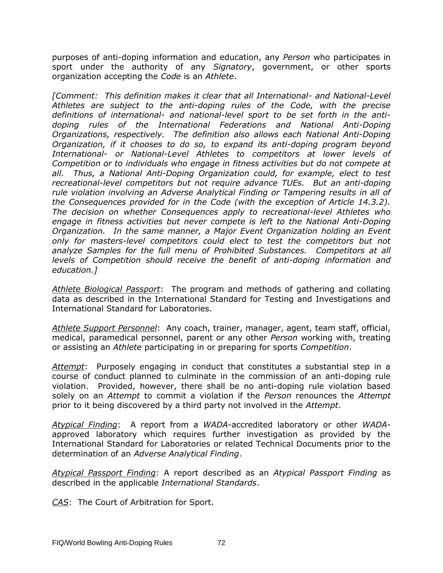purposes of anti-doping information and education, any *Person* who participates in sport under the authority of any *Signatory*, government, or other sports organization accepting the *Code* is an *Athlete*.

*[Comment: This definition makes it clear that all International- and National-Level Athletes are subject to the anti-doping rules of the Code, with the precise definitions of international- and national-level sport to be set forth in the antidoping rules of the International Federations and National Anti-Doping Organizations, respectively. The definition also allows each National Anti-Doping Organization, if it chooses to do so, to expand its anti-doping program beyond International- or National-Level Athletes to competitors at lower levels of Competition or to individuals who engage in fitness activities but do not compete at all. Thus, a National Anti-Doping Organization could, for example, elect to test recreational-level competitors but not require advance TUEs. But an anti-doping rule violation involving an Adverse Analytical Finding or Tampering results in all of the Consequences provided for in the Code (with the exception of Article 14.3.2). The decision on whether Consequences apply to recreational-level Athletes who engage in fitness activities but never compete is left to the National Anti-Doping Organization. In the same manner, a Major Event Organization holding an Event*  only for masters-level competitors could elect to test the competitors but not *analyze Samples for the full menu of Prohibited Substances. Competitors at all levels of Competition should receive the benefit of anti-doping information and education.]* 

*Athlete Biological Passport*: The program and methods of gathering and collating data as described in the International Standard for Testing and Investigations and International Standard for Laboratories.

*Athlete Support Personnel*: Any coach, trainer, manager, agent, team staff, official, medical, paramedical personnel, parent or any other *Person* working with, treating or assisting an *Athlete* participating in or preparing for sports *Competition*.

*Attempt*: Purposely engaging in conduct that constitutes a substantial step in a course of conduct planned to culminate in the commission of an anti-doping rule violation. Provided, however, there shall be no anti-doping rule violation based solely on an *Attempt* to commit a violation if the *Person* renounces the *Attempt* prior to it being discovered by a third party not involved in the *Attempt*.

*Atypical Finding*: A report from a *WADA*-accredited laboratory or other *WADA*approved laboratory which requires further investigation as provided by the International Standard for Laboratories or related Technical Documents prior to the determination of an *Adverse Analytical Finding*.

*Atypical Passport Finding*: A report described as an *Atypical Passport Finding* as described in the applicable *International Standards*.

*CAS*: The Court of Arbitration for Sport.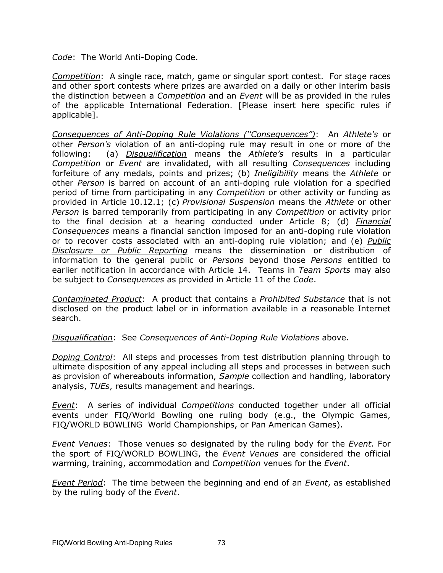*Code*: The World Anti-Doping Code.

*Competition*: A single race, match, game or singular sport contest. For stage races and other sport contests where prizes are awarded on a daily or other interim basis the distinction between a *Competition* and an *Event* will be as provided in the rules of the applicable International Federation. [Please insert here specific rules if applicable].

*Consequences of Anti-Doping Rule Violations ("Consequences")*: An *Athlete's* or other *Person's* violation of an anti-doping rule may result in one or more of the following: (a) *Disqualification* means the *Athlete's* results in a particular *Competition* or *Event* are invalidated, with all resulting *Consequences* including forfeiture of any medals, points and prizes; (b) *Ineligibility* means the *Athlete* or other *Person* is barred on account of an anti-doping rule violation for a specified period of time from participating in any *Competition* or other activity or funding as provided in Article 10.12.1; (c) *Provisional Suspension* means the *Athlete* or other *Person* is barred temporarily from participating in any *Competition* or activity prior to the final decision at a hearing conducted under Article 8; (d) *Financial Consequences* means a financial sanction imposed for an anti-doping rule violation or to recover costs associated with an anti-doping rule violation; and (e) *Public Disclosure or Public Reporting* means the dissemination or distribution of information to the general public or *Persons* beyond those *Persons* entitled to earlier notification in accordance with Article 14. Teams in *Team Sports* may also be subject to *Consequences* as provided in Article 11 of the *Code*.

*Contaminated Product*:A product that contains a *Prohibited Substance* that is not disclosed on the product label or in information available in a reasonable Internet search.

*Disqualification*: See *Consequences of Anti-Doping Rule Violations* above.

*Doping Control*: All steps and processes from test distribution planning through to ultimate disposition of any appeal including all steps and processes in between such as provision of whereabouts information, *Sample* collection and handling, laboratory analysis, *TUEs*, results management and hearings.

*Event*: A series of individual *Competitions* conducted together under all official events under FIQ/World Bowling one ruling body (e.g., the Olympic Games, FIQ/WORLD BOWLING World Championships, or Pan American Games).

*Event Venues*: Those venues so designated by the ruling body for the *Event*. For the sport of FIQ/WORLD BOWLING, the *Event Venues* are considered the official warming, training, accommodation and *Competition* venues for the *Event*.

*Event Period*: The time between the beginning and end of an *Event*, as established by the ruling body of the *Event*.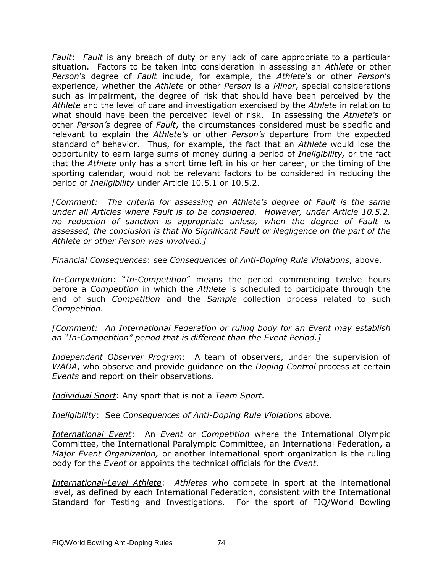*Fault*: *Fault* is any breach of duty or any lack of care appropriate to a particular situation. Factors to be taken into consideration in assessing an *Athlete* or other *Person*'s degree of *Fault* include, for example, the *Athlete*'s or other *Person*'s experience, whether the *Athlete* or other *Person* is a *Minor*, special considerations such as impairment, the degree of risk that should have been perceived by the *Athlete* and the level of care and investigation exercised by the *Athlete* in relation to what should have been the perceived level of risk. In assessing the *Athlete's* or other *Person's* degree of *Fault*, the circumstances considered must be specific and relevant to explain the *Athlete's* or other *Person's* departure from the expected standard of behavior. Thus, for example, the fact that an *Athlete* would lose the opportunity to earn large sums of money during a period of *Ineligibility,* or the fact that the *Athlete* only has a short time left in his or her career, or the timing of the sporting calendar, would not be relevant factors to be considered in reducing the period of *Ineligibility* under Article 10.5.1 or 10.5.2.

*[Comment: The criteria for assessing an Athlete's degree of Fault is the same under all Articles where Fault is to be considered. However, under Article 10.5.2, no reduction of sanction is appropriate unless, when the degree of Fault is assessed, the conclusion is that No Significant Fault or Negligence on the part of the Athlete or other Person was involved.]*

*Financial Consequences*: see *Consequences of Anti-Doping Rule Violations*, above.

*In-Competition*: "*In-Competition*" means the period commencing twelve hours before a *Competition* in which the *Athlete* is scheduled to participate through the end of such *Competition* and the *Sample* collection process related to such *Competition*.

*[Comment: An International Federation or ruling body for an Event may establish an "In-Competition" period that is different than the Event Period.]*

*Independent Observer Program*: A team of observers, under the supervision of *WADA*, who observe and provide guidance on the *Doping Control* process at certain *Events* and report on their observations.

*Individual Sport*: Any sport that is not a *Team Sport.*

*Ineligibility*: See *Consequences of Anti-Doping Rule Violations* above.

*International Event*:An *Event* or *Competition* where the International Olympic Committee, the International Paralympic Committee, an International Federation, a *Major Event Organization,* or another international sport organization is the ruling body for the *Event* or appoints the technical officials for the *Event.*

*International-Level Athlete*: *Athletes* who compete in sport at the international level, as defined by each International Federation, consistent with the International Standard for Testing and Investigations. For the sport of FIQ/World Bowling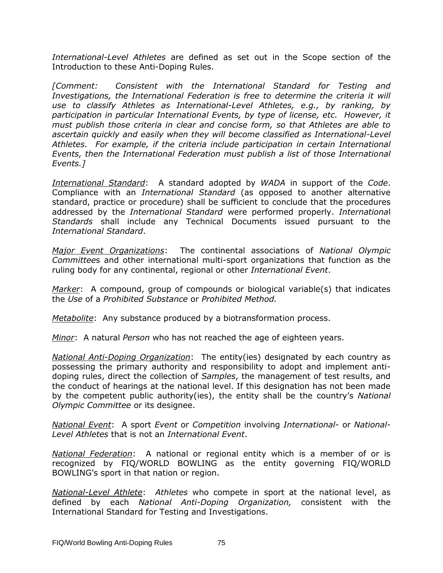*International-Level Athletes* are defined as set out in the Scope section of the Introduction to these Anti-Doping Rules.

*[Comment: Consistent with the International Standard for Testing and Investigations, the International Federation is free to determine the criteria it will use to classify Athletes as International-Level Athletes, e.g., by ranking, by participation in particular International Events, by type of license, etc. However, it must publish those criteria in clear and concise form, so that Athletes are able to ascertain quickly and easily when they will become classified as International-Level Athletes. For example, if the criteria include participation in certain International Events, then the International Federation must publish a list of those International Events.]*

*International Standard*: A standard adopted by *WADA* in support of the *Code*. Compliance with an *International Standard* (as opposed to another alternative standard, practice or procedure) shall be sufficient to conclude that the procedures addressed by the *International Standard* were performed properly. *Internationa*l *Standards* shall include any Technical Documents issued pursuant to the *International Standard*.

*Major Event Organizations*: The continental associations of *National Olympic Committee*s and other international multi-sport organizations that function as the ruling body for any continental, regional or other *International Event*.

*Marker*: A compound, group of compounds or biological variable(s) that indicates the *Use* of a *Prohibited Substance* or *Prohibited Method.*

*Metabolite*: Any substance produced by a biotransformation process.

*Minor*: A natural *Person* who has not reached the age of eighteen years.

*National Anti-Doping Organization*: The entity(ies) designated by each country as possessing the primary authority and responsibility to adopt and implement antidoping rules, direct the collection of *Samples*, the management of test results, and the conduct of hearings at the national level. If this designation has not been made by the competent public authority(ies), the entity shall be the country's *National Olympic Committee* or its designee.

*National Event*: A sport *Event* or *Competition* involving *International-* or *National-Level Athletes* that is not an *International Event*.

*National Federation*: A national or regional entity which is a member of or is recognized by FIQ/WORLD BOWLING as the entity governing FIQ/WORLD BOWLING's sport in that nation or region.

*National-Level Athlete*: *Athletes* who compete in sport at the national level, as defined by each *National Anti-Doping Organization,* consistent with the International Standard for Testing and Investigations.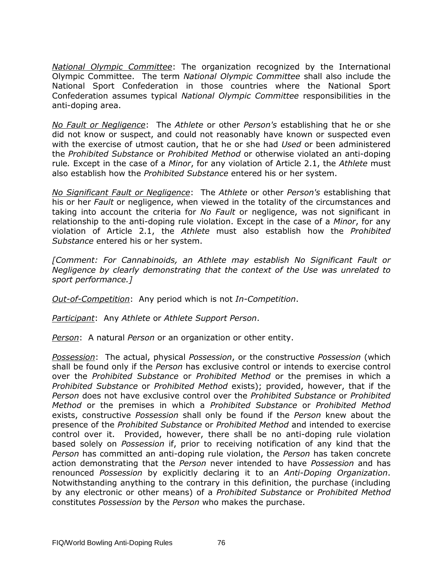*National Olympic Committee*: The organization recognized by the International Olympic Committee. The term *National Olympic Committee* shall also include the National Sport Confederation in those countries where the National Sport Confederation assumes typical *National Olympic Committee* responsibilities in the anti-doping area.

*No Fault or Negligence*: The *Athlete* or other *Person's* establishing that he or she did not know or suspect, and could not reasonably have known or suspected even with the exercise of utmost caution, that he or she had *Used* or been administered the *Prohibited Substance* or *Prohibited Method* or otherwise violated an anti-doping rule*.* Except in the case of a *Minor*, for any violation of Article 2.1, the *Athlete* must also establish how the *Prohibited Substance* entered his or her system.

*No Significant Fault or Negligence*: The *Athlete* or other *Person's* establishing that his or her *Fault* or negligence, when viewed in the totality of the circumstances and taking into account the criteria for *No Fault* or negligence, was not significant in relationship to the anti-doping rule violation. Except in the case of a *Minor*, for any violation of Article 2.1, the *Athlete* must also establish how the *Prohibited Substance* entered his or her system.

*[Comment: For Cannabinoids, an Athlete may establish No Significant Fault or Negligence by clearly demonstrating that the context of the Use was unrelated to sport performance.]*

*Out-of-Competition*: Any period which is not *In-Competition*.

*Participant*: Any *Athlete* or *Athlete Support Person*.

*Person*: A natural *Person* or an organization or other entity.

*Possession*: The actual, physical *Possession*, or the constructive *Possession* (which shall be found only if the *Person* has exclusive control or intends to exercise control over the *Prohibited Substance* or *Prohibited Method* or the premises in which a *Prohibited Substance* or *Prohibited Method* exists); provided, however, that if the *Person* does not have exclusive control over the *Prohibited Substance* or *Prohibited Method* or the premises in which a *Prohibited Substance* or *Prohibited Method* exists, constructive *Possession* shall only be found if the *Person* knew about the presence of the *Prohibited Substance* or *Prohibited Method* and intended to exercise control over it. Provided, however, there shall be no anti-doping rule violation based solely on *Possession* if, prior to receiving notification of any kind that the *Person* has committed an anti-doping rule violation, the *Person* has taken concrete action demonstrating that the *Person* never intended to have *Possession* and has renounced *Possession* by explicitly declaring it to an *Anti-Doping Organization*. Notwithstanding anything to the contrary in this definition, the purchase (including by any electronic or other means) of a *Prohibited Substance* or *Prohibited Method* constitutes *Possession* by the *Person* who makes the purchase.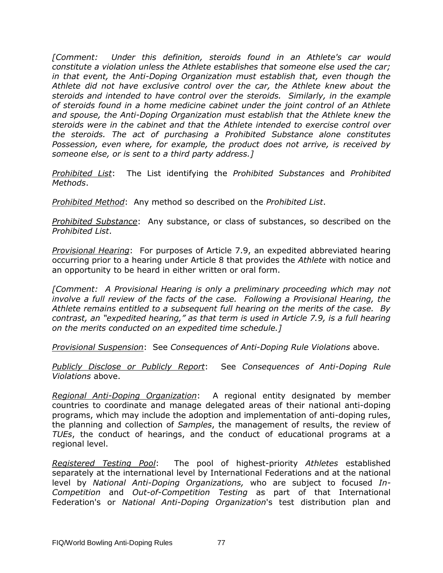*[Comment: Under this definition, steroids found in an Athlete's car would constitute a violation unless the Athlete establishes that someone else used the car; in that event, the Anti-Doping Organization must establish that, even though the Athlete did not have exclusive control over the car, the Athlete knew about the steroids and intended to have control over the steroids. Similarly, in the example of steroids found in a home medicine cabinet under the joint control of an Athlete and spouse, the Anti-Doping Organization must establish that the Athlete knew the steroids were in the cabinet and that the Athlete intended to exercise control over the steroids. The act of purchasing a Prohibited Substance alone constitutes Possession, even where, for example, the product does not arrive, is received by someone else, or is sent to a third party address.]*

*Prohibited List*: The List identifying the *Prohibited Substances* and *Prohibited Methods*.

*Prohibited Method*: Any method so described on the *Prohibited List*.

*Prohibited Substance*: Any substance, or class of substances, so described on the *Prohibited List*.

*Provisional Hearing*: For purposes of Article 7.9, an expedited abbreviated hearing occurring prior to a hearing under Article 8 that provides the *Athlete* with notice and an opportunity to be heard in either written or oral form.

*[Comment: A Provisional Hearing is only a preliminary proceeding which may not involve a full review of the facts of the case. Following a Provisional Hearing, the Athlete remains entitled to a subsequent full hearing on the merits of the case. By contrast, an "expedited hearing," as that term is used in Article 7.9, is a full hearing on the merits conducted on an expedited time schedule.]*

*Provisional Suspension*: See *Consequences of Anti-Doping Rule Violations* above.

*Publicly Disclose or Publicly Report*: See *Consequences of Anti-Doping Rule Violations* above.

*Regional Anti-Doping Organization*:A regional entity designated by member countries to coordinate and manage delegated areas of their national anti-doping programs, which may include the adoption and implementation of anti-doping rules, the planning and collection of *Samples*, the management of results, the review of *TUEs*, the conduct of hearings, and the conduct of educational programs at a regional level.

*Registered Testing Pool*: The pool of highest-priority *Athletes* established separately at the international level by International Federations and at the national level by *National Anti-Doping Organizations,* who are subject to focused *In-Competition* and *Out-of-Competition Testing* as part of that International Federation's or *National Anti-Doping Organization*'s test distribution plan and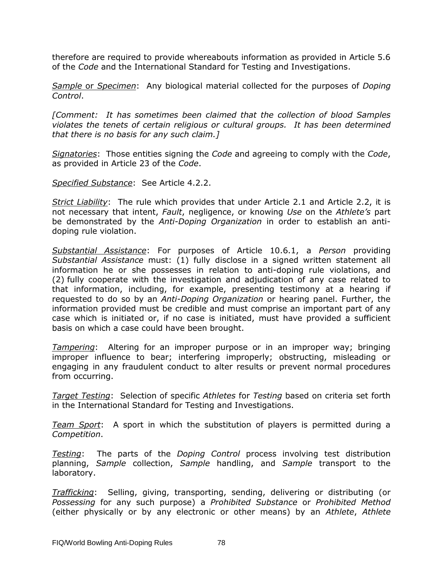therefore are required to provide whereabouts information as provided in Article 5.6 of the *Code* and the International Standard for Testing and Investigations.

*Sample* or *Specimen*: Any biological material collected for the purposes of *Doping Control*.

*[Comment: It has sometimes been claimed that the collection of blood Samples violates the tenets of certain religious or cultural groups. It has been determined that there is no basis for any such claim.]*

*Signatories*: Those entities signing the *Code* and agreeing to comply with the *Code*, as provided in Article 23 of the *Code*.

*Specified Substance*:See Article 4.2.2.

*Strict Liability*: The rule which provides that under Article 2.1 and Article 2.2, it is not necessary that intent, *Fault*, negligence, or knowing *Use* on the *Athlete's* part be demonstrated by the *Anti-Doping Organization* in order to establish an antidoping rule violation.

*Substantial Assistance*: For purposes of Article 10.6.1, a *Person* providing *Substantial Assistance* must: (1) fully disclose in a signed written statement all information he or she possesses in relation to anti-doping rule violations, and (2) fully cooperate with the investigation and adjudication of any case related to that information, including, for example, presenting testimony at a hearing if requested to do so by an *Anti-Doping Organization* or hearing panel. Further, the information provided must be credible and must comprise an important part of any case which is initiated or, if no case is initiated, must have provided a sufficient basis on which a case could have been brought.

*Tampering*:Altering for an improper purpose or in an improper way; bringing improper influence to bear; interfering improperly; obstructing, misleading or engaging in any fraudulent conduct to alter results or prevent normal procedures from occurring.

*Target Testing*: Selection of specific *Athletes* for *Testing* based on criteria set forth in the International Standard for Testing and Investigations.

*Team Sport*: A sport in which the substitution of players is permitted during a *Competition*.

*Testing*: The parts of the *Doping Control* process involving test distribution planning, *Sample* collection, *Sample* handling, and *Sample* transport to the laboratory.

*Trafficking*: Selling, giving, transporting, sending, delivering or distributing (or *Possessing* for any such purpose) a *Prohibited Substance* or *Prohibited Method* (either physically or by any electronic or other means) by an *Athlete*, *Athlete*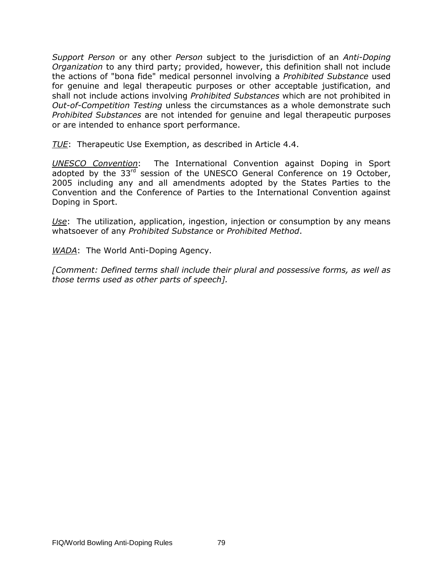*Support Person* or any other *Person* subject to the jurisdiction of an *Anti-Doping Organization* to any third party; provided, however, this definition shall not include the actions of "bona fide" medical personnel involving a *Prohibited Substance* used for genuine and legal therapeutic purposes or other acceptable justification, and shall not include actions involving *Prohibited Substances* which are not prohibited in *Out-of-Competition Testing* unless the circumstances as a whole demonstrate such *Prohibited Substances* are not intended for genuine and legal therapeutic purposes or are intended to enhance sport performance.

*TUE*:Therapeutic Use Exemption, as described in Article 4.4.

*UNESCO Convention*: The International Convention against Doping in Sport adopted by the 33<sup>rd</sup> session of the UNESCO General Conference on 19 October, 2005 including any and all amendments adopted by the States Parties to the Convention and the Conference of Parties to the International Convention against Doping in Sport.

*Use*: The utilization, application, ingestion, injection or consumption by any means whatsoever of any *Prohibited Substance* or *Prohibited Method*.

*WADA*: The World Anti-Doping Agency.

*[Comment: Defined terms shall include their plural and possessive forms, as well as those terms used as other parts of speech].*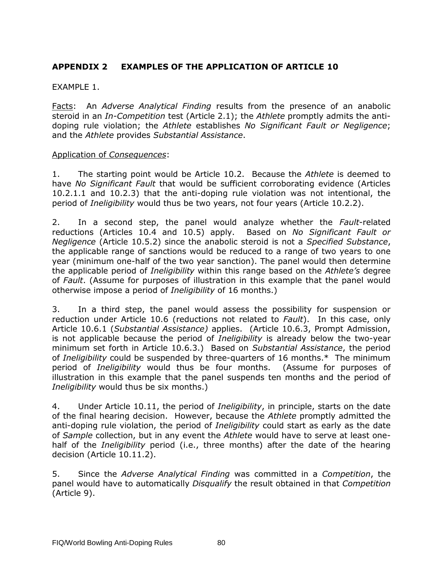# **APPENDIX 2 EXAMPLES OF THE APPLICATION OF ARTICLE 10**

#### EXAMPLE 1.

Facts: An *Adverse Analytical Finding* results from the presence of an anabolic steroid in an *In-Competition* test (Article 2.1); the *Athlete* promptly admits the antidoping rule violation; the *Athlete* establishes *No Significant Fault or Negligence*; and the *Athlete* provides *Substantial Assistance*.

#### Application of *Consequences*:

1. The starting point would be Article 10.2. Because the *Athlete* is deemed to have *No Significant Fault* that would be sufficient corroborating evidence (Articles 10.2.1.1 and 10.2.3) that the anti-doping rule violation was not intentional, the period of *Ineligibility* would thus be two years, not four years (Article 10.2.2).

2. In a second step, the panel would analyze whether the *Fault*-related reductions (Articles 10.4 and 10.5) apply. Based on *No Significant Fault or Negligence* (Article 10.5.2) since the anabolic steroid is not a *Specified Substance*, the applicable range of sanctions would be reduced to a range of two years to one year (minimum one-half of the two year sanction). The panel would then determine the applicable period of *Ineligibility* within this range based on the *Athlete's* degree of *Fault*. (Assume for purposes of illustration in this example that the panel would otherwise impose a period of *Ineligibility* of 16 months.)

3. In a third step, the panel would assess the possibility for suspension or reduction under Article 10.6 (reductions not related to *Fault*). In this case, only Article 10.6.1 (*Substantial Assistance)* applies. (Article 10.6.3, Prompt Admission, is not applicable because the period of *Ineligibility* is already below the two-year minimum set forth in Article 10.6.3.) Based on *Substantial Assistance*, the period of *Ineligibility* could be suspended by three-quarters of 16 months.\* The minimum period of *Ineligibility* would thus be four months. (Assume for purposes of illustration in this example that the panel suspends ten months and the period of *Ineligibility* would thus be six months.)

4. Under Article 10.11, the period of *Ineligibility*, in principle, starts on the date of the final hearing decision. However, because the *Athlete* promptly admitted the anti-doping rule violation, the period of *Ineligibility* could start as early as the date of *Sample* collection, but in any event the *Athlete* would have to serve at least onehalf of the *Ineligibility* period (i.e., three months) after the date of the hearing decision (Article 10.11.2).

5. Since the *Adverse Analytical Finding* was committed in a *Competition*, the panel would have to automatically *Disqualify* the result obtained in that *Competition* (Article 9).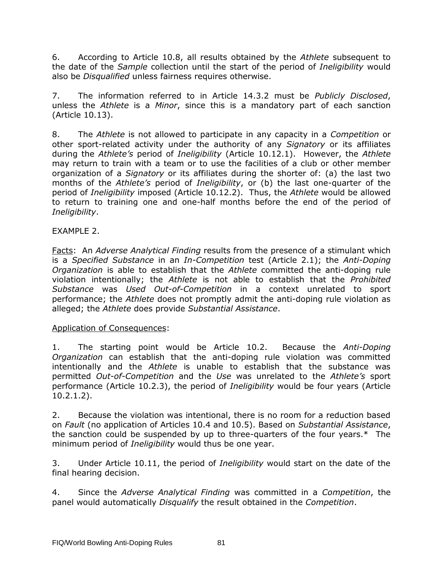6. According to Article 10.8, all results obtained by the *Athlete* subsequent to the date of the *Sample* collection until the start of the period of *Ineligibility* would also be *Disqualified* unless fairness requires otherwise.

7. The information referred to in Article 14.3.2 must be *Publicly Disclosed*, unless the *Athlete* is a *Minor*, since this is a mandatory part of each sanction (Article 10.13).

8. The *Athlete* is not allowed to participate in any capacity in a *Competition* or other sport-related activity under the authority of any *Signatory* or its affiliates during the *Athlete's* period of *Ineligibility* (Article 10.12.1). However, the *Athlete* may return to train with a team or to use the facilities of a club or other member organization of a *Signatory* or its affiliates during the shorter of: (a) the last two months of the *Athlete's* period of *Ineligibility*, or (b) the last one-quarter of the period of *Ineligibility* imposed (Article 10.12.2). Thus, the *Athlete* would be allowed to return to training one and one-half months before the end of the period of *Ineligibility*.

## EXAMPLE 2.

Facts: An *Adverse Analytical Finding* results from the presence of a stimulant which is a *Specified Substance* in an *In-Competition* test (Article 2.1); the *Anti-Doping Organization* is able to establish that the *Athlete* committed the anti-doping rule violation intentionally; the *Athlete* is not able to establish that the *Prohibited Substance* was *Used Out-of-Competition* in a context unrelated to sport performance; the *Athlete* does not promptly admit the anti-doping rule violation as alleged; the *Athlete* does provide *Substantial Assistance*.

## Application of Consequences:

1. The starting point would be Article 10.2. Because the *Anti-Doping Organization* can establish that the anti-doping rule violation was committed intentionally and the *Athlete* is unable to establish that the substance was permitted *Out-of-Competition* and the *Use* was unrelated to the *Athlete's* sport performance (Article 10.2.3), the period of *Ineligibility* would be four years (Article 10.2.1.2).

2. Because the violation was intentional, there is no room for a reduction based on *Fault* (no application of Articles 10.4 and 10.5). Based on *Substantial Assistance*, the sanction could be suspended by up to three-quarters of the four years.\* The minimum period of *Ineligibility* would thus be one year.

3. Under Article 10.11, the period of *Ineligibility* would start on the date of the final hearing decision.

4. Since the *Adverse Analytical Finding* was committed in a *Competition*, the panel would automatically *Disqualify* the result obtained in the *Competition*.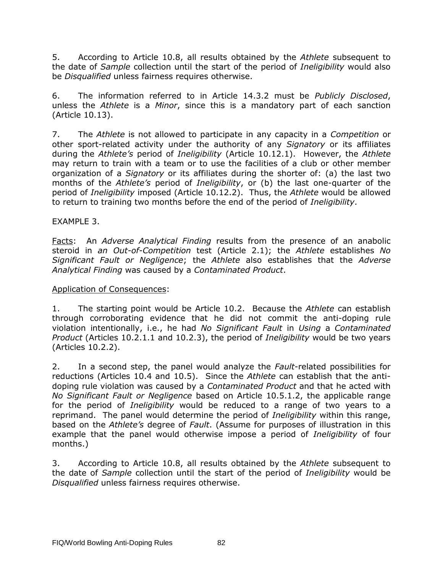5. According to Article 10.8, all results obtained by the *Athlete* subsequent to the date of *Sample* collection until the start of the period of *Ineligibility* would also be *Disqualified* unless fairness requires otherwise.

6. The information referred to in Article 14.3.2 must be *Publicly Disclosed*, unless the *Athlete* is a *Minor*, since this is a mandatory part of each sanction (Article 10.13).

7. The *Athlete* is not allowed to participate in any capacity in a *Competition* or other sport-related activity under the authority of any *Signatory* or its affiliates during the *Athlete's* period of *Ineligibility* (Article 10.12.1). However, the *Athlete* may return to train with a team or to use the facilities of a club or other member organization of a *Signatory* or its affiliates during the shorter of: (a) the last two months of the *Athlete's* period of *Ineligibility*, or (b) the last one-quarter of the period of *Ineligibility* imposed (Article 10.12.2). Thus, the *Athlete* would be allowed to return to training two months before the end of the period of *Ineligibility*.

## EXAMPLE 3.

Facts: An *Adverse Analytical Finding* results from the presence of an anabolic steroid in *an Out-of-Competition* test (Article 2.1); the *Athlete* establishes *No Significant Fault or Negligence*; the *Athlete* also establishes that the *Adverse Analytical Finding* was caused by a *Contaminated Product*.

#### Application of Consequences:

1. The starting point would be Article 10.2. Because the *Athlete* can establish through corroborating evidence that he did not commit the anti-doping rule violation intentionally, i.e., he had *No Significant Fault* in *Using* a *Contaminated Product* (Articles 10.2.1.1 and 10.2.3), the period of *Ineligibility* would be two years (Articles 10.2.2).

2. In a second step, the panel would analyze the *Fault*-related possibilities for reductions (Articles 10.4 and 10.5). Since the *Athlete* can establish that the antidoping rule violation was caused by a *Contaminated Product* and that he acted with *No Significant Fault or Negligence* based on Article 10.5.1.2, the applicable range for the period of *Ineligibility* would be reduced to a range of two years to a reprimand. The panel would determine the period of *Ineligibility* within this range, based on the *Athlete's* degree of *Fault*. (Assume for purposes of illustration in this example that the panel would otherwise impose a period of *Ineligibility* of four months.)

3. According to Article 10.8, all results obtained by the *Athlete* subsequent to the date of *Sample* collection until the start of the period of *Ineligibility* would be *Disqualified* unless fairness requires otherwise.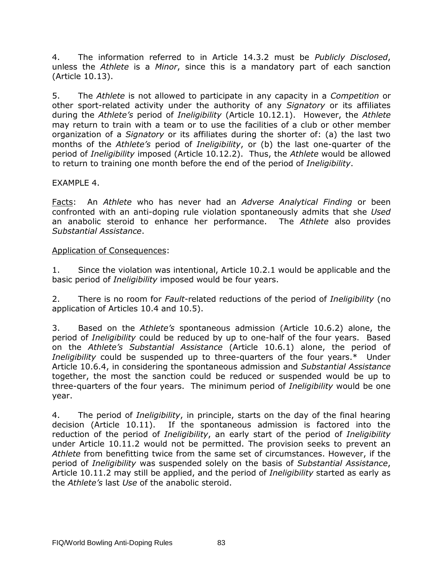4. The information referred to in Article 14.3.2 must be *Publicly Disclosed*, unless the *Athlete* is a *Minor*, since this is a mandatory part of each sanction (Article 10.13).

5. The *Athlete* is not allowed to participate in any capacity in a *Competition* or other sport-related activity under the authority of any *Signatory* or its affiliates during the *Athlete's* period of *Ineligibility* (Article 10.12.1). However, the *Athlete* may return to train with a team or to use the facilities of a club or other member organization of a *Signatory* or its affiliates during the shorter of: (a) the last two months of the *Athlete's* period of *Ineligibility*, or (b) the last one-quarter of the period of *Ineligibility* imposed (Article 10.12.2). Thus, the *Athlete* would be allowed to return to training one month before the end of the period of *Ineligibility*.

## EXAMPLE 4.

Facts: An *Athlete* who has never had an *Adverse Analytical Finding* or been confronted with an anti-doping rule violation spontaneously admits that she *Used* an anabolic steroid to enhance her performance. The *Athlete* also provides *Substantial Assistance*.

## Application of Consequences:

1. Since the violation was intentional, Article 10.2.1 would be applicable and the basic period of *Ineligibility* imposed would be four years.

2. There is no room for *Fault*-related reductions of the period of *Ineligibility* (no application of Articles 10.4 and 10.5).

3. Based on the *Athlete's* spontaneous admission (Article 10.6.2) alone, the period of *Ineligibility* could be reduced by up to one-half of the four years. Based on the *Athlete's Substantial Assistance* (Article 10.6.1) alone, the period of *Ineligibility* could be suspended up to three-quarters of the four years.\* Under Article 10.6.4, in considering the spontaneous admission and *Substantial Assistance* together, the most the sanction could be reduced or suspended would be up to three-quarters of the four years. The minimum period of *Ineligibility* would be one year.

4. The period of *Ineligibility*, in principle, starts on the day of the final hearing decision (Article 10.11). If the spontaneous admission is factored into the reduction of the period of *Ineligibility*, an early start of the period of *Ineligibility* under Article 10.11.2 would not be permitted. The provision seeks to prevent an *Athlete* from benefitting twice from the same set of circumstances. However, if the period of *Ineligibility* was suspended solely on the basis of *Substantial Assistance*, Article 10.11.2 may still be applied, and the period of *Ineligibility* started as early as the *Athlete's* last *Use* of the anabolic steroid.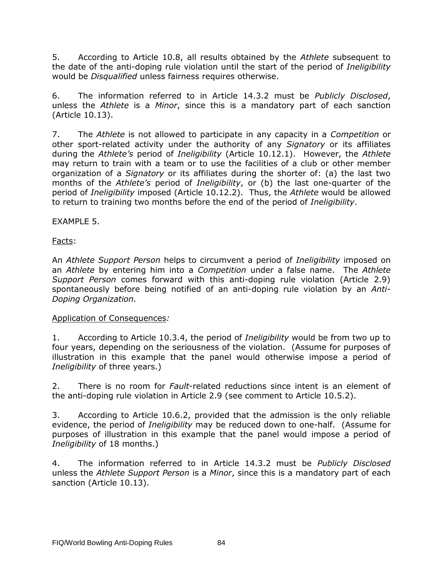5. According to Article 10.8, all results obtained by the *Athlete* subsequent to the date of the anti-doping rule violation until the start of the period of *Ineligibility* would be *Disqualified* unless fairness requires otherwise.

6. The information referred to in Article 14.3.2 must be *Publicly Disclosed*, unless the *Athlete* is a *Minor*, since this is a mandatory part of each sanction (Article 10.13).

7. The *Athlete* is not allowed to participate in any capacity in a *Competition* or other sport-related activity under the authority of any *Signatory* or its affiliates during the *Athlete's* period of *Ineligibility* (Article 10.12.1). However, the *Athlete* may return to train with a team or to use the facilities of a club or other member organization of a *Signatory* or its affiliates during the shorter of: (a) the last two months of the *Athlete's* period of *Ineligibility*, or (b) the last one-quarter of the period of *Ineligibility* imposed (Article 10.12.2). Thus, the *Athlete* would be allowed to return to training two months before the end of the period of *Ineligibility*.

EXAMPLE 5.

Facts:

An *Athlete Support Person* helps to circumvent a period of *Ineligibility* imposed on an *Athlete* by entering him into a *Competition* under a false name. The *Athlete Support Person* comes forward with this anti-doping rule violation (Article 2.9) spontaneously before being notified of an anti-doping rule violation by an *Anti-Doping Organization.*

## Application of Consequences*:*

1. According to Article 10.3.4, the period of *Ineligibility* would be from two up to four years, depending on the seriousness of the violation. (Assume for purposes of illustration in this example that the panel would otherwise impose a period of *Ineligibility* of three years.)

2. There is no room for *Fault*-related reductions since intent is an element of the anti-doping rule violation in Article 2.9 (see comment to Article 10.5.2).

3. According to Article 10.6.2, provided that the admission is the only reliable evidence, the period of *Ineligibility* may be reduced down to one-half. (Assume for purposes of illustration in this example that the panel would impose a period of *Ineligibility* of 18 months.)

4. The information referred to in Article 14.3.2 must be *Publicly Disclosed* unless the *Athlete Support Person* is a *Minor*, since this is a mandatory part of each sanction (Article 10.13).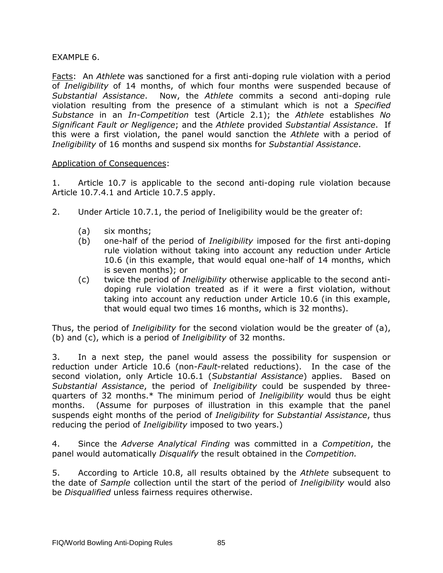# EXAMPLE 6.

Facts: An *Athlete* was sanctioned for a first anti-doping rule violation with a period of *Ineligibility* of 14 months, of which four months were suspended because of *Substantial Assistance*. Now, the *Athlete* commits a second anti-doping rule violation resulting from the presence of a stimulant which is not a *Specified Substance* in an *In-Competition* test (Article 2.1); the *Athlete* establishes *No Significant Fault or Negligence*; and the *Athlete* provided *Substantial Assistance*. If this were a first violation, the panel would sanction the *Athlete* with a period of *Ineligibility* of 16 months and suspend six months for *Substantial Assistance*.

## Application of Consequences:

1. Article 10.7 is applicable to the second anti-doping rule violation because Article 10.7.4.1 and Article 10.7.5 apply.

- 2. Under Article 10.7.1, the period of Ineligibility would be the greater of:
	- (a) six months;
	- (b) one-half of the period of *Ineligibility* imposed for the first anti-doping rule violation without taking into account any reduction under Article 10.6 (in this example, that would equal one-half of 14 months, which is seven months); or
	- (c) twice the period of *Ineligibility* otherwise applicable to the second antidoping rule violation treated as if it were a first violation, without taking into account any reduction under Article 10.6 (in this example, that would equal two times 16 months, which is 32 months).

Thus, the period of *Ineligibility* for the second violation would be the greater of (a), (b) and (c), which is a period of *Ineligibility* of 32 months.

3. In a next step, the panel would assess the possibility for suspension or reduction under Article 10.6 (non-*Fault*-related reductions). In the case of the second violation, only Article 10.6.1 (*Substantial Assistance*) applies. Based on *Substantial Assistance*, the period of *Ineligibility* could be suspended by threequarters of 32 months.\* The minimum period of *Ineligibility* would thus be eight months. (Assume for purposes of illustration in this example that the panel suspends eight months of the period of *Ineligibility* for *Substantial Assistance*, thus reducing the period of *Ineligibility* imposed to two years.)

4. Since the *Adverse Analytical Finding* was committed in a *Competition*, the panel would automatically *Disqualify* the result obtained in the *Competition.*

5. According to Article 10.8, all results obtained by the *Athlete* subsequent to the date of *Sample* collection until the start of the period of *Ineligibility* would also be *Disqualified* unless fairness requires otherwise.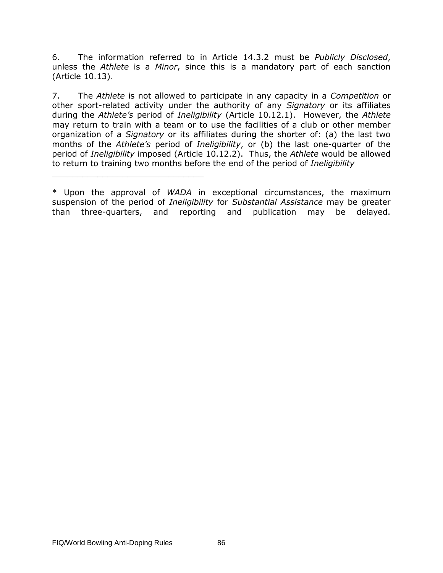6. The information referred to in Article 14.3.2 must be *Publicly Disclosed*, unless the *Athlete* is a *Minor*, since this is a mandatory part of each sanction (Article 10.13).

7. The *Athlete* is not allowed to participate in any capacity in a *Competition* or other sport-related activity under the authority of any *Signatory* or its affiliates during the *Athlete's* period of *Ineligibility* (Article 10.12.1). However, the *Athlete*  may return to train with a team or to use the facilities of a club or other member organization of a *Signatory* or its affiliates during the shorter of: (a) the last two months of the *Athlete's* period of *Ineligibility*, or (b) the last one-quarter of the period of *Ineligibility* imposed (Article 10.12.2). Thus, the *Athlete* would be allowed to return to training two months before the end of the period of *Ineligibility*

\_\_\_\_\_\_\_\_\_\_\_\_\_\_\_\_\_\_\_\_\_\_\_\_\_\_\_\_\_\_

<sup>\*</sup> Upon the approval of *WADA* in exceptional circumstances, the maximum suspension of the period of *Ineligibility* for *Substantial Assistance* may be greater than three-quarters, and reporting and publication may be delayed.